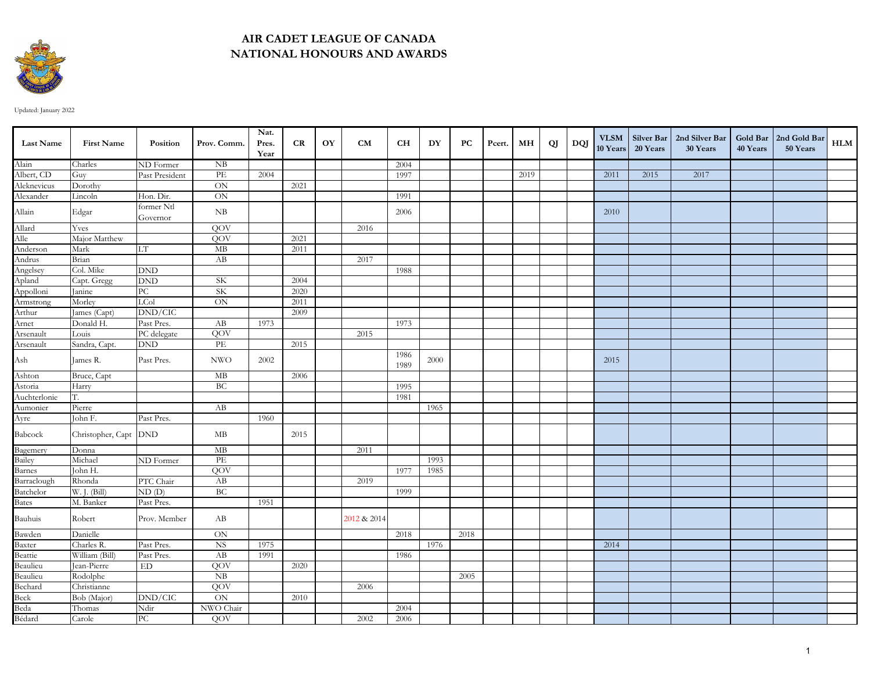

## **AIR CADET LEAGUE OF CANADA NATIONAL HONOURS AND AWARDS**

Updated: January 2022

| <b>Last Name</b><br><b>First Name</b><br>Position<br>Prov. Comm.<br>CR<br>OY<br>CM<br><b>CH</b><br>DY<br>PC<br>МH<br>QJ<br>DQJ<br>Pres.<br>Pcert.<br>50 Years<br>10 Years<br>20 Years<br>30 Years<br>40 Years<br>Year<br>Alain<br>Charles<br>ND Former<br>NB<br>2004<br>Albert, CD<br>$\ensuremath{\mathop{\text{\rm PE}}}$<br>2011<br>2015<br>2017<br>2004<br>2019<br>Guy<br>Past President<br>1997<br>Aleknevicus<br>$\overline{ON}$<br>2021<br>Dorothy | ${\bf HLM}$ |
|-----------------------------------------------------------------------------------------------------------------------------------------------------------------------------------------------------------------------------------------------------------------------------------------------------------------------------------------------------------------------------------------------------------------------------------------------------------|-------------|
|                                                                                                                                                                                                                                                                                                                                                                                                                                                           |             |
|                                                                                                                                                                                                                                                                                                                                                                                                                                                           |             |
|                                                                                                                                                                                                                                                                                                                                                                                                                                                           |             |
|                                                                                                                                                                                                                                                                                                                                                                                                                                                           |             |
| Alexander<br>$\rm ON$<br>Lincoln<br>Hon. Dir.<br>1991                                                                                                                                                                                                                                                                                                                                                                                                     |             |
| former Ntl<br>Allain<br>${\rm NB}$<br>Edgar<br>2006<br>2010<br>Governor                                                                                                                                                                                                                                                                                                                                                                                   |             |
| Allard<br>Yves<br>QOV<br>2016                                                                                                                                                                                                                                                                                                                                                                                                                             |             |
| Alle<br>QOV<br>Major Matthew<br>2021                                                                                                                                                                                                                                                                                                                                                                                                                      |             |
| Anderson<br>Andrus<br>Mark<br>$\mathbf{MB}$<br>LT<br>2011                                                                                                                                                                                                                                                                                                                                                                                                 |             |
| AB<br>Brian<br>2017                                                                                                                                                                                                                                                                                                                                                                                                                                       |             |
| Angelsey<br>Col. Mike<br><b>DND</b><br>1988                                                                                                                                                                                                                                                                                                                                                                                                               |             |
| Capt. Gregg<br>$\mathop{\rm DND}$<br>SK<br>2004                                                                                                                                                                                                                                                                                                                                                                                                           |             |
| Apland<br>Appolloni<br>SK<br>Janine<br>$\rm{PC}$<br>2020                                                                                                                                                                                                                                                                                                                                                                                                  |             |
| Armstrong<br>LCol<br>Morley<br>$\mbox{ON}$<br>2011                                                                                                                                                                                                                                                                                                                                                                                                        |             |
| Arthur<br>DND/CIC<br>2009<br>James (Capt)                                                                                                                                                                                                                                                                                                                                                                                                                 |             |
| Arnet<br>Past Pres.<br>AB<br>1973<br>Donald H.<br>1973                                                                                                                                                                                                                                                                                                                                                                                                    |             |
| Arsenault<br>PC delegate<br>QOV<br>2015<br>Louis                                                                                                                                                                                                                                                                                                                                                                                                          |             |
| Arsenault<br>$\mathop{\rm DND}\nolimits$<br>$\ensuremath{\mathop{\text{\rm PE}}}$<br>2015<br>Sandra, Capt.                                                                                                                                                                                                                                                                                                                                                |             |
| 1986<br>Ash<br>Past Pres.<br><b>NWO</b><br>2002<br>James R.<br>2000<br>2015<br>1989                                                                                                                                                                                                                                                                                                                                                                       |             |
| Ashton<br>$\overline{\rm MB}$<br>2006<br>Bruce, Capt                                                                                                                                                                                                                                                                                                                                                                                                      |             |
| Astoria<br>BC<br>Harry<br>1995                                                                                                                                                                                                                                                                                                                                                                                                                            |             |
| Auchterlonie<br>Τ.<br>1981                                                                                                                                                                                                                                                                                                                                                                                                                                |             |
| Aumonier<br>AB<br>Pierre<br>1965                                                                                                                                                                                                                                                                                                                                                                                                                          |             |
| Ayre<br>John F.<br>Past Pres.<br>1960                                                                                                                                                                                                                                                                                                                                                                                                                     |             |
| Babcock<br>Christopher, Capt DND<br>MB<br>2015                                                                                                                                                                                                                                                                                                                                                                                                            |             |
| Bagemery<br>MB<br>2011<br>Donna                                                                                                                                                                                                                                                                                                                                                                                                                           |             |
| Bailey<br>PE<br>Michael<br>ND Former<br>1993                                                                                                                                                                                                                                                                                                                                                                                                              |             |
| Barnes<br>QOV<br>John H.<br>1977<br>1985                                                                                                                                                                                                                                                                                                                                                                                                                  |             |
| Barraclough<br>Rhonda<br>AB<br>2019<br>PTC Chair                                                                                                                                                                                                                                                                                                                                                                                                          |             |
| Batchelor<br>W. J. (Bill)<br>BC<br>ND(D)<br>1999                                                                                                                                                                                                                                                                                                                                                                                                          |             |
| <b>Bates</b><br>M. Banker<br>Past Pres.<br>1951                                                                                                                                                                                                                                                                                                                                                                                                           |             |
| Bauhuis<br>Robert<br>Prov. Member<br>AB<br>2012 & 2014                                                                                                                                                                                                                                                                                                                                                                                                    |             |
| Bawden<br>Baxter<br>Danielle<br><b>ON</b><br>2018<br>2018                                                                                                                                                                                                                                                                                                                                                                                                 |             |
| <b>NS</b><br>Charles R.<br>Past Pres.<br>2014<br>1975<br>1976                                                                                                                                                                                                                                                                                                                                                                                             |             |
| Beattie<br>Beaulieu<br>William (Bill)<br>AB<br>Past Pres.<br>1991<br>1986                                                                                                                                                                                                                                                                                                                                                                                 |             |
| QOV<br>Jean-Pierre<br>ED<br>2020                                                                                                                                                                                                                                                                                                                                                                                                                          |             |
| Rodolphe<br>N <sub>B</sub><br>2005                                                                                                                                                                                                                                                                                                                                                                                                                        |             |
| QOV<br>2006<br>Christianne                                                                                                                                                                                                                                                                                                                                                                                                                                |             |
| ON<br>Bob (Major)<br>DND/CIC<br>2010                                                                                                                                                                                                                                                                                                                                                                                                                      |             |
| NWO Chair<br>Thomas<br>Ndir<br>2004                                                                                                                                                                                                                                                                                                                                                                                                                       |             |
| Beaulieu<br>Beaulieu<br>Bechard<br>Beck<br>Beda<br>Bédard<br>$\overline{PC}$<br>QOV<br>2002<br>2006<br>Carole                                                                                                                                                                                                                                                                                                                                             |             |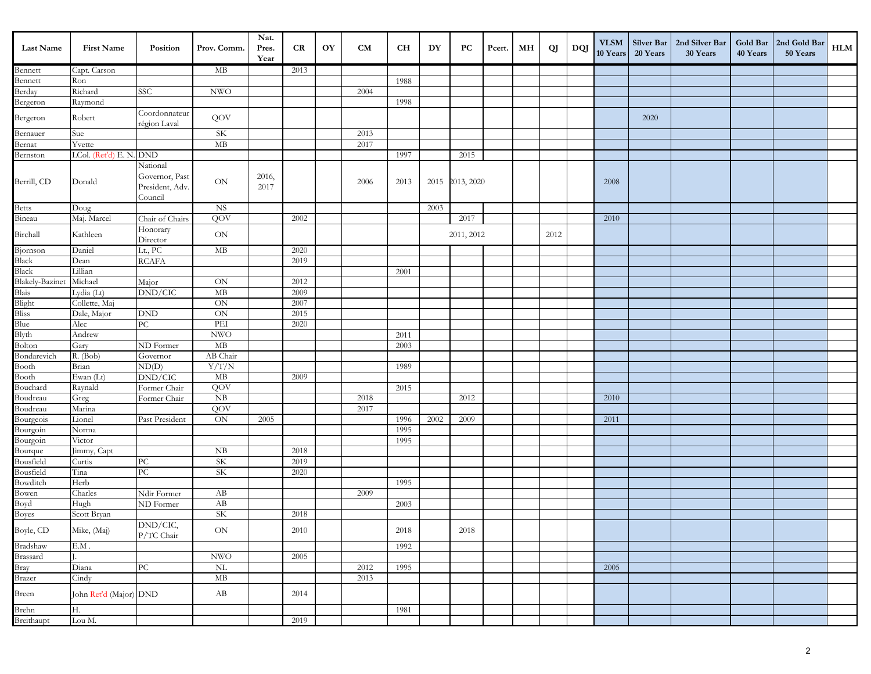| <b>Last Name</b>                          | <b>First Name</b>           | Position                                                 | Prov. Comm.                | Nat.<br>Pres.<br>Year | CR   | OY | <b>CM</b> | <b>CH</b> | DY   | PC              | Pcert. | MН | QJ   | DQJ | <b>VLSM</b><br>10 Years | Silver Bar<br>20 Years | 2nd Silver Bar<br>30 Years | Gold Bar<br>40 Years | 2nd Gold Bar<br>50 Years | HLM |
|-------------------------------------------|-----------------------------|----------------------------------------------------------|----------------------------|-----------------------|------|----|-----------|-----------|------|-----------------|--------|----|------|-----|-------------------------|------------------------|----------------------------|----------------------|--------------------------|-----|
| Bennett                                   | Capt. Carson                |                                                          | МB                         |                       | 2013 |    |           |           |      |                 |        |    |      |     |                         |                        |                            |                      |                          |     |
| Bennett                                   | Ron                         |                                                          |                            |                       |      |    |           | 1988      |      |                 |        |    |      |     |                         |                        |                            |                      |                          |     |
| Berday                                    | Richard                     | SSC                                                      | <b>NWO</b>                 |                       |      |    | 2004      |           |      |                 |        |    |      |     |                         |                        |                            |                      |                          |     |
| Bergeron                                  | Raymond                     |                                                          |                            |                       |      |    |           | 1998      |      |                 |        |    |      |     |                         |                        |                            |                      |                          |     |
| Bergeron                                  | Robert                      | Coordonnateur<br>région Laval                            | QOV                        |                       |      |    |           |           |      |                 |        |    |      |     |                         | 2020                   |                            |                      |                          |     |
| Bernauer                                  | Sue                         |                                                          | <b>SK</b>                  |                       |      |    | 2013      |           |      |                 |        |    |      |     |                         |                        |                            |                      |                          |     |
| Bernat                                    | Yvette                      |                                                          | $\rm MB$                   |                       |      |    | 2017      |           |      |                 |        |    |      |     |                         |                        |                            |                      |                          |     |
| Bernston                                  | LCol. (Ret'd) E. N. DND     |                                                          |                            |                       |      |    |           | 1997      |      | 2015            |        |    |      |     |                         |                        |                            |                      |                          |     |
| Berrill, CD                               | Donald                      | National<br>Governor, Past<br>President, Adv.<br>Council | $\mbox{ON}$                | 2016,<br>2017         |      |    | 2006      | 2013      |      | 2015 2013, 2020 |        |    |      |     | 2008                    |                        |                            |                      |                          |     |
|                                           | Doug                        |                                                          | <b>NS</b>                  |                       |      |    |           |           | 2003 |                 |        |    |      |     |                         |                        |                            |                      |                          |     |
| Betts<br>Bineau                           | Maj. Marcel                 | Chair of Chairs                                          | QOV                        |                       | 2002 |    |           |           |      | 2017            |        |    |      |     | 2010                    |                        |                            |                      |                          |     |
| Birchall                                  | Kathleen                    | Honorary<br>Director                                     | $\mbox{ON}$                |                       |      |    |           |           |      | 2011, 2012      |        |    | 2012 |     |                         |                        |                            |                      |                          |     |
| Bjornson                                  | Daniel                      | Lt., PC                                                  | MB                         |                       | 2020 |    |           |           |      |                 |        |    |      |     |                         |                        |                            |                      |                          |     |
| Black<br>Black                            | Dean                        | $\operatorname{RCAFA}$                                   |                            |                       | 2019 |    |           |           |      |                 |        |    |      |     |                         |                        |                            |                      |                          |     |
|                                           | Lillian                     |                                                          |                            |                       |      |    |           | 2001      |      |                 |        |    |      |     |                         |                        |                            |                      |                          |     |
| <b>Blakely-Bazinet</b>                    | Michael                     | Major                                                    | $\mbox{ON}$                |                       | 2012 |    |           |           |      |                 |        |    |      |     |                         |                        |                            |                      |                          |     |
|                                           | Lydia (Lt)                  | DND/CIC                                                  | MB                         |                       | 2009 |    |           |           |      |                 |        |    |      |     |                         |                        |                            |                      |                          |     |
|                                           | Collette, Maj               |                                                          | $\mbox{ON}$                |                       | 2007 |    |           |           |      |                 |        |    |      |     |                         |                        |                            |                      |                          |     |
| Blais<br>Blais<br>Blight<br>Bliss<br>Blue | Dale, Major                 | <b>DND</b>                                               | $\mbox{ON}$                |                       | 2015 |    |           |           |      |                 |        |    |      |     |                         |                        |                            |                      |                          |     |
|                                           | Alec                        | PC                                                       | $\overline{\text{PEI}}$    |                       | 2020 |    |           |           |      |                 |        |    |      |     |                         |                        |                            |                      |                          |     |
| Blyth<br>Bolton                           | Andrew                      |                                                          | $\ensuremath{\text{NWO}}$  |                       |      |    |           | 2011      |      |                 |        |    |      |     |                         |                        |                            |                      |                          |     |
|                                           | Gary                        | ND Former                                                | $\overline{\rm MB}$        |                       |      |    |           | 2003      |      |                 |        |    |      |     |                         |                        |                            |                      |                          |     |
| Bondarevich                               | R. (Bob)                    | Governor                                                 | AB Chair                   |                       |      |    |           |           |      |                 |        |    |      |     |                         |                        |                            |                      |                          |     |
| Booth<br>Booth                            | Brian                       | $\overline{\mathrm{ND}}(D)$                              | Y/T/N                      |                       |      |    |           | 1989      |      |                 |        |    |      |     |                         |                        |                            |                      |                          |     |
|                                           | Ewan (Lt)                   | $\overline{\mathrm{DND}/\mathrm{CIC}}$                   | $\rm MB$                   |                       | 2009 |    |           |           |      |                 |        |    |      |     |                         |                        |                            |                      |                          |     |
| Bouchard<br>Boudreau                      | Raynald                     | Former Chair                                             | QOV                        |                       |      |    |           | 2015      |      |                 |        |    |      |     |                         |                        |                            |                      |                          |     |
|                                           | Greg                        | Former Chair                                             | ${\rm NB}$                 |                       |      |    | 2018      |           |      | 2012            |        |    |      |     | 2010                    |                        |                            |                      |                          |     |
| Boudreau                                  | Marina                      |                                                          | QOV                        |                       |      |    | 2017      |           |      |                 |        |    |      |     |                         |                        |                            |                      |                          |     |
| Bourgeois<br>Bourgoin                     | Lionel                      | Past President                                           | ON                         | 2005                  |      |    |           | 1996      | 2002 | 2009            |        |    |      |     | 2011                    |                        |                            |                      |                          |     |
|                                           | Norma                       |                                                          |                            |                       |      |    |           | 1995      |      |                 |        |    |      |     |                         |                        |                            |                      |                          |     |
| Bourgoin<br>Bourque<br>Bousfield          | Victor                      |                                                          |                            |                       |      |    |           | 1995      |      |                 |        |    |      |     |                         |                        |                            |                      |                          |     |
|                                           | Jimmy, Capt                 |                                                          | NB                         |                       | 2018 |    |           |           |      |                 |        |    |      |     |                         |                        |                            |                      |                          |     |
|                                           | Curtis                      | ${\rm P}{\bf C}$                                         | <b>SK</b>                  |                       | 2019 |    |           |           |      |                 |        |    |      |     |                         |                        |                            |                      |                          |     |
| Bousfield                                 | Tina                        | $\overline{PC}$                                          | SK                         |                       | 2020 |    |           |           |      |                 |        |    |      |     |                         |                        |                            |                      |                          |     |
| Bowditch                                  | Herb                        |                                                          |                            |                       |      |    |           | 1995      |      |                 |        |    |      |     |                         |                        |                            |                      |                          |     |
| Bowen<br>Boyd<br>Boyes                    | Charles                     | Ndir Former                                              | AB                         |                       |      |    | 2009      |           |      |                 |        |    |      |     |                         |                        |                            |                      |                          |     |
|                                           | Hugh                        | ND Former                                                | AB                         |                       |      |    |           | 2003      |      |                 |        |    |      |     |                         |                        |                            |                      |                          |     |
|                                           | Scott Bryan                 |                                                          | <b>SK</b>                  |                       | 2018 |    |           |           |      |                 |        |    |      |     |                         |                        |                            |                      |                          |     |
| Boyle, CD                                 | Mike, (Maj)                 | DND/CIC,<br>P/TC Chair                                   | $\mathop{\rm ON}\nolimits$ |                       | 2010 |    |           | $2018\,$  |      | 2018            |        |    |      |     |                         |                        |                            |                      |                          |     |
|                                           | $\mathop{\hbox{\rm E.M}}$ . |                                                          |                            |                       |      |    |           | 1992      |      |                 |        |    |      |     |                         |                        |                            |                      |                          |     |
| Bradshaw<br>Brassard<br>Bray<br>Brazer    |                             |                                                          | <b>NWO</b>                 |                       | 2005 |    |           |           |      |                 |        |    |      |     |                         |                        |                            |                      |                          |     |
|                                           | Diana                       | ${\rm P}{\bf C}$                                         | $\overline{\text{NL}}$     |                       |      |    | 2012      | 1995      |      |                 |        |    |      |     | 2005                    |                        |                            |                      |                          |     |
|                                           | Cindy                       |                                                          | $\mathbf{MB}$              |                       |      |    | 2013      |           |      |                 |        |    |      |     |                         |                        |                            |                      |                          |     |
| Breen                                     | John Ret'd (Major) DND      |                                                          | AB                         |                       | 2014 |    |           |           |      |                 |        |    |      |     |                         |                        |                            |                      |                          |     |
| Brehn                                     | Н.                          |                                                          |                            |                       |      |    |           | 1981      |      |                 |        |    |      |     |                         |                        |                            |                      |                          |     |
| Breithaupt                                | Lou M.                      |                                                          |                            |                       | 2019 |    |           |           |      |                 |        |    |      |     |                         |                        |                            |                      |                          |     |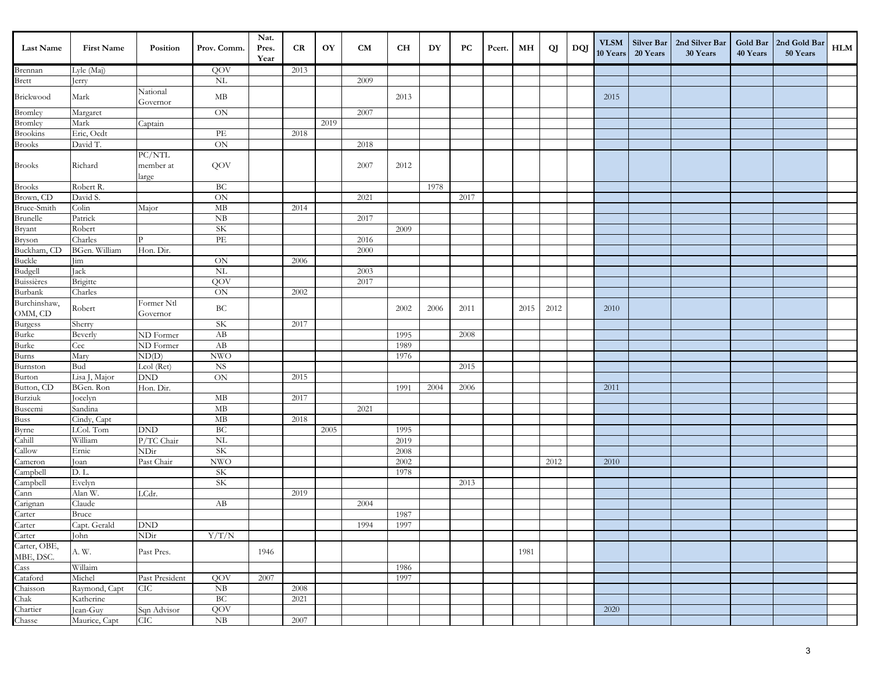| <b>Last Name</b>                     | <b>First Name</b>      | Position                             | Prov. Comm.                           | Nat.<br>Pres.<br>Year | CR   | OY   | CM   | CН   | DY   | PС   | Pcert. | MН   | QJ   | DQJ | <b>VLSM</b><br>10 Years | 20 Years | Silver Bar   2nd Silver Bar<br>30 Years | 40 Years | Gold Bar   2nd Gold Bar<br>50 Years | HLM |
|--------------------------------------|------------------------|--------------------------------------|---------------------------------------|-----------------------|------|------|------|------|------|------|--------|------|------|-----|-------------------------|----------|-----------------------------------------|----------|-------------------------------------|-----|
| Brennan                              | Lyle (Maj)             |                                      | QOV                                   |                       | 2013 |      |      |      |      |      |        |      |      |     |                         |          |                                         |          |                                     |     |
| <b>Brett</b>                         | erry                   |                                      | NL                                    |                       |      |      | 2009 |      |      |      |        |      |      |     |                         |          |                                         |          |                                     |     |
| Brickwood                            | Mark                   | National<br>Governor                 | MB                                    |                       |      |      |      | 2013 |      |      |        |      |      |     | 2015                    |          |                                         |          |                                     |     |
| Bromley                              | Margaret               |                                      | $\mbox{ON}$                           |                       |      |      | 2007 |      |      |      |        |      |      |     |                         |          |                                         |          |                                     |     |
| Bromley<br>Brookins                  | Mark                   | Captain                              |                                       |                       |      | 2019 |      |      |      |      |        |      |      |     |                         |          |                                         |          |                                     |     |
|                                      | Eric, Ocdt             |                                      | $\ensuremath{\mathop{\text{\rm PE}}}$ |                       | 2018 |      |      |      |      |      |        |      |      |     |                         |          |                                         |          |                                     |     |
| <b>Brooks</b>                        | David T.               |                                      | $\mbox{ON}$                           |                       |      |      | 2018 |      |      |      |        |      |      |     |                         |          |                                         |          |                                     |     |
| $\operatorname{Brooks}$              | Richard                | ${\rm PC/NTL}$<br>member at<br>large | QOV                                   |                       |      |      | 2007 | 2012 |      |      |        |      |      |     |                         |          |                                         |          |                                     |     |
| <b>Brooks</b>                        | Robert R.              |                                      | BC                                    |                       |      |      |      |      | 1978 |      |        |      |      |     |                         |          |                                         |          |                                     |     |
| Brown, CD                            | David S.               |                                      | $\mbox{ON}$                           |                       |      |      | 2021 |      |      | 2017 |        |      |      |     |                         |          |                                         |          |                                     |     |
|                                      | Colin                  | Major                                | $\rm MB$                              |                       | 2014 |      |      |      |      |      |        |      |      |     |                         |          |                                         |          |                                     |     |
| Bruce-Smith<br>Brunelle              | Patrick                |                                      | $\mathrm{N}\mathrm{B}$                |                       |      |      | 2017 |      |      |      |        |      |      |     |                         |          |                                         |          |                                     |     |
|                                      | Robert                 |                                      | <b>SK</b>                             |                       |      |      |      | 2009 |      |      |        |      |      |     |                         |          |                                         |          |                                     |     |
| Bryant<br>Bryson<br>Buckham, CD      | Charles                | P                                    | PE                                    |                       |      |      | 2016 |      |      |      |        |      |      |     |                         |          |                                         |          |                                     |     |
|                                      | BGen. William          | Hon. Dir.                            |                                       |                       |      |      | 2000 |      |      |      |        |      |      |     |                         |          |                                         |          |                                     |     |
| Buckle<br>Budgell                    | Jim                    |                                      | $\mbox{ON}$                           |                       | 2006 |      |      |      |      |      |        |      |      |     |                         |          |                                         |          |                                     |     |
|                                      | Jack                   |                                      | <b>NL</b>                             |                       |      |      | 2003 |      |      |      |        |      |      |     |                         |          |                                         |          |                                     |     |
| Buissières<br>Burbank                | Brigitte               |                                      | QOV                                   |                       |      |      | 2017 |      |      |      |        |      |      |     |                         |          |                                         |          |                                     |     |
|                                      | Charles                |                                      | ON                                    |                       | 2002 |      |      |      |      |      |        |      |      |     |                         |          |                                         |          |                                     |     |
| Burchinshaw,                         | Robert                 | Former Ntl                           | ВC                                    |                       |      |      |      | 2002 | 2006 | 2011 |        | 2015 | 2012 |     | 2010                    |          |                                         |          |                                     |     |
|                                      |                        | Governor                             |                                       |                       |      |      |      |      |      |      |        |      |      |     |                         |          |                                         |          |                                     |     |
| OMM, CD<br>Burgess<br>Burke<br>Burke | Sherry                 |                                      | <b>SK</b>                             |                       | 2017 |      |      |      |      |      |        |      |      |     |                         |          |                                         |          |                                     |     |
|                                      | Beverly                | ND Former                            | AB                                    |                       |      |      |      | 1995 |      | 2008 |        |      |      |     |                         |          |                                         |          |                                     |     |
|                                      | Cec                    | ND Former                            | AB                                    |                       |      |      |      | 1989 |      |      |        |      |      |     |                         |          |                                         |          |                                     |     |
| Burns                                | Mary                   | ND(D)                                | $\ensuremath{\text{NWO}}$             |                       |      |      |      | 1976 |      |      |        |      |      |     |                         |          |                                         |          |                                     |     |
| Burnston<br>Burton                   | Bud                    | Lcol (Ret)                           | <b>NS</b>                             |                       |      |      |      |      |      | 2015 |        |      |      |     |                         |          |                                         |          |                                     |     |
|                                      | Lisa J, Major          | $\mathop{\rm DND}\nolimits$          | $\mbox{ON}$                           |                       | 2015 |      |      |      |      |      |        |      |      |     |                         |          |                                         |          |                                     |     |
| Button, CD<br>Burziuk                | BGen. Ron              | Hon. Dir.                            | МB                                    |                       | 2017 |      |      | 1991 | 2004 | 2006 |        |      |      |     | 2011                    |          |                                         |          |                                     |     |
| Buscemi                              | ocelyn                 |                                      | $\mathbf{MB}$                         |                       |      |      | 2021 |      |      |      |        |      |      |     |                         |          |                                         |          |                                     |     |
|                                      | Sandina<br>Cindy, Capt |                                      | $\mathbf{MB}$                         |                       | 2018 |      |      |      |      |      |        |      |      |     |                         |          |                                         |          |                                     |     |
| Buss<br>Byrne                        | LCol. Tom              | <b>DND</b>                           | <b>BC</b>                             |                       |      | 2005 |      | 1995 |      |      |        |      |      |     |                         |          |                                         |          |                                     |     |
| Cahill                               | William                | P/TC Chair                           | NL                                    |                       |      |      |      | 2019 |      |      |        |      |      |     |                         |          |                                         |          |                                     |     |
| $\overline{\text{Callow}}$           | Ernie                  | ND <sub>ir</sub>                     | SK                                    |                       |      |      |      | 2008 |      |      |        |      |      |     |                         |          |                                         |          |                                     |     |
| Cameron                              | Joan                   | Past Chair                           | $\ensuremath{\text{NWO}}$             |                       |      |      |      | 2002 |      |      |        |      | 2012 |     | 2010                    |          |                                         |          |                                     |     |
| Campbell                             | D. L.                  |                                      | SK                                    |                       |      |      |      | 1978 |      |      |        |      |      |     |                         |          |                                         |          |                                     |     |
| Campbell                             | Evelyn                 |                                      | <b>SK</b>                             |                       |      |      |      |      |      | 2013 |        |      |      |     |                         |          |                                         |          |                                     |     |
| Cann                                 | Alan W.                | LCdr.                                |                                       |                       | 2019 |      |      |      |      |      |        |      |      |     |                         |          |                                         |          |                                     |     |
| Carignan                             | Claude                 |                                      | AB                                    |                       |      |      | 2004 |      |      |      |        |      |      |     |                         |          |                                         |          |                                     |     |
| Carter<br>Carter<br>Carter           | Bruce                  |                                      |                                       |                       |      |      |      | 1987 |      |      |        |      |      |     |                         |          |                                         |          |                                     |     |
|                                      | Capt. Gerald           | $\operatorname{DND}$                 |                                       |                       |      |      | 1994 | 1997 |      |      |        |      |      |     |                         |          |                                         |          |                                     |     |
|                                      | John                   | ND <sub>ir</sub>                     | Y/T/N                                 |                       |      |      |      |      |      |      |        |      |      |     |                         |          |                                         |          |                                     |     |
| Carter, OBE,<br>MBE, DSC.            | A.W.                   | Past Pres.                           |                                       | 1946                  |      |      |      |      |      |      |        | 1981 |      |     |                         |          |                                         |          |                                     |     |
| Cass                                 | Willaim                |                                      |                                       |                       |      |      |      | 1986 |      |      |        |      |      |     |                         |          |                                         |          |                                     |     |
| Cataford                             | Michel                 | Past President                       | QOV                                   | 2007                  |      |      |      | 1997 |      |      |        |      |      |     |                         |          |                                         |          |                                     |     |
| Chaisson                             | Raymond, Capt          | CIC                                  | NB                                    |                       | 2008 |      |      |      |      |      |        |      |      |     |                         |          |                                         |          |                                     |     |
| Chak<br>Chartier                     | Katherine              |                                      | BC                                    |                       | 2021 |      |      |      |      |      |        |      |      |     |                         |          |                                         |          |                                     |     |
|                                      | Jean-Guy               | Sqn Advisor                          | QOV                                   |                       |      |      |      |      |      |      |        |      |      |     | 2020                    |          |                                         |          |                                     |     |
| Chasse                               | Maurice, Capt          | CIC                                  | ${\rm NB}$                            |                       | 2007 |      |      |      |      |      |        |      |      |     |                         |          |                                         |          |                                     |     |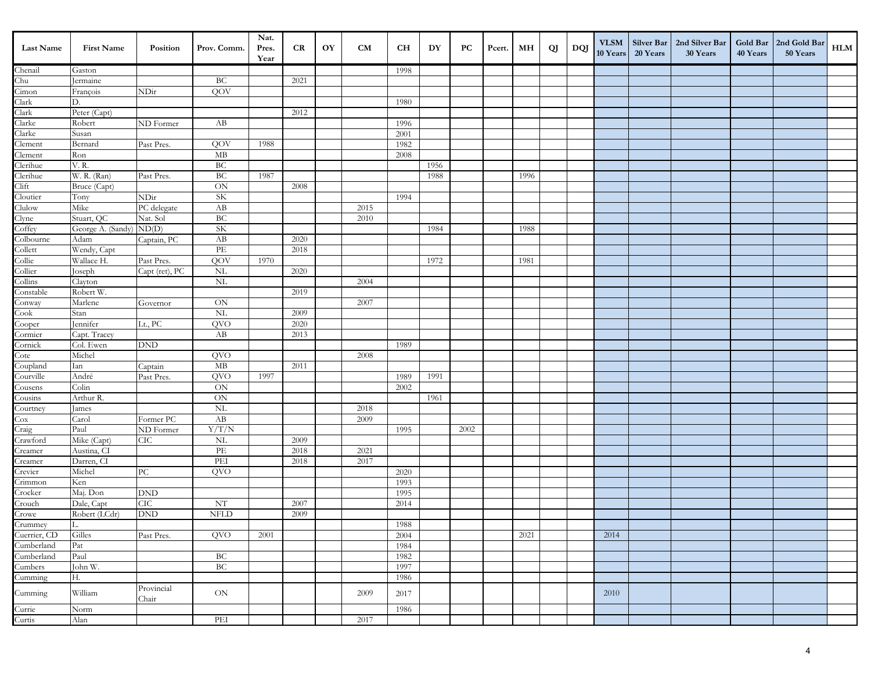| <b>Last Name</b>        | <b>First Name</b>           | Position            | Prov. Comm.                | Nat.<br>Pres.<br>Year | CR   | OY | CM   | <b>CH</b> | DY   | PC   | Pcert. | МH   | QJ | DQJ | <b>VLSM</b><br>10 Years | 20 Years | Silver Bar   2nd Silver Bar<br>30 Years | Gold Bar<br>40 Years | 2nd Gold Bar<br>50 Years | HLM |
|-------------------------|-----------------------------|---------------------|----------------------------|-----------------------|------|----|------|-----------|------|------|--------|------|----|-----|-------------------------|----------|-----------------------------------------|----------------------|--------------------------|-----|
| Chenail                 | Gaston                      |                     |                            |                       |      |    |      | 1998      |      |      |        |      |    |     |                         |          |                                         |                      |                          |     |
| Chu                     | Jermaine                    |                     | BC                         |                       | 2021 |    |      |           |      |      |        |      |    |     |                         |          |                                         |                      |                          |     |
| Cimon                   | François                    | NDir                | QOV                        |                       |      |    |      |           |      |      |        |      |    |     |                         |          |                                         |                      |                          |     |
| Clark                   | D.                          |                     |                            |                       |      |    |      | 1980      |      |      |        |      |    |     |                         |          |                                         |                      |                          |     |
| Clark                   | Peter (Capt)                |                     |                            |                       | 2012 |    |      |           |      |      |        |      |    |     |                         |          |                                         |                      |                          |     |
| Clarke                  | Robert                      | ND Former           | AB                         |                       |      |    |      | 1996      |      |      |        |      |    |     |                         |          |                                         |                      |                          |     |
| Clarke                  | Susan                       |                     |                            |                       |      |    |      | 2001      |      |      |        |      |    |     |                         |          |                                         |                      |                          |     |
| Clement                 | Bernard                     | Past Pres.          | QOV                        | 1988                  |      |    |      | 1982      |      |      |        |      |    |     |                         |          |                                         |                      |                          |     |
| Clement                 | Ron                         |                     | MB                         |                       |      |    |      | 2008      |      |      |        |      |    |     |                         |          |                                         |                      |                          |     |
| Clerihue                | V. R.                       |                     | BC                         |                       |      |    |      |           | 1956 |      |        |      |    |     |                         |          |                                         |                      |                          |     |
| Clerihue                | W. R. (Ran)                 | Past Pres.          | $\operatorname{BC}$        | 1987                  |      |    |      |           | 1988 |      |        | 1996 |    |     |                         |          |                                         |                      |                          |     |
| Clift                   | Bruce (Capt)                |                     | ON                         |                       | 2008 |    |      |           |      |      |        |      |    |     |                         |          |                                         |                      |                          |     |
| Cloutier                | Tony                        | NDir                | <b>SK</b>                  |                       |      |    |      | 1994      |      |      |        |      |    |     |                         |          |                                         |                      |                          |     |
| Clulow                  | Mike                        | PC delegate         | AB                         |                       |      |    | 2015 |           |      |      |        |      |    |     |                         |          |                                         |                      |                          |     |
| Clyne                   | Stuart, QC                  | Nat. Sol            | $\operatorname{BC}$        |                       |      |    | 2010 |           |      |      |        |      |    |     |                         |          |                                         |                      |                          |     |
| Coffey                  | George A. (Sandy)           | ND(D)               | <b>SK</b>                  |                       |      |    |      |           | 1984 |      |        | 1988 |    |     |                         |          |                                         |                      |                          |     |
| Colbourne               | Adam                        | Captain, PC         | AB                         |                       | 2020 |    |      |           |      |      |        |      |    |     |                         |          |                                         |                      |                          |     |
| Collett                 | Wendy, Capt                 |                     | PE                         |                       | 2018 |    |      |           |      |      |        |      |    |     |                         |          |                                         |                      |                          |     |
| Collie                  | Wallace H.                  | Past Pres.          | QOV                        | 1970                  |      |    |      |           | 1972 |      |        | 1981 |    |     |                         |          |                                         |                      |                          |     |
| Collier                 | Joseph                      | Capt (ret), PC      | <b>NL</b>                  |                       | 2020 |    |      |           |      |      |        |      |    |     |                         |          |                                         |                      |                          |     |
| Collins                 | Clayton                     |                     | $\rm NL$                   |                       |      |    | 2004 |           |      |      |        |      |    |     |                         |          |                                         |                      |                          |     |
| Constable               | Robert W.                   |                     |                            |                       | 2019 |    |      |           |      |      |        |      |    |     |                         |          |                                         |                      |                          |     |
| Conway                  | Marlene                     | Governor            | ON                         |                       |      |    | 2007 |           |      |      |        |      |    |     |                         |          |                                         |                      |                          |     |
| ${\rm Cook}$            | Stan                        |                     | $\overline{\text{NL}}$     |                       | 2009 |    |      |           |      |      |        |      |    |     |                         |          |                                         |                      |                          |     |
| Cooper                  | Jennifer                    | Lt., PC             | QVO                        |                       | 2020 |    |      |           |      |      |        |      |    |     |                         |          |                                         |                      |                          |     |
| Cormier                 | Capt. Tracey                |                     | AB                         |                       | 2013 |    |      |           |      |      |        |      |    |     |                         |          |                                         |                      |                          |     |
| Cornick                 | Col. Ewen                   | <b>DND</b>          |                            |                       |      |    |      | 1989      |      |      |        |      |    |     |                         |          |                                         |                      |                          |     |
| Cote                    | Michel                      |                     | QVO                        |                       |      |    | 2008 |           |      |      |        |      |    |     |                         |          |                                         |                      |                          |     |
| Coupland                | Ian                         | Captain             | MB                         |                       | 2011 |    |      |           |      |      |        |      |    |     |                         |          |                                         |                      |                          |     |
| Courville               | André                       | Past Pres.          | QVO                        | 1997                  |      |    |      | 1989      | 1991 |      |        |      |    |     |                         |          |                                         |                      |                          |     |
| Cousens                 | Colin                       |                     | ON                         |                       |      |    |      | 2002      |      |      |        |      |    |     |                         |          |                                         |                      |                          |     |
| Cousins                 | Arthur R.                   |                     | ON                         |                       |      |    |      |           | 1961 |      |        |      |    |     |                         |          |                                         |                      |                          |     |
| Courtney                | James                       |                     | <b>NL</b>                  |                       |      |    | 2018 |           |      |      |        |      |    |     |                         |          |                                         |                      |                          |     |
| $\cos$                  | Carol                       | Former PC           | AB                         |                       |      |    | 2009 |           |      |      |        |      |    |     |                         |          |                                         |                      |                          |     |
| Craig                   | Paul                        | ND Former           | Y/T/N                      |                       |      |    |      | 1995      |      | 2002 |        |      |    |     |                         |          |                                         |                      |                          |     |
| Crawford                | Mike (Capt)                 | ${\rm CIC}$         | <b>NL</b>                  |                       | 2009 |    |      |           |      |      |        |      |    |     |                         |          |                                         |                      |                          |     |
| Creamer                 | Austina, CI                 |                     | $\ensuremath{\mathit{PE}}$ |                       | 2018 |    | 2021 |           |      |      |        |      |    |     |                         |          |                                         |                      |                          |     |
| Creamer                 | Darren, CI                  |                     | PEI                        |                       | 2018 |    | 2017 |           |      |      |        |      |    |     |                         |          |                                         |                      |                          |     |
| Crevier                 | Michel                      | ${\rm P}{\bf C}$    | QVO                        |                       |      |    |      | 2020      |      |      |        |      |    |     |                         |          |                                         |                      |                          |     |
| Crimmon                 | Ken                         |                     |                            |                       |      |    |      | 1993      |      |      |        |      |    |     |                         |          |                                         |                      |                          |     |
| Crocker                 | Maj. Don                    | <b>DND</b>          |                            |                       |      |    |      | 1995      |      |      |        |      |    |     |                         |          |                                         |                      |                          |     |
| Crouch                  | Dale, Capt                  | CIC                 | NT                         |                       | 2007 |    |      | 2014      |      |      |        |      |    |     |                         |          |                                         |                      |                          |     |
| Crowe                   | Robert (LCdr)               | <b>DND</b>          | <b>NFLD</b>                |                       | 2009 |    |      |           |      |      |        |      |    |     |                         |          |                                         |                      |                          |     |
| Crummey<br>Cuerrier, CD | ŢΤ.                         |                     |                            |                       |      |    |      | 1988      |      |      |        |      |    |     |                         |          |                                         |                      |                          |     |
| Cumberland              | Gilles                      | Past Pres.          | QVO                        | 2001                  |      |    |      | 2004      |      |      |        | 2021 |    |     | 2014                    |          |                                         |                      |                          |     |
| Cumberland              | $\ensuremath{\mathsf{Pat}}$ |                     |                            |                       |      |    |      | 1984      |      |      |        |      |    |     |                         |          |                                         |                      |                          |     |
| Cumbers                 | Paul<br>John W.             |                     | $\operatorname{BC}$<br>BC  |                       |      |    |      | 1982      |      |      |        |      |    |     |                         |          |                                         |                      |                          |     |
|                         |                             |                     |                            |                       |      |    |      | 1997      |      |      |        |      |    |     |                         |          |                                         |                      |                          |     |
| Cumming                 | Н.                          |                     |                            |                       |      |    |      | 1986      |      |      |        |      |    |     |                         |          |                                         |                      |                          |     |
| Cumming                 | William                     | Provincial<br>Chair | ON                         |                       |      |    | 2009 | 2017      |      |      |        |      |    |     | 2010                    |          |                                         |                      |                          |     |
| Currie                  | Norm                        |                     |                            |                       |      |    |      | 1986      |      |      |        |      |    |     |                         |          |                                         |                      |                          |     |
| Curtis                  | Alan                        |                     | PEI                        |                       |      |    | 2017 |           |      |      |        |      |    |     |                         |          |                                         |                      |                          |     |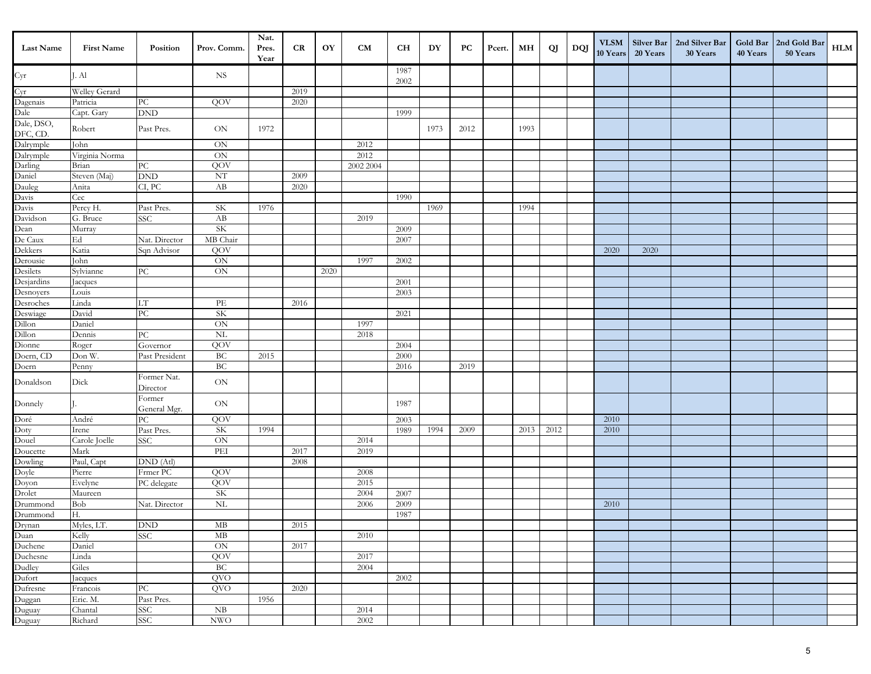| Last Name                            | <b>First Name</b> | Position                        | Prov. Comm.               | Nat.<br>Pres.<br>Year | CR   | OY   | CM        | CН           | DY   | PC   | Pcert. | MН   | QJ   | DQJ | <b>VLSM</b><br>10 Years | <b>Silver Bar</b><br>20 Years | 2nd Silver Bar<br>30 Years | 40 Years | Gold Bar   2nd Gold Bar<br>50 Years | HLM |
|--------------------------------------|-------------------|---------------------------------|---------------------------|-----------------------|------|------|-----------|--------------|------|------|--------|------|------|-----|-------------------------|-------------------------------|----------------------------|----------|-------------------------------------|-----|
| $\rm Cyr$                            | J. Al             |                                 | <b>NS</b>                 |                       |      |      |           | 1987<br>2002 |      |      |        |      |      |     |                         |                               |                            |          |                                     |     |
|                                      | Welley Gerard     |                                 |                           |                       | 2019 |      |           |              |      |      |        |      |      |     |                         |                               |                            |          |                                     |     |
| Cyr<br>Dagenais<br>Dale              | Patricia          | ${\rm P}{\bf C}$                | QOV                       |                       | 2020 |      |           |              |      |      |        |      |      |     |                         |                               |                            |          |                                     |     |
|                                      | Capt. Gary        | <b>DND</b>                      |                           |                       |      |      |           | 1999         |      |      |        |      |      |     |                         |                               |                            |          |                                     |     |
| Dale, DSO,<br>DFC, CD.               | Robert            | Past Pres.                      | ON                        | 1972                  |      |      |           |              | 1973 | 2012 |        | 1993 |      |     |                         |                               |                            |          |                                     |     |
| Dalrymple                            | John              |                                 | $ON$                      |                       |      |      | 2012      |              |      |      |        |      |      |     |                         |                               |                            |          |                                     |     |
| Dalrymple<br>Darling                 | Virginia Norma    |                                 | <b>ON</b>                 |                       |      |      | 2012      |              |      |      |        |      |      |     |                         |                               |                            |          |                                     |     |
|                                      | Brian             | ${\rm P}{\bf C}$                | QOV                       |                       |      |      | 2002 2004 |              |      |      |        |      |      |     |                         |                               |                            |          |                                     |     |
|                                      | Steven (Maj)      | <b>DND</b>                      | $\mathrm{NT}$             |                       | 2009 |      |           |              |      |      |        |      |      |     |                         |                               |                            |          |                                     |     |
| Daniel<br>Dauleg<br>Davis            | Anita             | CI, PC                          | AB                        |                       | 2020 |      |           |              |      |      |        |      |      |     |                         |                               |                            |          |                                     |     |
|                                      | Cec               |                                 |                           |                       |      |      |           | 1990         |      |      |        |      |      |     |                         |                               |                            |          |                                     |     |
| Davis<br>Davidson                    | Percy H.          | Past Pres.                      | SK                        | 1976                  |      |      |           |              | 1969 |      |        | 1994 |      |     |                         |                               |                            |          |                                     |     |
|                                      | G. Bruce          | <b>SSC</b>                      | AB                        |                       |      |      | 2019      |              |      |      |        |      |      |     |                         |                               |                            |          |                                     |     |
|                                      | Murray            |                                 | SK                        |                       |      |      |           | 2009         |      |      |        |      |      |     |                         |                               |                            |          |                                     |     |
| Dean<br>De Caux                      | Ed                | Nat. Director                   | MB Chair                  |                       |      |      |           | 2007         |      |      |        |      |      |     |                         |                               |                            |          |                                     |     |
| Dekkers                              | Katia             | Sqn Advisor                     | QOV                       |                       |      |      |           |              |      |      |        |      |      |     | 2020                    | 2020                          |                            |          |                                     |     |
| Derousie                             | John              |                                 | $\mbox{ON}$               |                       |      |      | 1997      | 2002         |      |      |        |      |      |     |                         |                               |                            |          |                                     |     |
| Desilets                             | Sylvianne         | PC                              | ON                        |                       |      | 2020 |           |              |      |      |        |      |      |     |                         |                               |                            |          |                                     |     |
| Desjardins<br>Desnoyers<br>Desroches | acques            |                                 |                           |                       |      |      |           | 2001         |      |      |        |      |      |     |                         |                               |                            |          |                                     |     |
|                                      | Louis             |                                 |                           |                       |      |      |           | 2003         |      |      |        |      |      |     |                         |                               |                            |          |                                     |     |
|                                      | Linda             | LT                              | PE                        |                       | 2016 |      |           |              |      |      |        |      |      |     |                         |                               |                            |          |                                     |     |
| Deswiage<br>Dillon                   | David             | $\overline{PC}$                 | <b>SK</b>                 |                       |      |      |           | 2021         |      |      |        |      |      |     |                         |                               |                            |          |                                     |     |
|                                      | Daniel            |                                 | ON                        |                       |      |      | 1997      |              |      |      |        |      |      |     |                         |                               |                            |          |                                     |     |
| Dillon<br>Dionne                     | Dennis            | PC                              | $\rm NL$                  |                       |      |      | 2018      |              |      |      |        |      |      |     |                         |                               |                            |          |                                     |     |
|                                      | Roger             | Governor                        | QOV                       |                       |      |      |           | 2004         |      |      |        |      |      |     |                         |                               |                            |          |                                     |     |
| Doern, CD                            | Don W.            | Past President                  | BC                        | 2015                  |      |      |           | 2000         |      |      |        |      |      |     |                         |                               |                            |          |                                     |     |
| Doern                                | Penny             |                                 | BC                        |                       |      |      |           | 2016         |      | 2019 |        |      |      |     |                         |                               |                            |          |                                     |     |
| Donaldson                            | Dick              | Former Nat.<br>Director         | $\mbox{ON}$               |                       |      |      |           |              |      |      |        |      |      |     |                         |                               |                            |          |                                     |     |
| Donnely                              |                   | Former<br>General Mgr.          | $\mbox{ON}$               |                       |      |      |           | 1987         |      |      |        |      |      |     |                         |                               |                            |          |                                     |     |
|                                      | André             | ${\rm P}{\bf C}$                | QOV                       |                       |      |      |           | 2003         |      |      |        |      |      |     | 2010                    |                               |                            |          |                                     |     |
|                                      | Irene             | Past Pres.                      | <b>SK</b>                 | 1994                  |      |      |           | 1989         | 1994 | 2009 |        | 2013 | 2012 |     | 2010                    |                               |                            |          |                                     |     |
| Doré<br>Doty<br>Douel<br>Doucette    | Carole Joelle     | <b>SSC</b>                      | $\mbox{ON}$               |                       |      |      | 2014      |              |      |      |        |      |      |     |                         |                               |                            |          |                                     |     |
|                                      | Mark              |                                 | PEI                       |                       | 2017 |      | 2019      |              |      |      |        |      |      |     |                         |                               |                            |          |                                     |     |
| Dowling                              | Paul, Capt        | $\overline{\mathrm{DND}}$ (Atl) |                           |                       | 2008 |      |           |              |      |      |        |      |      |     |                         |                               |                            |          |                                     |     |
| Doyle<br>Doyon                       | Pierre            | Frmer PC                        | QOV                       |                       |      |      | 2008      |              |      |      |        |      |      |     |                         |                               |                            |          |                                     |     |
|                                      | Evelyne           | PC delegate                     | QOV                       |                       |      |      | 2015      |              |      |      |        |      |      |     |                         |                               |                            |          |                                     |     |
| Drolet                               | Maureen           |                                 | SK                        |                       |      |      | 2004      | 2007         |      |      |        |      |      |     |                         |                               |                            |          |                                     |     |
| Drummond                             | Bob               | Nat. Director                   | $\rm NL$                  |                       |      |      | 2006      | 2009         |      |      |        |      |      |     | 2010                    |                               |                            |          |                                     |     |
|                                      | Н.                |                                 |                           |                       |      |      |           | 1987         |      |      |        |      |      |     |                         |                               |                            |          |                                     |     |
|                                      | Myles, LT.        | $\operatorname{DND}$            | $\rm MB$                  |                       | 2015 |      |           |              |      |      |        |      |      |     |                         |                               |                            |          |                                     |     |
| Drummond<br>Drynan<br>Duan           | Kelly             | <b>SSC</b>                      | MB                        |                       |      |      | 2010      |              |      |      |        |      |      |     |                         |                               |                            |          |                                     |     |
| Duchene<br>Duchesne                  | Daniel            |                                 | $\rm ON$                  |                       | 2017 |      |           |              |      |      |        |      |      |     |                         |                               |                            |          |                                     |     |
|                                      | Linda             |                                 | QOV                       |                       |      |      | 2017      |              |      |      |        |      |      |     |                         |                               |                            |          |                                     |     |
| Dudley                               | Giles             |                                 | BC                        |                       |      |      | 2004      |              |      |      |        |      |      |     |                         |                               |                            |          |                                     |     |
|                                      | Jacques           |                                 | <b>QVO</b>                |                       |      |      |           | 2002         |      |      |        |      |      |     |                         |                               |                            |          |                                     |     |
| Dufort<br>Dufresne                   | Francois          | PC                              | QVO                       |                       | 2020 |      |           |              |      |      |        |      |      |     |                         |                               |                            |          |                                     |     |
|                                      | Eric. M.          | Past Pres.                      |                           | 1956                  |      |      |           |              |      |      |        |      |      |     |                         |                               |                            |          |                                     |     |
|                                      | Chantal           | <b>SSC</b>                      | ${\rm NB}$                |                       |      |      | 2014      |              |      |      |        |      |      |     |                         |                               |                            |          |                                     |     |
| Duggan<br>Duguay<br>Duguay           | Richard           | <b>SSC</b>                      | $\ensuremath{\text{NWO}}$ |                       |      |      | 2002      |              |      |      |        |      |      |     |                         |                               |                            |          |                                     |     |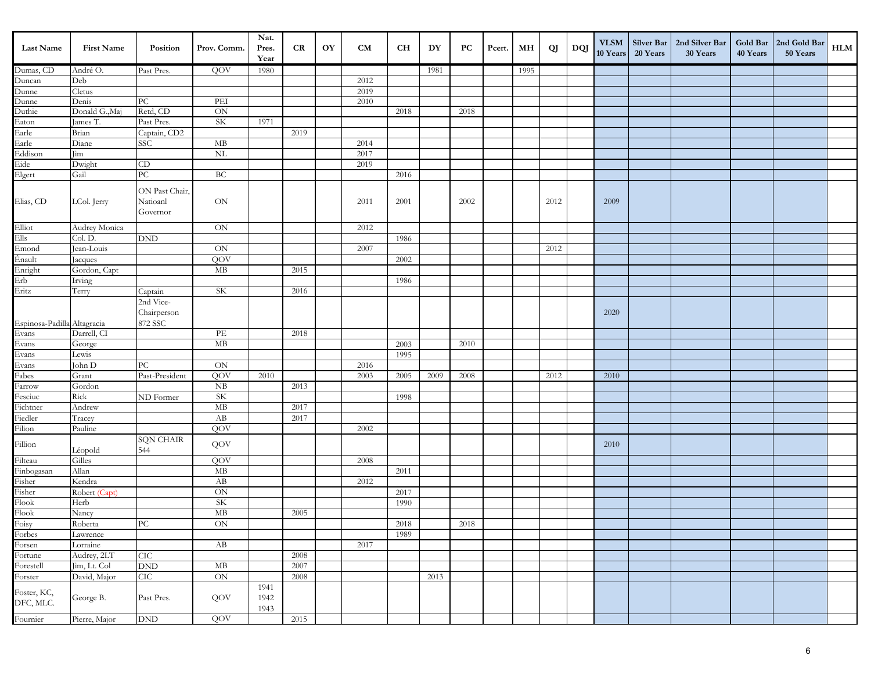| Last Name                         | <b>First Name</b> | Position                               | Prov. Comm.   | Nat.<br>Pres.<br>Year | CR   | OY | CM   | <b>CH</b> | DY   | PC   | Pcert. | MН   | QJ   | DQJ | <b>VLSM</b><br>10 Years | Silver Bar<br>20 Years | 2nd Silver Bar<br>30 Years | 40 Years | Gold Bar   2nd Gold Bar<br>50 Years | HLM |
|-----------------------------------|-------------------|----------------------------------------|---------------|-----------------------|------|----|------|-----------|------|------|--------|------|------|-----|-------------------------|------------------------|----------------------------|----------|-------------------------------------|-----|
| Dumas, CD                         | André O.          | Past Pres.                             | QOV           | 1980                  |      |    |      |           | 1981 |      |        | 1995 |      |     |                         |                        |                            |          |                                     |     |
| Duncan                            | Deb               |                                        |               |                       |      |    | 2012 |           |      |      |        |      |      |     |                         |                        |                            |          |                                     |     |
| Dunne                             | Cletus            |                                        |               |                       |      |    | 2019 |           |      |      |        |      |      |     |                         |                        |                            |          |                                     |     |
| Dunne<br>Duthie                   | Denis             | PC                                     | PEI           |                       |      |    | 2010 |           |      |      |        |      |      |     |                         |                        |                            |          |                                     |     |
|                                   | Donald G., Maj    | Retd, CD                               | $\mbox{ON}$   |                       |      |    |      | 2018      |      | 2018 |        |      |      |     |                         |                        |                            |          |                                     |     |
| Eaton<br>Earle                    | James T.          | Past Pres.                             | <b>SK</b>     | 1971                  |      |    |      |           |      |      |        |      |      |     |                         |                        |                            |          |                                     |     |
|                                   | Brian             | Captain, CD2                           |               |                       | 2019 |    |      |           |      |      |        |      |      |     |                         |                        |                            |          |                                     |     |
| Earle<br>Eddison                  | Diane             | <b>SSC</b>                             | $\mathbf{MB}$ |                       |      |    | 2014 |           |      |      |        |      |      |     |                         |                        |                            |          |                                     |     |
|                                   | Jim               |                                        | $\rm NL$      |                       |      |    | 2017 |           |      |      |        |      |      |     |                         |                        |                            |          |                                     |     |
| Eide                              | Dwight            | $\mathop{\mathrm{CD}}$                 |               |                       |      |    | 2019 |           |      |      |        |      |      |     |                         |                        |                            |          |                                     |     |
| Elgert                            | Gail              | ${\rm P}{\bf C}$                       | BC            |                       |      |    |      | 2016      |      |      |        |      |      |     |                         |                        |                            |          |                                     |     |
| Elias, CD                         | LCol. Jerry       | ON Past Chair,<br>Natioanl<br>Governor | $\rm ON$      |                       |      |    | 2011 | 2001      |      | 2002 |        |      | 2012 |     | 2009                    |                        |                            |          |                                     |     |
|                                   | Audrey Monica     |                                        | $\rm ON$      |                       |      |    | 2012 |           |      |      |        |      |      |     |                         |                        |                            |          |                                     |     |
| Elliot<br>Ells                    | Col. D.           | <b>DND</b>                             |               |                       |      |    |      | 1986      |      |      |        |      |      |     |                         |                        |                            |          |                                     |     |
| Emond<br>Énault                   | Jean-Louis        |                                        | ON            |                       |      |    | 2007 |           |      |      |        |      | 2012 |     |                         |                        |                            |          |                                     |     |
|                                   | Jacques           |                                        | QOV           |                       |      |    |      | 2002      |      |      |        |      |      |     |                         |                        |                            |          |                                     |     |
| Enright                           | Gordon, Capt      |                                        | $\rm MB$      |                       | 2015 |    |      |           |      |      |        |      |      |     |                         |                        |                            |          |                                     |     |
| Erb<br>Eritz                      | Irving            |                                        |               |                       |      |    |      | 1986      |      |      |        |      |      |     |                         |                        |                            |          |                                     |     |
|                                   | Terry             | Captain                                | SK            |                       | 2016 |    |      |           |      |      |        |      |      |     |                         |                        |                            |          |                                     |     |
| Espinosa-Padilla Altagracia       |                   | 2nd Vice-<br>Chairperson<br>872 SSC    |               |                       |      |    |      |           |      |      |        |      |      |     | 2020                    |                        |                            |          |                                     |     |
| Evans                             | Darrell, CI       |                                        | PE            |                       | 2018 |    |      |           |      |      |        |      |      |     |                         |                        |                            |          |                                     |     |
| Evans                             | George            |                                        | $\rm MB$      |                       |      |    |      | 2003      |      | 2010 |        |      |      |     |                         |                        |                            |          |                                     |     |
| Evans<br>Evans<br>Fabes           | Lewis             |                                        |               |                       |      |    |      | 1995      |      |      |        |      |      |     |                         |                        |                            |          |                                     |     |
|                                   | John D            | ${\rm P}{\bf C}$                       | $\mbox{ON}$   |                       |      |    | 2016 |           |      |      |        |      |      |     |                         |                        |                            |          |                                     |     |
|                                   | Grant             | Past-President                         | QOV           | 2010                  |      |    | 2003 | 2005      | 2009 | 2008 |        |      | 2012 |     | 2010                    |                        |                            |          |                                     |     |
| Farrow                            | Gordon            |                                        | ${\rm NB}$    |                       | 2013 |    |      |           |      |      |        |      |      |     |                         |                        |                            |          |                                     |     |
| Fesciuc                           | Rick              | ND Former                              | SK            |                       |      |    |      | 1998      |      |      |        |      |      |     |                         |                        |                            |          |                                     |     |
| Fichtner                          | Andrew            |                                        | $\rm MB$      |                       | 2017 |    |      |           |      |      |        |      |      |     |                         |                        |                            |          |                                     |     |
| Fiedler                           | Tracey            |                                        | AB            |                       | 2017 |    |      |           |      |      |        |      |      |     |                         |                        |                            |          |                                     |     |
| Filion                            | Pauline           |                                        | QOV           |                       |      |    | 2002 |           |      |      |        |      |      |     |                         |                        |                            |          |                                     |     |
| $\operatorname{Fillion}$          | Léopold           | <b>SQN CHAIR</b><br>544                | QOV           |                       |      |    |      |           |      |      |        |      |      |     | 2010                    |                        |                            |          |                                     |     |
| Filteau                           | Gilles            |                                        | QOV           |                       |      |    | 2008 |           |      |      |        |      |      |     |                         |                        |                            |          |                                     |     |
| Finbogasan<br>Fisher              | Allan             |                                        | $\rm MB$      |                       |      |    |      | 2011      |      |      |        |      |      |     |                         |                        |                            |          |                                     |     |
|                                   | Kendra            |                                        | AB            |                       |      |    | 2012 |           |      |      |        |      |      |     |                         |                        |                            |          |                                     |     |
| Fisher<br>Flook                   | Robert (Capt)     |                                        | $\mbox{ON}$   |                       |      |    |      | 2017      |      |      |        |      |      |     |                         |                        |                            |          |                                     |     |
|                                   | Herb              |                                        | SK            |                       |      |    |      | 1990      |      |      |        |      |      |     |                         |                        |                            |          |                                     |     |
|                                   | Nancy             |                                        | $\rm MB$      |                       | 2005 |    |      |           |      |      |        |      |      |     |                         |                        |                            |          |                                     |     |
| Flook<br>Flook<br>Foisy<br>Forbes | Roberta           | PC                                     | ON            |                       |      |    |      | 2018      |      | 2018 |        |      |      |     |                         |                        |                            |          |                                     |     |
|                                   | Lawrence          |                                        |               |                       |      |    |      | 1989      |      |      |        |      |      |     |                         |                        |                            |          |                                     |     |
| Forsen<br>Fortune                 | Lorraine          |                                        | $\rm AB$      |                       |      |    | 2017 |           |      |      |        |      |      |     |                         |                        |                            |          |                                     |     |
|                                   | Audrey, 2LT       | <b>CIC</b>                             |               |                       | 2008 |    |      |           |      |      |        |      |      |     |                         |                        |                            |          |                                     |     |
| Forestell                         | Jim, Lt. Col      | <b>DND</b>                             | $\rm MB$      |                       | 2007 |    |      |           |      |      |        |      |      |     |                         |                        |                            |          |                                     |     |
| Forster                           | David, Major      | CIC                                    | ON            |                       | 2008 |    |      |           | 2013 |      |        |      |      |     |                         |                        |                            |          |                                     |     |
| Foster, KC,<br>DFC, MLC.          | George B.         | Past Pres.                             | QOV           | 1941<br>1942<br>1943  |      |    |      |           |      |      |        |      |      |     |                         |                        |                            |          |                                     |     |
| Fournier                          | Pierre, Major     | $\operatorname{DND}$                   | QOV           |                       | 2015 |    |      |           |      |      |        |      |      |     |                         |                        |                            |          |                                     |     |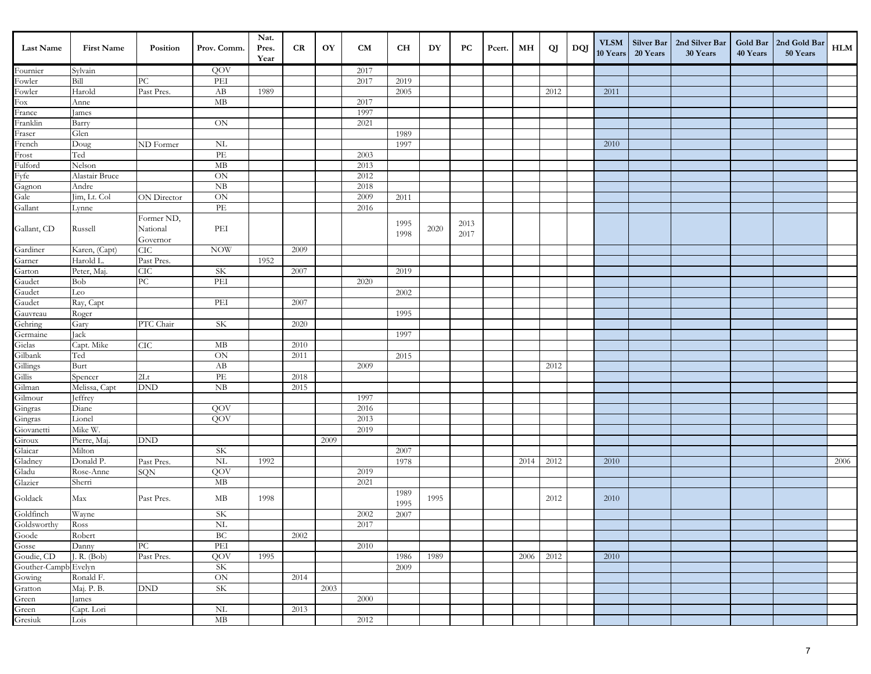| Last Name                         | <b>First Name</b> | Position         | Prov. Comm.            | Nat.<br>Pres.<br>Year | CR   | OY   | CM   | <b>CH</b>    | DY   | PC   | Pcert. | MН   | QJ   | DQJ | <b>VLSM</b><br>10 Years | 20 Years | Silver Bar   2nd Silver Bar<br>30 Years | 40 Years | Gold Bar   2nd Gold Bar<br>50 Years | HLM  |
|-----------------------------------|-------------------|------------------|------------------------|-----------------------|------|------|------|--------------|------|------|--------|------|------|-----|-------------------------|----------|-----------------------------------------|----------|-------------------------------------|------|
| Fournier                          | Sylvain           |                  | QOV                    |                       |      |      | 2017 |              |      |      |        |      |      |     |                         |          |                                         |          |                                     |      |
| Fowler                            | Bill              | ${\rm P}{\bf C}$ | PEI                    |                       |      |      | 2017 | 2019         |      |      |        |      |      |     |                         |          |                                         |          |                                     |      |
| Fowler                            | Harold            | Past Pres.       | AB                     | 1989                  |      |      |      | 2005         |      |      |        |      | 2012 |     | 2011                    |          |                                         |          |                                     |      |
| Fox<br>France                     | Anne              |                  | MB                     |                       |      |      | 2017 |              |      |      |        |      |      |     |                         |          |                                         |          |                                     |      |
|                                   | ames              |                  |                        |                       |      |      | 1997 |              |      |      |        |      |      |     |                         |          |                                         |          |                                     |      |
| Franklin                          | Barry             |                  | $\rm ON$               |                       |      |      | 2021 |              |      |      |        |      |      |     |                         |          |                                         |          |                                     |      |
| Fraser<br>French                  | Glen              |                  |                        |                       |      |      |      | 1989         |      |      |        |      |      |     |                         |          |                                         |          |                                     |      |
|                                   | Doug              | ND Former        | NL                     |                       |      |      |      | 1997         |      |      |        |      |      |     | 2010                    |          |                                         |          |                                     |      |
| Frost                             | Ted               |                  | PE                     |                       |      |      | 2003 |              |      |      |        |      |      |     |                         |          |                                         |          |                                     |      |
| Fulford                           | Nelson            |                  | MB                     |                       |      |      | 2013 |              |      |      |        |      |      |     |                         |          |                                         |          |                                     |      |
| Fyfe<br>Gagnon                    | Alastair Bruce    |                  | $\mbox{ON}$            |                       |      |      | 2012 |              |      |      |        |      |      |     |                         |          |                                         |          |                                     |      |
|                                   | Andre             |                  | NB                     |                       |      |      | 2018 |              |      |      |        |      |      |     |                         |          |                                         |          |                                     |      |
| Gale                              | Jim, Lt. Col      | ON Director      | ON                     |                       |      |      | 2009 | 2011         |      |      |        |      |      |     |                         |          |                                         |          |                                     |      |
| Gallant                           | Lynne             |                  | PE                     |                       |      |      | 2016 |              |      |      |        |      |      |     |                         |          |                                         |          |                                     |      |
|                                   |                   | Former ND,       |                        |                       |      |      |      | 1995         |      | 2013 |        |      |      |     |                         |          |                                         |          |                                     |      |
| Gallant, CD                       | Russell           | National         | PEI                    |                       |      |      |      | 1998         | 2020 | 2017 |        |      |      |     |                         |          |                                         |          |                                     |      |
|                                   |                   | Governor         |                        |                       |      |      |      |              |      |      |        |      |      |     |                         |          |                                         |          |                                     |      |
| Gardiner                          | Karen, (Capt)     | CIC              | <b>NOW</b>             |                       | 2009 |      |      |              |      |      |        |      |      |     |                         |          |                                         |          |                                     |      |
| Garner                            | Harold L.         | Past Pres.       |                        | 1952                  |      |      |      |              |      |      |        |      |      |     |                         |          |                                         |          |                                     |      |
| Garton                            | Peter, Maj.       | CIC              | <b>SK</b>              |                       | 2007 |      |      | 2019         |      |      |        |      |      |     |                         |          |                                         |          |                                     |      |
| Gaudet                            | Bob               | ${\rm P}{\bf C}$ | PEI                    |                       |      |      | 2020 |              |      |      |        |      |      |     |                         |          |                                         |          |                                     |      |
| Gaudet                            | Leo               |                  |                        |                       |      |      |      | 2002         |      |      |        |      |      |     |                         |          |                                         |          |                                     |      |
| Gaudet                            | Ray, Capt         |                  | $\operatorname{PEI}$   |                       | 2007 |      |      |              |      |      |        |      |      |     |                         |          |                                         |          |                                     |      |
| Gauvreau                          | Roger             |                  |                        |                       |      |      |      | 1995         |      |      |        |      |      |     |                         |          |                                         |          |                                     |      |
| Gehring                           | Gary              | PTC Chair        | $\rm SK$               |                       | 2020 |      |      |              |      |      |        |      |      |     |                         |          |                                         |          |                                     |      |
| Germaine                          | Jack              |                  |                        |                       |      |      |      | 1997         |      |      |        |      |      |     |                         |          |                                         |          |                                     |      |
| Gielas                            | Capt. Mike        | <b>CIC</b>       | $\rm MB$               |                       | 2010 |      |      |              |      |      |        |      |      |     |                         |          |                                         |          |                                     |      |
| Gilbank                           | Ted               |                  | $\mbox{ON}$            |                       | 2011 |      |      | 2015         |      |      |        |      |      |     |                         |          |                                         |          |                                     |      |
| Gillings<br>Gillis                | Burt              |                  | AB                     |                       |      |      | 2009 |              |      |      |        |      | 2012 |     |                         |          |                                         |          |                                     |      |
|                                   | Spencer           | 2Lt              | PE                     |                       | 2018 |      |      |              |      |      |        |      |      |     |                         |          |                                         |          |                                     |      |
| Gilman<br>Gilmour                 | Melissa, Capt     | <b>DND</b>       | $\mathrm{N}\mathrm{B}$ |                       | 2015 |      | 1997 |              |      |      |        |      |      |     |                         |          |                                         |          |                                     |      |
|                                   | Jeffrey<br>Diane  |                  | QOV                    |                       |      |      | 2016 |              |      |      |        |      |      |     |                         |          |                                         |          |                                     |      |
| Gingras                           | Lionel            |                  | QOV                    |                       |      |      | 2013 |              |      |      |        |      |      |     |                         |          |                                         |          |                                     |      |
| Gingras<br>Giovanetti             | Mike W.           |                  |                        |                       |      |      | 2019 |              |      |      |        |      |      |     |                         |          |                                         |          |                                     |      |
| Giroux                            | Pierre, Maj.      | <b>DND</b>       |                        |                       |      | 2009 |      |              |      |      |        |      |      |     |                         |          |                                         |          |                                     |      |
| Glaicar                           | Milton            |                  | SK                     |                       |      |      |      | 2007         |      |      |        |      |      |     |                         |          |                                         |          |                                     |      |
| Gladney                           | Donald P.         | Past Pres.       | $\rm NL$               | 1992                  |      |      |      | 1978         |      |      |        | 2014 | 2012 |     | 2010                    |          |                                         |          |                                     | 2006 |
| Gladu                             | Rose-Anne         | SQN              | QOV                    |                       |      |      | 2019 |              |      |      |        |      |      |     |                         |          |                                         |          |                                     |      |
| Glazier                           | Sherri            |                  | $\rm MB$               |                       |      |      | 2021 |              |      |      |        |      |      |     |                         |          |                                         |          |                                     |      |
| Goldack                           | Max               | Past Pres.       | $\rm MB$               | 1998                  |      |      |      | 1989<br>1995 | 1995 |      |        |      | 2012 |     | 2010                    |          |                                         |          |                                     |      |
|                                   | Wayne             |                  | SK                     |                       |      |      | 2002 | 2007         |      |      |        |      |      |     |                         |          |                                         |          |                                     |      |
| Goldfinch<br>Goldsworthy<br>Goode | ROSS              |                  | $\rm NL$               |                       |      |      | 2017 |              |      |      |        |      |      |     |                         |          |                                         |          |                                     |      |
|                                   | Robert            |                  | BC                     |                       | 2002 |      |      |              |      |      |        |      |      |     |                         |          |                                         |          |                                     |      |
|                                   | Danny             | $\rm{PC}$        | $\operatorname{PEI}$   |                       |      |      | 2010 |              |      |      |        |      |      |     |                         |          |                                         |          |                                     |      |
| Gosse<br>Goudie, CD               | J. R. (Bob)       | Past Pres.       | QOV                    | 1995                  |      |      |      | 1986         | 1989 |      |        | 2006 | 2012 |     | 2010                    |          |                                         |          |                                     |      |
| Gouther-Campb Evelyn              |                   |                  | $\rm SK$               |                       |      |      |      | $2009\,$     |      |      |        |      |      |     |                         |          |                                         |          |                                     |      |
|                                   | Ronald F.         |                  | ON                     |                       | 2014 |      |      |              |      |      |        |      |      |     |                         |          |                                         |          |                                     |      |
| Gowing<br>Gratton                 | Maj. P. B.        | <b>DND</b>       | $S\mathrm{K}$          |                       |      | 2003 |      |              |      |      |        |      |      |     |                         |          |                                         |          |                                     |      |
|                                   | James             |                  |                        |                       |      |      | 2000 |              |      |      |        |      |      |     |                         |          |                                         |          |                                     |      |
| Green<br>Green                    | Capt. Lori        |                  | NL                     |                       | 2013 |      |      |              |      |      |        |      |      |     |                         |          |                                         |          |                                     |      |
| Gresiuk                           | Lois              |                  | $\mathbf{MB}$          |                       |      |      | 2012 |              |      |      |        |      |      |     |                         |          |                                         |          |                                     |      |
|                                   |                   |                  |                        |                       |      |      |      |              |      |      |        |      |      |     |                         |          |                                         |          |                                     |      |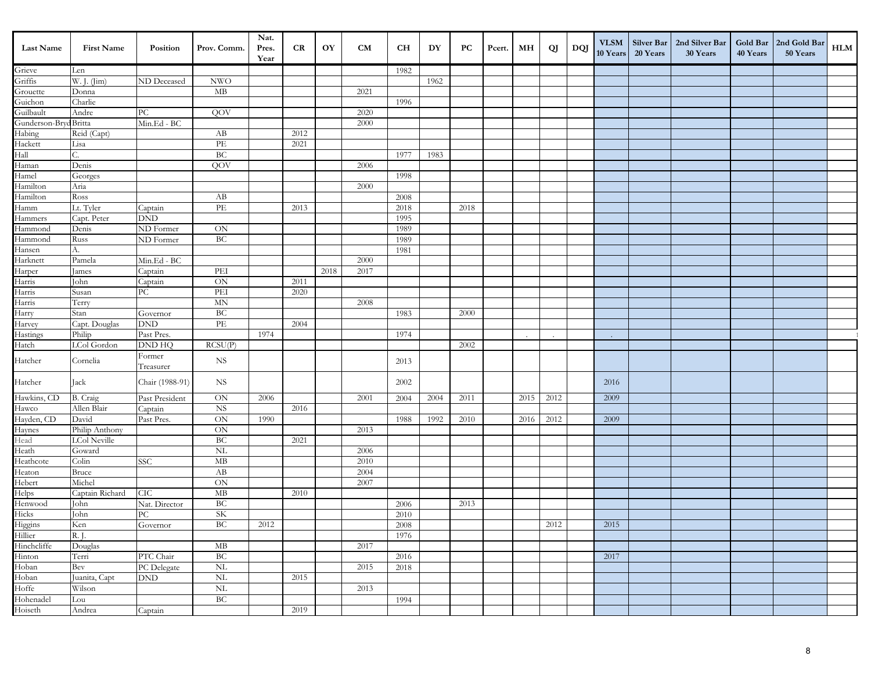| <b>Last Name</b>            | <b>First Name</b>                     | Position                    | Prov. Comm.                           | Nat.<br>Pres.<br>Year | <b>CR</b> | OY   | <b>CM</b> | CH   | DY   | PС   | Pcert. | MН   | QJ   | DQJ | <b>VLSM</b><br>10 Years | Silver Bar<br>20 Years | 2nd Silver Bar<br>30 Years | 40 Years | Gold Bar   2nd Gold Bar<br>50 Years | <b>HLM</b> |
|-----------------------------|---------------------------------------|-----------------------------|---------------------------------------|-----------------------|-----------|------|-----------|------|------|------|--------|------|------|-----|-------------------------|------------------------|----------------------------|----------|-------------------------------------|------------|
| Grieve                      | Len                                   |                             |                                       |                       |           |      |           | 1982 |      |      |        |      |      |     |                         |                        |                            |          |                                     |            |
| Griffis                     | W. J. (Jim)                           | ND Deceased                 | <b>NWO</b>                            |                       |           |      |           |      | 1962 |      |        |      |      |     |                         |                        |                            |          |                                     |            |
| Grouette                    | Donna                                 |                             | MB                                    |                       |           |      | 2021      |      |      |      |        |      |      |     |                         |                        |                            |          |                                     |            |
| Guichon                     | Charlie                               |                             |                                       |                       |           |      |           | 1996 |      |      |        |      |      |     |                         |                        |                            |          |                                     |            |
| Guilbault                   | Andre                                 | РC                          | QOV                                   |                       |           |      | 2020      |      |      |      |        |      |      |     |                         |                        |                            |          |                                     |            |
| Gunderson-Bryd Britta       |                                       | Min.Ed - BC                 |                                       |                       |           |      | 2000      |      |      |      |        |      |      |     |                         |                        |                            |          |                                     |            |
| Habing                      | Reid (Capt)                           |                             | AB                                    |                       | 2012      |      |           |      |      |      |        |      |      |     |                         |                        |                            |          |                                     |            |
| Hackett                     | Lisa                                  |                             | PE                                    |                       | 2021      |      |           |      |      |      |        |      |      |     |                         |                        |                            |          |                                     |            |
| Hall                        |                                       |                             | BC                                    |                       |           |      |           | 1977 | 1983 |      |        |      |      |     |                         |                        |                            |          |                                     |            |
| Haman                       | Denis                                 |                             | QOV                                   |                       |           |      | 2006      |      |      |      |        |      |      |     |                         |                        |                            |          |                                     |            |
| Hamel                       | Georges                               |                             |                                       |                       |           |      |           | 1998 |      |      |        |      |      |     |                         |                        |                            |          |                                     |            |
| Hamilton                    | Aria                                  |                             |                                       |                       |           |      | 2000      |      |      |      |        |      |      |     |                         |                        |                            |          |                                     |            |
| Hamilton                    | Ross                                  |                             | AB                                    |                       |           |      |           | 2008 |      |      |        |      |      |     |                         |                        |                            |          |                                     |            |
| Hamm                        | Lt. Tyler                             | Captain                     | $\ensuremath{\mathop{\text{\rm PE}}}$ |                       | 2013      |      |           | 2018 |      | 2018 |        |      |      |     |                         |                        |                            |          |                                     |            |
| Hammers                     | Capt. Peter                           | <b>DND</b>                  |                                       |                       |           |      |           | 1995 |      |      |        |      |      |     |                         |                        |                            |          |                                     |            |
| Hammond                     | Denis                                 | ND Former                   | ON                                    |                       |           |      |           | 1989 |      |      |        |      |      |     |                         |                        |                            |          |                                     |            |
| Hammond                     | Russ                                  | ND Former                   | BC                                    |                       |           |      |           | 1989 |      |      |        |      |      |     |                         |                        |                            |          |                                     |            |
| Hansen                      | А.                                    |                             |                                       |                       |           |      |           | 1981 |      |      |        |      |      |     |                         |                        |                            |          |                                     |            |
| Harknett                    | Pamela                                | Min.Ed - BC                 |                                       |                       |           |      | 2000      |      |      |      |        |      |      |     |                         |                        |                            |          |                                     |            |
| Harper                      | James                                 | Captain                     | PEI                                   |                       |           | 2018 | 2017      |      |      |      |        |      |      |     |                         |                        |                            |          |                                     |            |
| Harris                      | John                                  | Captain                     | <b>ON</b>                             |                       | 2011      |      |           |      |      |      |        |      |      |     |                         |                        |                            |          |                                     |            |
| Harris                      | Susan                                 | $\rm{PC}$                   | PEI                                   |                       | 2020      |      |           |      |      |      |        |      |      |     |                         |                        |                            |          |                                     |            |
| Harris                      | Terry                                 |                             | <b>MN</b>                             |                       |           |      | 2008      |      |      |      |        |      |      |     |                         |                        |                            |          |                                     |            |
| Harry<br>Harvey             | Stan                                  | Governor<br><b>DND</b>      | BC<br>$\overline{\text{PE}}$          |                       |           |      |           | 1983 |      | 2000 |        |      |      |     |                         |                        |                            |          |                                     |            |
| Hastings                    | Capt. Douglas<br>Philip               | Past Pres.                  |                                       | 1974                  | 2004      |      |           | 1974 |      |      |        |      |      |     |                         |                        |                            |          |                                     |            |
| Hatch                       | LCol Gordon                           | <b>DND HQ</b>               | RCSU(P)                               |                       |           |      |           |      |      | 2002 |        |      |      |     | $\sim$                  |                        |                            |          |                                     |            |
|                             |                                       | Former                      |                                       |                       |           |      |           |      |      |      |        |      |      |     |                         |                        |                            |          |                                     |            |
| Hatcher                     | Cornelia                              | Treasurer                   | <b>NS</b>                             |                       |           |      |           | 2013 |      |      |        |      |      |     |                         |                        |                            |          |                                     |            |
| Hatcher                     | Jack                                  | Chair (1988-91)             | <b>NS</b>                             |                       |           |      |           | 2002 |      |      |        |      |      |     | 2016                    |                        |                            |          |                                     |            |
| Hawkins, CD                 | B. Craig                              | Past President              | ON                                    | 2006                  |           |      | 2001      | 2004 | 2004 | 2011 |        | 2015 | 2012 |     | 2009                    |                        |                            |          |                                     |            |
| Hawco                       | Allen Blair                           | Captain                     | $_{\rm NS}$                           |                       | 2016      |      |           |      |      |      |        |      |      |     |                         |                        |                            |          |                                     |            |
| Hayden, CD<br>Haynes        | David                                 | Past Pres.                  | $\rm ON$                              | 1990                  |           |      |           | 1988 | 1992 | 2010 |        | 2016 | 2012 |     | 2009                    |                        |                            |          |                                     |            |
| Head                        | Philip Anthony<br><b>LCol Neville</b> |                             | ON<br>BC                              |                       | 2021      |      | 2013      |      |      |      |        |      |      |     |                         |                        |                            |          |                                     |            |
| Heath                       | Goward                                |                             | <b>NL</b>                             |                       |           |      | 2006      |      |      |      |        |      |      |     |                         |                        |                            |          |                                     |            |
| Heathcote                   | Colin                                 | <b>SSC</b>                  | MB                                    |                       |           |      | 2010      |      |      |      |        |      |      |     |                         |                        |                            |          |                                     |            |
| Heaton                      | Bruce                                 |                             | AB                                    |                       |           |      | 2004      |      |      |      |        |      |      |     |                         |                        |                            |          |                                     |            |
| Hebert                      | Michel                                |                             | ON                                    |                       |           |      | 2007      |      |      |      |        |      |      |     |                         |                        |                            |          |                                     |            |
|                             | Captain Richard                       | CIC                         | MB                                    |                       | 2010      |      |           |      |      |      |        |      |      |     |                         |                        |                            |          |                                     |            |
| Helps<br>Henwood            | John                                  | Nat. Director               | <b>BC</b>                             |                       |           |      |           | 2006 |      | 2013 |        |      |      |     |                         |                        |                            |          |                                     |            |
|                             | John                                  | ${\rm P}{\bf C}$            | $\rm SK$                              |                       |           |      |           | 2010 |      |      |        |      |      |     |                         |                        |                            |          |                                     |            |
|                             | Ken                                   | Governor                    | BC                                    | 2012                  |           |      |           | 2008 |      |      |        |      | 2012 |     | 2015                    |                        |                            |          |                                     |            |
| Hicks<br>Higgins<br>Hillier | R. J.                                 |                             |                                       |                       |           |      |           | 1976 |      |      |        |      |      |     |                         |                        |                            |          |                                     |            |
| Hinchcliffe                 | Douglas                               |                             | $\rm MB$                              |                       |           |      | 2017      |      |      |      |        |      |      |     |                         |                        |                            |          |                                     |            |
| Hinton<br>Hoban             | Terri                                 | PTC Chair                   | BC                                    |                       |           |      |           | 2016 |      |      |        |      |      |     | 2017                    |                        |                            |          |                                     |            |
|                             | Bev                                   | PC Delegate                 | $\rm NL$                              |                       |           |      | 2015      | 2018 |      |      |        |      |      |     |                         |                        |                            |          |                                     |            |
| Hoban                       | Juanita, Capt                         | $\mathop{\rm DND}\nolimits$ | $\rm NL$                              |                       | 2015      |      |           |      |      |      |        |      |      |     |                         |                        |                            |          |                                     |            |
| Hoffe                       | Wilson                                |                             | NL                                    |                       |           |      | 2013      |      |      |      |        |      |      |     |                         |                        |                            |          |                                     |            |
|                             | Lou                                   |                             | BC                                    |                       |           |      |           | 1994 |      |      |        |      |      |     |                         |                        |                            |          |                                     |            |
| Hohenadel<br>Hoiseth        | Andrea                                | Captain                     |                                       |                       | 2019      |      |           |      |      |      |        |      |      |     |                         |                        |                            |          |                                     |            |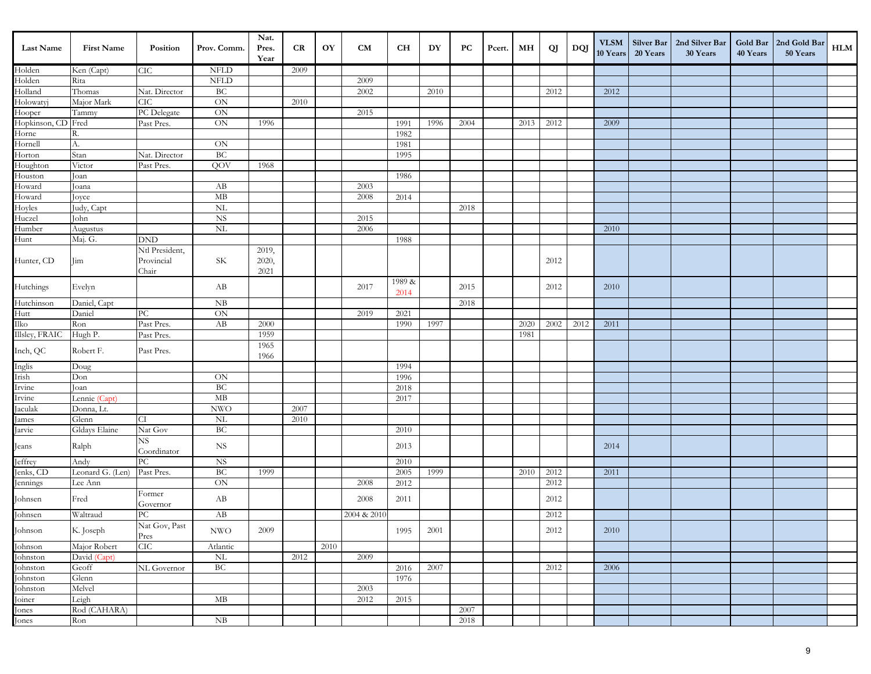| Last Name                      | <b>First Name</b>  | Position              | Prov. Comm.               | Nat.<br>Pres.<br>Year | CR   | OY   | <b>CM</b>    | CH             | DY   | PС   | Pcert. | MН   | QJ   | DQJ  | <b>VLSM</b><br>10 Years | Silver Bar<br>20 Years | 2nd Silver Bar<br>30 Years | Gold Bar<br>40 Years | 2nd Gold Bar<br>50 Years | <b>HLM</b> |
|--------------------------------|--------------------|-----------------------|---------------------------|-----------------------|------|------|--------------|----------------|------|------|--------|------|------|------|-------------------------|------------------------|----------------------------|----------------------|--------------------------|------------|
| Holden                         | Ken (Capt)         | CIC                   | <b>NFLD</b>               |                       | 2009 |      |              |                |      |      |        |      |      |      |                         |                        |                            |                      |                          |            |
| Holden                         | Rita               |                       | <b>NFLD</b>               |                       |      |      | 2009         |                |      |      |        |      |      |      |                         |                        |                            |                      |                          |            |
| Holland                        | Thomas             | Nat. Director         | BC                        |                       |      |      | 2002         |                | 2010 |      |        |      | 2012 |      | 2012                    |                        |                            |                      |                          |            |
| Holowatyj                      | Major Mark         | CIC                   | ON                        |                       | 2010 |      |              |                |      |      |        |      |      |      |                         |                        |                            |                      |                          |            |
| Hooper                         | Tammy              | PC Delegate           | ON                        |                       |      |      | 2015         |                |      |      |        |      |      |      |                         |                        |                            |                      |                          |            |
| Hopkinson, CD Fred<br>Horne R. |                    | Past Pres.            | ON                        | 1996                  |      |      |              | 1991           | 1996 | 2004 |        | 2013 | 2012 |      | 2009                    |                        |                            |                      |                          |            |
|                                |                    |                       |                           |                       |      |      |              | 1982           |      |      |        |      |      |      |                         |                        |                            |                      |                          |            |
| Hornell                        | A.                 |                       | <b>ON</b>                 |                       |      |      |              | 1981           |      |      |        |      |      |      |                         |                        |                            |                      |                          |            |
| Horton                         | Stan               | Nat. Director         | BC                        |                       |      |      |              | 1995           |      |      |        |      |      |      |                         |                        |                            |                      |                          |            |
| Houghton                       | Victor             | Past Pres.            | QOV                       | 1968                  |      |      |              |                |      |      |        |      |      |      |                         |                        |                            |                      |                          |            |
| Houston<br>Howard              | Joan               |                       |                           |                       |      |      |              | 1986           |      |      |        |      |      |      |                         |                        |                            |                      |                          |            |
| Howard                         | Joana              |                       | AB<br>MB                  |                       |      |      | 2003<br>2008 |                |      |      |        |      |      |      |                         |                        |                            |                      |                          |            |
| Hoyles                         | Joyce              |                       | <b>NL</b>                 |                       |      |      |              | 2014           |      | 2018 |        |      |      |      |                         |                        |                            |                      |                          |            |
| Huczel                         | Judy, Capt<br>John |                       | <b>NS</b>                 |                       |      |      | 2015         |                |      |      |        |      |      |      |                         |                        |                            |                      |                          |            |
| Humber                         | Augustus           |                       | $\overline{\text{NL}}$    |                       |      |      | 2006         |                |      |      |        |      |      |      | 2010                    |                        |                            |                      |                          |            |
| Hunt                           | Maj. G.            | <b>DND</b>            |                           |                       |      |      |              | 1988           |      |      |        |      |      |      |                         |                        |                            |                      |                          |            |
|                                |                    | Ntl President,        |                           | 2019,                 |      |      |              |                |      |      |        |      |      |      |                         |                        |                            |                      |                          |            |
| Hunter, CD                     | Jim                | Provincial            | SK                        | 2020,                 |      |      |              |                |      |      |        |      | 2012 |      |                         |                        |                            |                      |                          |            |
|                                |                    | Chair                 |                           | 2021                  |      |      |              |                |      |      |        |      |      |      |                         |                        |                            |                      |                          |            |
| Hutchings                      | Evelyn             |                       | AB                        |                       |      |      | 2017         | 1989 &<br>2014 |      | 2015 |        |      | 2012 |      | 2010                    |                        |                            |                      |                          |            |
| Hutchinson                     | Daniel, Capt       |                       | NB                        |                       |      |      |              |                |      | 2018 |        |      |      |      |                         |                        |                            |                      |                          |            |
| Hutt                           | Daniel             | PC                    | ON                        |                       |      |      | 2019         | 2021           |      |      |        |      |      |      |                         |                        |                            |                      |                          |            |
| Ilko                           | Ron                | Past Pres.            | AB                        | 2000                  |      |      |              | 1990           | 1997 |      |        | 2020 | 2002 | 2012 | 2011                    |                        |                            |                      |                          |            |
| Illsley, FRAIC                 | Hugh P.            | Past Pres.            |                           | 1959                  |      |      |              |                |      |      |        | 1981 |      |      |                         |                        |                            |                      |                          |            |
| Inch, QC                       | Robert F.          | Past Pres.            |                           | 1965<br>1966          |      |      |              |                |      |      |        |      |      |      |                         |                        |                            |                      |                          |            |
|                                | Doug               |                       |                           |                       |      |      |              | 1994           |      |      |        |      |      |      |                         |                        |                            |                      |                          |            |
| Inglis<br>Irish                | Don                |                       | ON                        |                       |      |      |              | 1996           |      |      |        |      |      |      |                         |                        |                            |                      |                          |            |
| Irvine<br>Irvine               | Joan               |                       | BC                        |                       |      |      |              | 2018           |      |      |        |      |      |      |                         |                        |                            |                      |                          |            |
|                                | Lennie (Capt)      |                       | MB                        |                       |      |      |              | 2017           |      |      |        |      |      |      |                         |                        |                            |                      |                          |            |
| Jaculak                        | Donna, Lt.         |                       | $\ensuremath{\text{NWO}}$ |                       | 2007 |      |              |                |      |      |        |      |      |      |                         |                        |                            |                      |                          |            |
| James                          | Glenn              | CI                    | $\rm NL$                  |                       | 2010 |      |              |                |      |      |        |      |      |      |                         |                        |                            |                      |                          |            |
| Jarvie                         | Gldays Elaine      | Nat Gov               | BC                        |                       |      |      |              | 2010           |      |      |        |      |      |      |                         |                        |                            |                      |                          |            |
| Jeans                          | Ralph              | NS<br>Coordinator     | <b>NS</b>                 |                       |      |      |              | 2013           |      |      |        |      |      |      | 2014                    |                        |                            |                      |                          |            |
| Jeffrey                        | Andy               | ${\rm P}{\bf C}$      | <b>NS</b>                 |                       |      |      |              | 2010           |      |      |        |      |      |      |                         |                        |                            |                      |                          |            |
| Jenks, CD                      | Leonard G. (Len)   | Past Pres.            | BC                        | 1999                  |      |      |              | 2005           | 1999 |      |        | 2010 | 2012 |      | 2011                    |                        |                            |                      |                          |            |
| Jennings                       | Lee Ann            | Former                | ON                        |                       |      |      | 2008         | 2012           |      |      |        |      | 2012 |      |                         |                        |                            |                      |                          |            |
| Johnsen                        | Fred               | Governor              | AB                        |                       |      |      | 2008         | 2011           |      |      |        |      | 2012 |      |                         |                        |                            |                      |                          |            |
| Johnsen                        | Waltraud           | $\rm{PC}$             | AB                        |                       |      |      | 2004 & 2010  |                |      |      |        |      | 2012 |      |                         |                        |                            |                      |                          |            |
| Johnson                        | K. Joseph          | Nat Gov, Past<br>Pres | $\ensuremath{\text{NWO}}$ | 2009                  |      |      |              | 1995           | 2001 |      |        |      | 2012 |      | 2010                    |                        |                            |                      |                          |            |
| Johnson                        | Major Robert       | <b>CIC</b>            | Atlantic                  |                       |      | 2010 |              |                |      |      |        |      |      |      |                         |                        |                            |                      |                          |            |
| Johnston                       | David (Capt)       |                       | $\mbox{NL}$               |                       | 2012 |      | 2009         |                |      |      |        |      |      |      |                         |                        |                            |                      |                          |            |
| Johnston                       | Geoff              | NL Governor           | BC                        |                       |      |      |              | 2016           | 2007 |      |        |      | 2012 |      | 2006                    |                        |                            |                      |                          |            |
| Johnston                       | Glenn              |                       |                           |                       |      |      |              | 1976           |      |      |        |      |      |      |                         |                        |                            |                      |                          |            |
| .<br>Johnston                  | Melvel             |                       |                           |                       |      |      | 2003         |                |      |      |        |      |      |      |                         |                        |                            |                      |                          |            |
| .<br>Joiner                    | Leigh              |                       | MB                        |                       |      |      | 2012         | 2015           |      |      |        |      |      |      |                         |                        |                            |                      |                          |            |
| Jones<br>Jones                 | Rod (CAHARA)       |                       |                           |                       |      |      |              |                |      | 2007 |        |      |      |      |                         |                        |                            |                      |                          |            |
|                                | Ron                |                       | $\mathrm{N}\mathrm{B}$    |                       |      |      |              |                |      | 2018 |        |      |      |      |                         |                        |                            |                      |                          |            |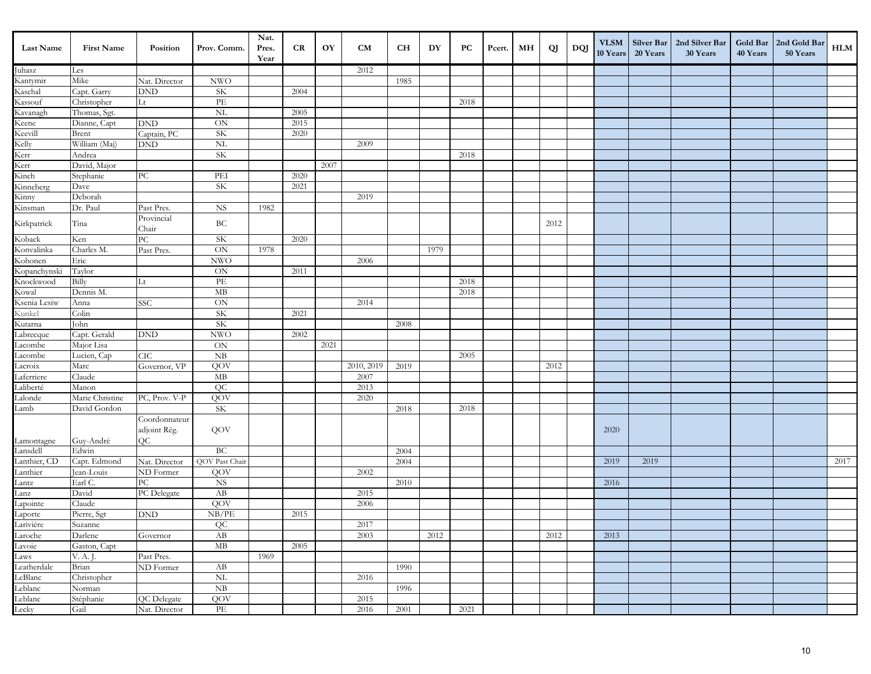| <b>Last Name</b>                       | <b>First Name</b> | Position                    | Prov. Comm.                | Nat.<br>Pres.<br>Year | <b>CR</b> | OY   | CM         | <b>CH</b> | DY   | PC   | Pcert. | MН | QJ   | DQJ | <b>VLSM</b><br>10 Years | 20 Years | Silver Bar   2nd Silver Bar<br>30 Years | 40 Years | Gold Bar   2nd Gold Bar<br>50 Years | HLM  |
|----------------------------------------|-------------------|-----------------------------|----------------------------|-----------------------|-----------|------|------------|-----------|------|------|--------|----|------|-----|-------------------------|----------|-----------------------------------------|----------|-------------------------------------|------|
| Juhasz                                 | Les               |                             |                            |                       |           |      | 2012       |           |      |      |        |    |      |     |                         |          |                                         |          |                                     |      |
| Kantymir                               | Mike              | Nat. Director               | <b>NWO</b>                 |                       |           |      |            | 1985      |      |      |        |    |      |     |                         |          |                                         |          |                                     |      |
| Kaschal                                | Capt. Garry       | DND                         | <b>SK</b>                  |                       | 2004      |      |            |           |      |      |        |    |      |     |                         |          |                                         |          |                                     |      |
| Kassouf                                | Christopher       | Lt                          | PE                         |                       |           |      |            |           |      | 2018 |        |    |      |     |                         |          |                                         |          |                                     |      |
| Kavanagh                               | Thomas, Sgt.      |                             | <b>NL</b>                  |                       | 2005      |      |            |           |      |      |        |    |      |     |                         |          |                                         |          |                                     |      |
| Keene<br>Keevill                       | Dianne, Capt      | $\mathop{\rm DND}\nolimits$ | $\mbox{ON}$                |                       | 2015      |      |            |           |      |      |        |    |      |     |                         |          |                                         |          |                                     |      |
|                                        | Brent             | Captain, PC                 | SK                         |                       | 2020      |      |            |           |      |      |        |    |      |     |                         |          |                                         |          |                                     |      |
| Kelly                                  | William (Maj)     | DND                         | $\rm NL$                   |                       |           |      | 2009       |           |      |      |        |    |      |     |                         |          |                                         |          |                                     |      |
| Kerr                                   | Andrea            |                             | $\rm SK$                   |                       |           |      |            |           |      | 2018 |        |    |      |     |                         |          |                                         |          |                                     |      |
| Kerr                                   | David, Major      |                             |                            |                       |           | 2007 |            |           |      |      |        |    |      |     |                         |          |                                         |          |                                     |      |
| Kinch                                  | Stephanie         | ${\rm P}{\bf C}$            | PEI                        |                       | 2020      |      |            |           |      |      |        |    |      |     |                         |          |                                         |          |                                     |      |
| Kinneberg                              | Dave              |                             | SK                         |                       | 2021      |      |            |           |      |      |        |    |      |     |                         |          |                                         |          |                                     |      |
| Kinny                                  | Deborah           |                             |                            |                       |           |      | 2019       |           |      |      |        |    |      |     |                         |          |                                         |          |                                     |      |
| Kinsman                                | Dr. Paul          | Past Pres.                  | <b>NS</b>                  | 1982                  |           |      |            |           |      |      |        |    |      |     |                         |          |                                         |          |                                     |      |
| Kirkpatrick                            | Tina              | Provincial<br>Chair         | $\operatorname{BC}$        |                       |           |      |            |           |      |      |        |    | 2012 |     |                         |          |                                         |          |                                     |      |
| Koback                                 | Ken               | ${\rm P}{\bf C}$            | SK                         |                       | 2020      |      |            |           |      |      |        |    |      |     |                         |          |                                         |          |                                     |      |
| Konvalinka                             | Charles M.        | Past Pres.                  | $\rm ON$                   | 1978                  |           |      |            |           | 1979 |      |        |    |      |     |                         |          |                                         |          |                                     |      |
| Kohonen                                | Eric              |                             | <b>NWO</b>                 |                       |           |      | 2006       |           |      |      |        |    |      |     |                         |          |                                         |          |                                     |      |
| Kopanchynski                           | Taylor            |                             | $\mbox{ON}$                |                       | 2011      |      |            |           |      |      |        |    |      |     |                         |          |                                         |          |                                     |      |
| Knockwood                              | Billy             | Lt                          | PE                         |                       |           |      |            |           |      | 2018 |        |    |      |     |                         |          |                                         |          |                                     |      |
| Kowal                                  | Dennis M.         |                             | MB                         |                       |           |      |            |           |      | 2018 |        |    |      |     |                         |          |                                         |          |                                     |      |
| Ksenia Lesiw                           | Anna              | <b>SSC</b>                  | ON                         |                       |           |      | 2014       |           |      |      |        |    |      |     |                         |          |                                         |          |                                     |      |
| Kunkel                                 | Colin             |                             | SK                         |                       | 2021      |      |            |           |      |      |        |    |      |     |                         |          |                                         |          |                                     |      |
| Kutarna                                | John              |                             | SK                         |                       |           |      |            | 2008      |      |      |        |    |      |     |                         |          |                                         |          |                                     |      |
| Labrecque                              | Capt. Gerald      | <b>DND</b>                  | $\ensuremath{\text{NWO}}$  |                       | 2002      |      |            |           |      |      |        |    |      |     |                         |          |                                         |          |                                     |      |
| Lacombe                                | Major Lisa        |                             | ON                         |                       |           | 2021 |            |           |      |      |        |    |      |     |                         |          |                                         |          |                                     |      |
| Lacombe                                | Lucien, Cap       | CIC                         | NB                         |                       |           |      |            |           |      | 2005 |        |    |      |     |                         |          |                                         |          |                                     |      |
| Lacroix                                | Marc              | Governor, VP                | QOV                        |                       |           |      | 2010, 2019 | 2019      |      |      |        |    | 2012 |     |                         |          |                                         |          |                                     |      |
| Laferriere                             | Claude            |                             | MB                         |                       |           |      | 2007       |           |      |      |        |    |      |     |                         |          |                                         |          |                                     |      |
| Laliberté                              | Manon             |                             | QC                         |                       |           |      | 2013       |           |      |      |        |    |      |     |                         |          |                                         |          |                                     |      |
| Lalonde                                | Marie Christine   | PC, Prov. V-P               | QOV                        |                       |           |      | 2020       |           |      |      |        |    |      |     |                         |          |                                         |          |                                     |      |
| Lamb                                   | David Gordon      |                             | <b>SK</b>                  |                       |           |      |            | 2018      |      | 2018 |        |    |      |     |                         |          |                                         |          |                                     |      |
|                                        |                   | Coordonnateur               |                            |                       |           |      |            |           |      |      |        |    |      |     |                         |          |                                         |          |                                     |      |
|                                        |                   | adjoint Rég.                | QOV                        |                       |           |      |            |           |      |      |        |    |      |     | 2020                    |          |                                         |          |                                     |      |
| Lamontagne                             | Guy-André         | QC                          |                            |                       |           |      |            |           |      |      |        |    |      |     |                         |          |                                         |          |                                     |      |
| Lansdell                               | Edwin             |                             | BC                         |                       |           |      |            | 2004      |      |      |        |    |      |     |                         |          |                                         |          |                                     |      |
| Lanthier, CD                           | Capt. Edmond      | Nat. Director               | QOV Past Chair             |                       |           |      |            | 2004      |      |      |        |    |      |     | 2019                    | 2019     |                                         |          |                                     | 2017 |
| Lanthier                               | Jean-Louis        | ND Former                   | QOV                        |                       |           |      | 2002       |           |      |      |        |    |      |     |                         |          |                                         |          |                                     |      |
| Lantz                                  | Earl C.           | PC                          | $_{\rm NS}$                |                       |           |      |            | 2010      |      |      |        |    |      |     | 2016                    |          |                                         |          |                                     |      |
| Lanz<br>Lapointe                       | David             | PC Delegate                 | AB                         |                       |           |      | 2015       |           |      |      |        |    |      |     |                         |          |                                         |          |                                     |      |
|                                        | Claude            |                             | QOV                        |                       |           |      | 2006       |           |      |      |        |    |      |     |                         |          |                                         |          |                                     |      |
| Laporte<br>Larivière<br>Laroche        | Pierre, Sgt       | DND                         | NB/PE                      |                       | 2015      |      |            |           |      |      |        |    |      |     |                         |          |                                         |          |                                     |      |
|                                        | Suzanne           |                             | QC                         |                       |           |      | 2017       |           |      |      |        |    |      |     |                         |          |                                         |          |                                     |      |
|                                        | Darlene           | Governor                    | $\rm AB$                   |                       |           |      | 2003       |           | 2012 |      |        |    | 2012 |     | 2013                    |          |                                         |          |                                     |      |
| Lavoie<br>Laws                         | Gaston, Capt      |                             | $\rm MB$                   |                       | 2005      |      |            |           |      |      |        |    |      |     |                         |          |                                         |          |                                     |      |
|                                        | V. A. J.          | Past Pres.                  |                            | 1969                  |           |      |            |           |      |      |        |    |      |     |                         |          |                                         |          |                                     |      |
| Leatherdale                            | Brian             | ND Former                   | AB                         |                       |           |      |            | 1990      |      |      |        |    |      |     |                         |          |                                         |          |                                     |      |
| LeBlanc<br>Leblanc<br>Leblanc<br>Lecky | Christopher       |                             | $\rm NL$                   |                       |           |      | 2016       |           |      |      |        |    |      |     |                         |          |                                         |          |                                     |      |
|                                        | Norman            |                             | NB                         |                       |           |      |            | 1996      |      |      |        |    |      |     |                         |          |                                         |          |                                     |      |
|                                        | Stéphanie         | QC Delegate                 | QOV                        |                       |           |      | 2015       |           |      |      |        |    |      |     |                         |          |                                         |          |                                     |      |
|                                        | Gail              | Nat. Director               | $\ensuremath{\mathit{PE}}$ |                       |           |      | 2016       | 2001      |      | 2021 |        |    |      |     |                         |          |                                         |          |                                     |      |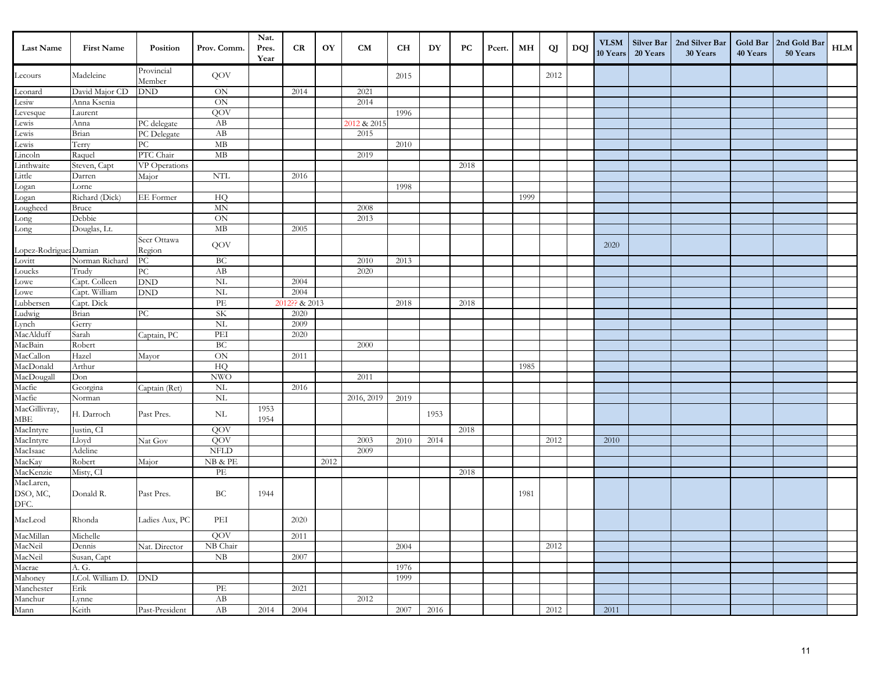| <b>Last Name</b>                                        | <b>First Name</b> | Position                    | Prov. Comm.                           | Nat.<br>Pres.<br>Year | <b>CR</b>     | OY   | CM          | <b>CH</b> | DY   | PC   | Pcert. | MН   | QJ   | DQJ | <b>VLSM</b><br>10 Years | 20 Years | Silver Bar   2nd Silver Bar<br>30 Years | 40 Years | Gold Bar   2nd Gold Bar<br>50 Years | ${\bf HLM}$ |
|---------------------------------------------------------|-------------------|-----------------------------|---------------------------------------|-----------------------|---------------|------|-------------|-----------|------|------|--------|------|------|-----|-------------------------|----------|-----------------------------------------|----------|-------------------------------------|-------------|
| Lecours                                                 | Madeleine         | Provincial<br>Member        | QOV                                   |                       |               |      |             | 2015      |      |      |        |      | 2012 |     |                         |          |                                         |          |                                     |             |
| Leonard                                                 | David Major CD    | DND                         | ON                                    |                       | 2014          |      | 2021        |           |      |      |        |      |      |     |                         |          |                                         |          |                                     |             |
| Lesiw                                                   | Anna Ksenia       |                             | ON                                    |                       |               |      | 2014        |           |      |      |        |      |      |     |                         |          |                                         |          |                                     |             |
| Levesque                                                | Laurent           |                             | QOV                                   |                       |               |      |             | 1996      |      |      |        |      |      |     |                         |          |                                         |          |                                     |             |
| Lewis                                                   | Anna              | PC delegate                 | AB                                    |                       |               |      | 2012 & 2015 |           |      |      |        |      |      |     |                         |          |                                         |          |                                     |             |
| Lewis                                                   | Brian             | PC Delegate                 | AB                                    |                       |               |      | 2015        |           |      |      |        |      |      |     |                         |          |                                         |          |                                     |             |
| Lewis                                                   | Terry             | PC                          | MB                                    |                       |               |      |             | 2010      |      |      |        |      |      |     |                         |          |                                         |          |                                     |             |
| Lincoln                                                 | Raquel            | PTC Chair                   | $\rm MB$                              |                       |               |      | 2019        |           |      |      |        |      |      |     |                         |          |                                         |          |                                     |             |
| Linthwaite                                              | Steven, Capt      | VP Operations               |                                       |                       |               |      |             |           |      | 2018 |        |      |      |     |                         |          |                                         |          |                                     |             |
| Little                                                  | Darren            | Major                       | <b>NTL</b>                            |                       | 2016          |      |             |           |      |      |        |      |      |     |                         |          |                                         |          |                                     |             |
| Logan                                                   | Lorne             |                             |                                       |                       |               |      |             | 1998      |      |      |        |      |      |     |                         |          |                                         |          |                                     |             |
| Logan                                                   | Richard (Dick)    | EE Former                   | HQ                                    |                       |               |      |             |           |      |      |        | 1999 |      |     |                         |          |                                         |          |                                     |             |
| Lougheed                                                | <b>Bruce</b>      |                             | $\mbox{MN}$                           |                       |               |      | 2008        |           |      |      |        |      |      |     |                         |          |                                         |          |                                     |             |
| Long                                                    | Debbie            |                             | $\mbox{ON}$                           |                       |               |      | 2013        |           |      |      |        |      |      |     |                         |          |                                         |          |                                     |             |
| Long                                                    | Douglas, Lt.      |                             | $\mathbf{MB}$                         |                       | 2005          |      |             |           |      |      |        |      |      |     |                         |          |                                         |          |                                     |             |
| Lopez-Rodrigue: Damian<br>Lovitt Norman<br>Loucks Trudy |                   | Secr Ottawa<br>Region       | QOV                                   |                       |               |      |             |           |      |      |        |      |      |     | 2020                    |          |                                         |          |                                     |             |
|                                                         | Norman Richard    | ${\rm P}{\bf C}$            | BC                                    |                       |               |      | 2010        | 2013      |      |      |        |      |      |     |                         |          |                                         |          |                                     |             |
|                                                         |                   | ${\rm P}{\bf C}$            | AB                                    |                       |               |      | 2020        |           |      |      |        |      |      |     |                         |          |                                         |          |                                     |             |
| Lowe                                                    | Capt. Colleen     | <b>DND</b>                  | <b>NL</b>                             |                       | 2004          |      |             |           |      |      |        |      |      |     |                         |          |                                         |          |                                     |             |
| Lowe                                                    | Capt. William     | $\mathop{\rm DND}\nolimits$ | NL                                    |                       | 2004          |      |             |           |      |      |        |      |      |     |                         |          |                                         |          |                                     |             |
| Lubbersen                                               | Capt. Dick        |                             | $\ensuremath{\mathop{\text{\rm PE}}}$ |                       | 2012?? & 2013 |      |             | 2018      |      | 2018 |        |      |      |     |                         |          |                                         |          |                                     |             |
| Ludwig                                                  | Brian             | PC                          | SK                                    |                       | 2020          |      |             |           |      |      |        |      |      |     |                         |          |                                         |          |                                     |             |
| Lynch                                                   | Gerry             |                             | <b>NL</b>                             |                       | 2009          |      |             |           |      |      |        |      |      |     |                         |          |                                         |          |                                     |             |
| MacAlduff                                               | Sarah             | Captain, PC                 | PEI                                   |                       | 2020          |      |             |           |      |      |        |      |      |     |                         |          |                                         |          |                                     |             |
| MacBain                                                 | Robert            |                             | <b>BC</b>                             |                       |               |      | 2000        |           |      |      |        |      |      |     |                         |          |                                         |          |                                     |             |
| MacCallon                                               | Hazel             | Mayor                       | ON                                    |                       | 2011          |      |             |           |      |      |        |      |      |     |                         |          |                                         |          |                                     |             |
| MacDonald                                               | Arthur            |                             | HQ                                    |                       |               |      |             |           |      |      |        | 1985 |      |     |                         |          |                                         |          |                                     |             |
| MacDougall                                              | Don               |                             | $\ensuremath{\text{NWO}}$             |                       |               |      | 2011        |           |      |      |        |      |      |     |                         |          |                                         |          |                                     |             |
| Macfie<br>Macfie                                        | Georgina          | Captain (Ret)               | <b>NL</b>                             |                       | 2016          |      |             |           |      |      |        |      |      |     |                         |          |                                         |          |                                     |             |
|                                                         | Norman            |                             | $\rm NL$                              |                       |               |      | 2016, 2019  | 2019      |      |      |        |      |      |     |                         |          |                                         |          |                                     |             |
| MacGillivray,<br>MBE                                    | H. Darroch        | Past Pres.                  | $\rm NL$                              | 1953<br>1954          |               |      |             |           | 1953 |      |        |      |      |     |                         |          |                                         |          |                                     |             |
| MacIntyre                                               | Justin, CI        |                             | QOV                                   |                       |               |      |             |           |      | 2018 |        |      |      |     |                         |          |                                         |          |                                     |             |
| MacIntyre                                               | Lloyd             | Nat Gov                     | QOV                                   |                       |               |      | 2003        | 2010      | 2014 |      |        |      | 2012 |     | 2010                    |          |                                         |          |                                     |             |
| MacIsaac                                                | Adeline           |                             | <b>NFLD</b>                           |                       |               |      | 2009        |           |      |      |        |      |      |     |                         |          |                                         |          |                                     |             |
| MacKay                                                  | Robert            | Major                       | NB & PE                               |                       |               | 2012 |             |           |      |      |        |      |      |     |                         |          |                                         |          |                                     |             |
| MacKenzie                                               | Misty, CI         |                             | PE                                    |                       |               |      |             |           |      | 2018 |        |      |      |     |                         |          |                                         |          |                                     |             |
| MacLaren,<br>DSO, MC,                                   | Donald R.         | Past Pres.                  | ВC                                    | 1944                  |               |      |             |           |      |      |        | 1981 |      |     |                         |          |                                         |          |                                     |             |
| DFC.                                                    |                   |                             |                                       |                       |               |      |             |           |      |      |        |      |      |     |                         |          |                                         |          |                                     |             |
| MacLeod                                                 | Rhonda            | Ladies Aux, PC              | PEI                                   |                       | 2020          |      |             |           |      |      |        |      |      |     |                         |          |                                         |          |                                     |             |
| MacMillan                                               | Michelle          |                             | QOV                                   |                       | 2011          |      |             |           |      |      |        |      |      |     |                         |          |                                         |          |                                     |             |
| MacNeil                                                 | Dennis            | Nat. Director               | NB Chair                              |                       |               |      |             | 2004      |      |      |        |      | 2012 |     |                         |          |                                         |          |                                     |             |
| MacNeil                                                 | Susan, Capt       |                             | ${\rm NB}$                            |                       | 2007          |      |             |           |      |      |        |      |      |     |                         |          |                                         |          |                                     |             |
| Macrae                                                  | A. G.             |                             |                                       |                       |               |      |             | 1976      |      |      |        |      |      |     |                         |          |                                         |          |                                     |             |
| Mahoney                                                 | LCol. William D.  | DND                         |                                       |                       |               |      |             | 1999      |      |      |        |      |      |     |                         |          |                                         |          |                                     |             |
| Manchester                                              | Erik              |                             | PE                                    |                       | 2021          |      |             |           |      |      |        |      |      |     |                         |          |                                         |          |                                     |             |
| Manchur                                                 | Lynne             |                             | AB                                    |                       |               |      | 2012        |           |      |      |        |      |      |     |                         |          |                                         |          |                                     |             |
| Mann                                                    | Keith             | Past-President              | $\rm AB$                              | 2014                  | 2004          |      |             | 2007      | 2016 |      |        |      | 2012 |     | 2011                    |          |                                         |          |                                     |             |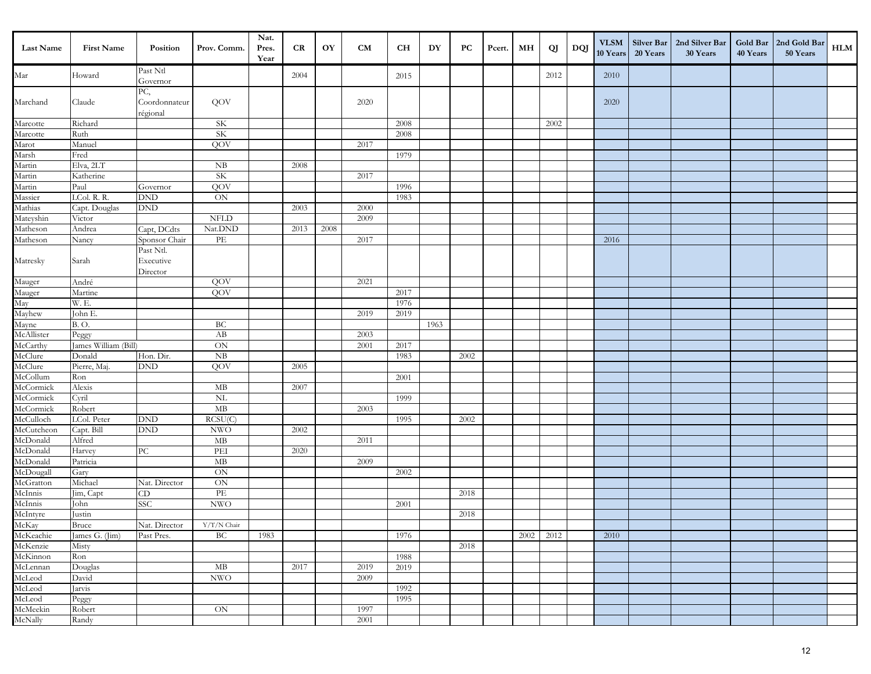| <b>Last Name</b>        | <b>First Name</b>    | Position                           | Prov. Comm.                           | Nat.<br>Pres.<br>Year | CR   | OY   | CM   | CH   | DY   | PC   | Pcert. | MН   | <b>QJ</b> | DQJ | 10 Years | 20 Years | VLSM Silver Bar   2nd Silver Bar<br>30 Years | 40 Years | Gold Bar   2nd Gold Bar<br>50 Years | ${\bf HLM}$ |
|-------------------------|----------------------|------------------------------------|---------------------------------------|-----------------------|------|------|------|------|------|------|--------|------|-----------|-----|----------|----------|----------------------------------------------|----------|-------------------------------------|-------------|
| Mar                     | Howard               | Past Ntl<br>Governor               |                                       |                       | 2004 |      |      | 2015 |      |      |        |      | 2012      |     | 2010     |          |                                              |          |                                     |             |
| Marchand                | Claude               | PC,<br>Coordonnateur<br>régional   | QOV                                   |                       |      |      | 2020 |      |      |      |        |      |           |     | 2020     |          |                                              |          |                                     |             |
| Marcotte                | Richard              |                                    | <b>SK</b>                             |                       |      |      |      | 2008 |      |      |        |      | 2002      |     |          |          |                                              |          |                                     |             |
| Marcotte                | Ruth                 |                                    | <b>SK</b>                             |                       |      |      |      | 2008 |      |      |        |      |           |     |          |          |                                              |          |                                     |             |
| Marot                   | Manuel               |                                    | QOV                                   |                       |      |      | 2017 |      |      |      |        |      |           |     |          |          |                                              |          |                                     |             |
| Marsh                   | Fred                 |                                    |                                       |                       |      |      |      | 1979 |      |      |        |      |           |     |          |          |                                              |          |                                     |             |
| Martin                  | Elva, 2LT            |                                    | NB                                    |                       | 2008 |      |      |      |      |      |        |      |           |     |          |          |                                              |          |                                     |             |
| Martin                  | Katherine            |                                    | SK                                    |                       |      |      | 2017 |      |      |      |        |      |           |     |          |          |                                              |          |                                     |             |
| Martin                  | Paul                 | Governor                           | QOV                                   |                       |      |      |      | 1996 |      |      |        |      |           |     |          |          |                                              |          |                                     |             |
| Massier                 | LCol. R. R.          | $\mathop{\rm DND}\nolimits$        | $\overline{\text{ON}}$                |                       |      |      |      | 1983 |      |      |        |      |           |     |          |          |                                              |          |                                     |             |
| Mathias                 | Capt. Douglas        | $\mathop{\rm DND}\nolimits$        |                                       |                       | 2003 |      | 2000 |      |      |      |        |      |           |     |          |          |                                              |          |                                     |             |
| Mateyshin               | Victor               |                                    | <b>NFLD</b>                           |                       |      |      | 2009 |      |      |      |        |      |           |     |          |          |                                              |          |                                     |             |
| Matheson                | Andrea               | Capt, DCdts                        | Nat.DND                               |                       | 2013 | 2008 |      |      |      |      |        |      |           |     |          |          |                                              |          |                                     |             |
| Matheson                | Nancy                | Sponsor Chair                      | $\ensuremath{\mathop{\text{\rm PE}}}$ |                       |      |      | 2017 |      |      |      |        |      |           |     | 2016     |          |                                              |          |                                     |             |
| Matresky                | Sarah                | Past Ntl.<br>Executive<br>Director |                                       |                       |      |      |      |      |      |      |        |      |           |     |          |          |                                              |          |                                     |             |
| Mauger<br>Mauger<br>May | André                |                                    | QOV                                   |                       |      |      | 2021 |      |      |      |        |      |           |     |          |          |                                              |          |                                     |             |
|                         | Martine              |                                    | QOV                                   |                       |      |      |      | 2017 |      |      |        |      |           |     |          |          |                                              |          |                                     |             |
|                         | W. E.                |                                    |                                       |                       |      |      |      | 1976 |      |      |        |      |           |     |          |          |                                              |          |                                     |             |
| Mayhew                  | John E.              |                                    |                                       |                       |      |      | 2019 | 2019 |      |      |        |      |           |     |          |          |                                              |          |                                     |             |
| Mayne                   | <b>B.O.</b>          |                                    | BC                                    |                       |      |      |      |      | 1963 |      |        |      |           |     |          |          |                                              |          |                                     |             |
|                         | Peggy                |                                    | AB                                    |                       |      |      | 2003 |      |      |      |        |      |           |     |          |          |                                              |          |                                     |             |
| McAllister<br>McCarthy  | James William (Bill) |                                    | $\overline{ON}$                       |                       |      |      | 2001 | 2017 |      |      |        |      |           |     |          |          |                                              |          |                                     |             |
| McClure                 | Donald               | Hon. Dir.                          | NB                                    |                       |      |      |      | 1983 |      | 2002 |        |      |           |     |          |          |                                              |          |                                     |             |
| McClure                 | Pierre, Maj.         | DND                                | QOV                                   |                       | 2005 |      |      |      |      |      |        |      |           |     |          |          |                                              |          |                                     |             |
| McCollum                | Ron                  |                                    |                                       |                       |      |      |      | 2001 |      |      |        |      |           |     |          |          |                                              |          |                                     |             |
| McCormick               | Alexis               |                                    | MB                                    |                       | 2007 |      |      |      |      |      |        |      |           |     |          |          |                                              |          |                                     |             |
| McCormick               | Cyril                |                                    | $\overline{\text{NL}}$                |                       |      |      |      | 1999 |      |      |        |      |           |     |          |          |                                              |          |                                     |             |
| McCormick               | Robert               |                                    | MB                                    |                       |      |      | 2003 |      |      |      |        |      |           |     |          |          |                                              |          |                                     |             |
| McCulloch               | LCol. Peter          | $\mathop{\rm DND}\nolimits$        | RCSU(C)                               |                       |      |      |      | 1995 |      | 2002 |        |      |           |     |          |          |                                              |          |                                     |             |
| McCutcheon              | Capt. Bill           | <b>DND</b>                         | <b>NWO</b>                            |                       | 2002 |      |      |      |      |      |        |      |           |     |          |          |                                              |          |                                     |             |
| McDonald                | Alfred               |                                    | MB                                    |                       |      |      | 2011 |      |      |      |        |      |           |     |          |          |                                              |          |                                     |             |
| McDonald                | Harvey               | ${\rm P}{\bf C}$                   | PEI                                   |                       | 2020 |      |      |      |      |      |        |      |           |     |          |          |                                              |          |                                     |             |
| McDonald                | Patricia             |                                    | MB                                    |                       |      |      | 2009 |      |      |      |        |      |           |     |          |          |                                              |          |                                     |             |
| McDougall               | Gary                 |                                    | ON                                    |                       |      |      |      | 2002 |      |      |        |      |           |     |          |          |                                              |          |                                     |             |
| McGratton               | Michael              | Nat. Director                      | ON                                    |                       |      |      |      |      |      |      |        |      |           |     |          |          |                                              |          |                                     |             |
| McInnis                 | Jim, Capt            | CD                                 | PE                                    |                       |      |      |      |      |      | 2018 |        |      |           |     |          |          |                                              |          |                                     |             |
| McInnis                 | John                 | SSC                                | $\ensuremath{\text{NWO}}$             |                       |      |      |      | 2001 |      |      |        |      |           |     |          |          |                                              |          |                                     |             |
| McIntyre<br>McKay       | Justin               |                                    |                                       |                       |      |      |      |      |      | 2018 |        |      |           |     |          |          |                                              |          |                                     |             |
|                         | Bruce                | Nat. Director                      | Y/T/N Chair                           |                       |      |      |      |      |      |      |        |      |           |     |          |          |                                              |          |                                     |             |
| McKeachie<br>McKenzie   | James G. (Jim)       | Past Pres.                         | ВC                                    | 1983                  |      |      |      | 1976 |      |      |        | 2002 | 2012      |     | 2010     |          |                                              |          |                                     |             |
| McKinnon                | Misty                |                                    |                                       |                       |      |      |      |      |      | 2018 |        |      |           |     |          |          |                                              |          |                                     |             |
| McLennan                | Ron<br>Douglas       |                                    | $\mathbf{MB}$                         |                       | 2017 |      | 2019 | 1988 |      |      |        |      |           |     |          |          |                                              |          |                                     |             |
| McLeod                  | David                |                                    | $\ensuremath{\text{NWO}}$             |                       |      |      | 2009 | 2019 |      |      |        |      |           |     |          |          |                                              |          |                                     |             |
| McLeod                  | Jarvis               |                                    |                                       |                       |      |      |      | 1992 |      |      |        |      |           |     |          |          |                                              |          |                                     |             |
| McLeod                  | Peggy                |                                    |                                       |                       |      |      |      | 1995 |      |      |        |      |           |     |          |          |                                              |          |                                     |             |
| McMeekin                | Robert               |                                    | ON                                    |                       |      |      | 1997 |      |      |      |        |      |           |     |          |          |                                              |          |                                     |             |
| McNally                 | Randy                |                                    |                                       |                       |      |      | 2001 |      |      |      |        |      |           |     |          |          |                                              |          |                                     |             |
|                         |                      |                                    |                                       |                       |      |      |      |      |      |      |        |      |           |     |          |          |                                              |          |                                     |             |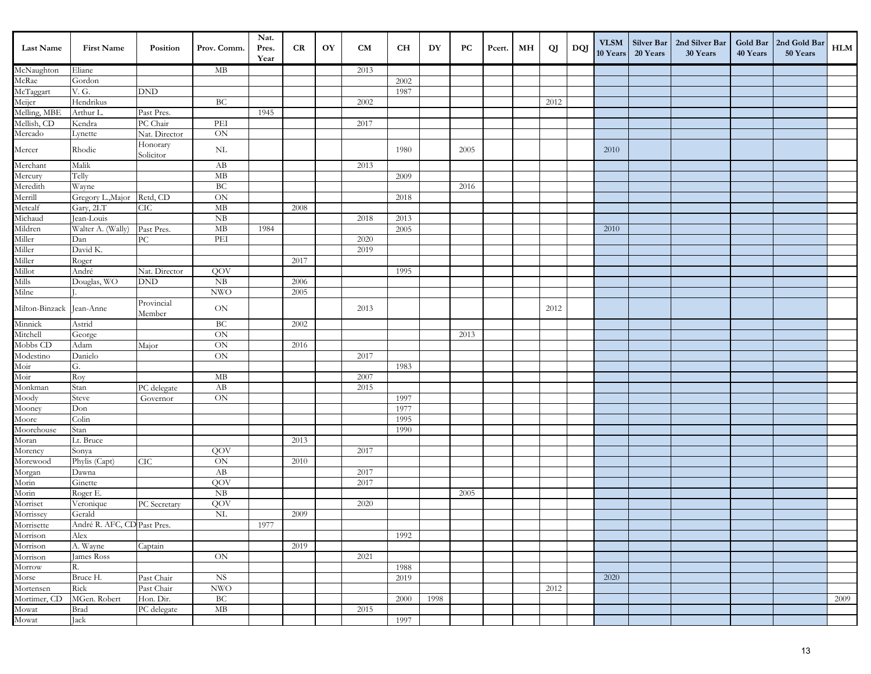| <b>Last Name</b>         | <b>First Name</b>           | Position              | Prov. Comm.               | Nat.<br>Pres.<br>Year | CR   | OY | <b>CM</b> | <b>CH</b> | DY   | PC   | Pcert. | МH | QJ   | DQJ | <b>VLSM</b><br>10 Years | Silver Bar<br>20 Years | 2nd Silver Bar<br>30 Years | Gold Bar<br>40 Years | 2nd Gold Bar<br>50 Years | HLM  |
|--------------------------|-----------------------------|-----------------------|---------------------------|-----------------------|------|----|-----------|-----------|------|------|--------|----|------|-----|-------------------------|------------------------|----------------------------|----------------------|--------------------------|------|
| McNaughton               | Eliane                      |                       | МB                        |                       |      |    | 2013      |           |      |      |        |    |      |     |                         |                        |                            |                      |                          |      |
| McRae                    | Gordon                      |                       |                           |                       |      |    |           | 2002      |      |      |        |    |      |     |                         |                        |                            |                      |                          |      |
| McTaggart                | V.G.                        | <b>DND</b>            |                           |                       |      |    |           | 1987      |      |      |        |    |      |     |                         |                        |                            |                      |                          |      |
| Meijer                   | Hendrikus                   |                       | <b>BC</b>                 |                       |      |    | 2002      |           |      |      |        |    | 2012 |     |                         |                        |                            |                      |                          |      |
| Melling, MBE             | Arthur L                    | Past Pres.            |                           | 1945                  |      |    |           |           |      |      |        |    |      |     |                         |                        |                            |                      |                          |      |
| Mellish, CD              | Kendra                      | PC Chair              | PEI                       |                       |      |    | 2017      |           |      |      |        |    |      |     |                         |                        |                            |                      |                          |      |
| Mercado                  | Lynette                     | Nat. Director         | $\rm ON$                  |                       |      |    |           |           |      |      |        |    |      |     |                         |                        |                            |                      |                          |      |
| Mercer                   | Rhodie                      | Honorary<br>Solicitor | $\rm NL$                  |                       |      |    |           | 1980      |      | 2005 |        |    |      |     | 2010                    |                        |                            |                      |                          |      |
| Merchant                 | Malik                       |                       | AB                        |                       |      |    | 2013      |           |      |      |        |    |      |     |                         |                        |                            |                      |                          |      |
| Mercury                  | Telly                       |                       | $\mathbf{MB}$             |                       |      |    |           | 2009      |      |      |        |    |      |     |                         |                        |                            |                      |                          |      |
| Meredith                 | Wayne                       |                       | <b>BC</b>                 |                       |      |    |           |           |      | 2016 |        |    |      |     |                         |                        |                            |                      |                          |      |
| Merrill                  | Gregory L., Major           | Retd, CD              | ON                        |                       |      |    |           | 2018      |      |      |        |    |      |     |                         |                        |                            |                      |                          |      |
| Metcalf                  | Gary, 2LT                   | CIC                   | $\rm MB$                  |                       | 2008 |    |           |           |      |      |        |    |      |     |                         |                        |                            |                      |                          |      |
| Michaud                  | Jean-Louis                  |                       | NB                        |                       |      |    | 2018      | 2013      |      |      |        |    |      |     |                         |                        |                            |                      |                          |      |
| Mildren                  | Walter A. (Wally)           | Past Pres.            | $\mathbf{MB}$             | 1984                  |      |    |           | 2005      |      |      |        |    |      |     | 2010                    |                        |                            |                      |                          |      |
| Miller                   | Dan                         | ${\rm P}{\bf C}$      | PEI                       |                       |      |    | 2020      |           |      |      |        |    |      |     |                         |                        |                            |                      |                          |      |
| Miller                   | David K.                    |                       |                           |                       |      |    | 2019      |           |      |      |        |    |      |     |                         |                        |                            |                      |                          |      |
| Miller                   | Roger                       |                       |                           |                       | 2017 |    |           |           |      |      |        |    |      |     |                         |                        |                            |                      |                          |      |
| Millot                   | André                       | Nat. Director         | QOV                       |                       |      |    |           | 1995      |      |      |        |    |      |     |                         |                        |                            |                      |                          |      |
| Mills                    | Douglas, WO                 | <b>DND</b>            | ${\rm NB}$                |                       | 2006 |    |           |           |      |      |        |    |      |     |                         |                        |                            |                      |                          |      |
| Milne                    |                             |                       | <b>NWO</b>                |                       | 2005 |    |           |           |      |      |        |    |      |     |                         |                        |                            |                      |                          |      |
| Milton-Binzack Jean-Anne |                             | Provincial<br>Member  | $\mbox{ON}$               |                       |      |    | 2013      |           |      |      |        |    | 2012 |     |                         |                        |                            |                      |                          |      |
| Minnick                  | Astrid                      |                       | BC                        |                       | 2002 |    |           |           |      |      |        |    |      |     |                         |                        |                            |                      |                          |      |
| Mitchell                 | George                      |                       | $\rm ON$                  |                       |      |    |           |           |      | 2013 |        |    |      |     |                         |                        |                            |                      |                          |      |
| Mobbs CD                 | Adam                        | Major                 | $\overline{ON}$           |                       | 2016 |    |           |           |      |      |        |    |      |     |                         |                        |                            |                      |                          |      |
| Modestino                | Danielo                     |                       | ON                        |                       |      |    | 2017      |           |      |      |        |    |      |     |                         |                        |                            |                      |                          |      |
| Moir                     | G.                          |                       |                           |                       |      |    |           | 1983      |      |      |        |    |      |     |                         |                        |                            |                      |                          |      |
| Moir                     | Roy                         |                       | $\rm MB$                  |                       |      |    | 2007      |           |      |      |        |    |      |     |                         |                        |                            |                      |                          |      |
| Monkman                  | Stan                        | PC delegate           | AB                        |                       |      |    | 2015      |           |      |      |        |    |      |     |                         |                        |                            |                      |                          |      |
| Moody                    | Steve                       | Governor              | $\rm ON$                  |                       |      |    |           | 1997      |      |      |        |    |      |     |                         |                        |                            |                      |                          |      |
| Mooney                   | Don                         |                       |                           |                       |      |    |           | 1977      |      |      |        |    |      |     |                         |                        |                            |                      |                          |      |
| Moore                    | Colin                       |                       |                           |                       |      |    |           | 1995      |      |      |        |    |      |     |                         |                        |                            |                      |                          |      |
| Moorehouse               | Stan                        |                       |                           |                       |      |    |           | 1990      |      |      |        |    |      |     |                         |                        |                            |                      |                          |      |
| Moran                    | Lt. Bruce                   |                       |                           |                       | 2013 |    |           |           |      |      |        |    |      |     |                         |                        |                            |                      |                          |      |
| Morency                  | Sonya                       |                       | QOV                       |                       |      |    | 2017      |           |      |      |        |    |      |     |                         |                        |                            |                      |                          |      |
| Morewood                 | Phylis (Capt)               | CIC                   | ON                        |                       | 2010 |    |           |           |      |      |        |    |      |     |                         |                        |                            |                      |                          |      |
| Morgan                   | Dawna                       |                       | AB                        |                       |      |    | 2017      |           |      |      |        |    |      |     |                         |                        |                            |                      |                          |      |
| Morin                    | Ginette                     |                       | QOV                       |                       |      |    | 2017      |           |      |      |        |    |      |     |                         |                        |                            |                      |                          |      |
| Morin                    | Roger E.                    |                       | NB                        |                       |      |    |           |           |      | 2005 |        |    |      |     |                         |                        |                            |                      |                          |      |
| Morriset                 | Veronique                   | PC Secretary          | QOV                       |                       |      |    | 2020      |           |      |      |        |    |      |     |                         |                        |                            |                      |                          |      |
| Morrissey                | Gerald                      |                       | NL                        |                       | 2009 |    |           |           |      |      |        |    |      |     |                         |                        |                            |                      |                          |      |
| Morrisette               | André R. AFC, CD Past Pres. |                       |                           | 1977                  |      |    |           |           |      |      |        |    |      |     |                         |                        |                            |                      |                          |      |
| Morrison                 | Alex                        |                       |                           |                       |      |    |           | 1992      |      |      |        |    |      |     |                         |                        |                            |                      |                          |      |
| Morrison                 | A. Wayne                    | Captain               |                           |                       | 2019 |    |           |           |      |      |        |    |      |     |                         |                        |                            |                      |                          |      |
| Morrison                 | James Ross                  |                       | ON                        |                       |      |    | 2021      |           |      |      |        |    |      |     |                         |                        |                            |                      |                          |      |
| Morrow                   | R.                          |                       |                           |                       |      |    |           | 1988      |      |      |        |    |      |     |                         |                        |                            |                      |                          |      |
| Morse                    | Bruce H.                    | Past Chair            | <b>NS</b>                 |                       |      |    |           | 2019      |      |      |        |    |      |     | 2020                    |                        |                            |                      |                          |      |
| Mortensen                | Rick                        | Past Chair            | $\ensuremath{\text{NWO}}$ |                       |      |    |           |           |      |      |        |    | 2012 |     |                         |                        |                            |                      |                          |      |
| Mortimer, CD             | MGen. Robert                | Hon. Dir.             | BC                        |                       |      |    |           | 2000      | 1998 |      |        |    |      |     |                         |                        |                            |                      |                          | 2009 |
| Mowat<br>Mowat           | <b>Brad</b>                 | PC delegate           | $\mathbf{MB}$             |                       |      |    | 2015      |           |      |      |        |    |      |     |                         |                        |                            |                      |                          |      |
|                          | Jack                        |                       |                           |                       |      |    |           | 1997      |      |      |        |    |      |     |                         |                        |                            |                      |                          |      |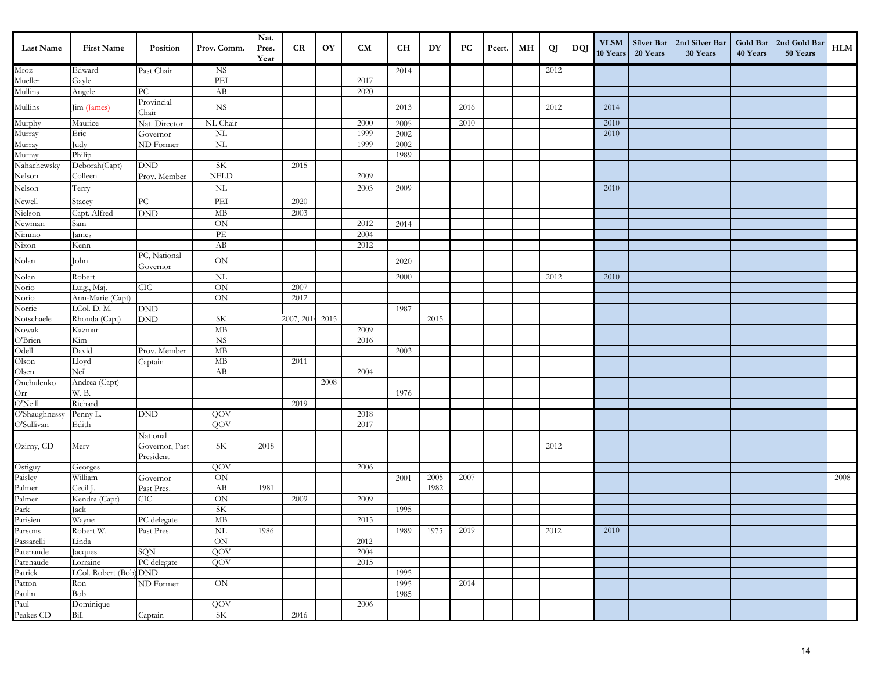| Last Name                    | <b>First Name</b>      | Position                    | Prov. Comm.                     | Nat.<br>Pres.<br>Year | CR         | OY   | CM   | <b>CH</b> | DY   | PC   | Pcert. | MН | QJ   | DQJ | <b>VLSM</b><br>10 Years | <b>Silver Bar</b><br>20 Years | 2nd Silver Bar<br>30 Years | 40 Years | Gold Bar   2nd Gold Bar<br>50 Years | HLM  |
|------------------------------|------------------------|-----------------------------|---------------------------------|-----------------------|------------|------|------|-----------|------|------|--------|----|------|-----|-------------------------|-------------------------------|----------------------------|----------|-------------------------------------|------|
| Mroz                         | Edward                 | Past Chair                  | <b>NS</b>                       |                       |            |      |      | 2014      |      |      |        |    | 2012 |     |                         |                               |                            |          |                                     |      |
| Mueller                      | Gayle                  |                             | $\overline{\text{PEI}}$         |                       |            |      | 2017 |           |      |      |        |    |      |     |                         |                               |                            |          |                                     |      |
| Mullins                      | Angele                 | PС                          | AB                              |                       |            |      | 2020 |           |      |      |        |    |      |     |                         |                               |                            |          |                                     |      |
| Mullins                      | Jim (James)            | Provincial<br>Chair         | <b>NS</b>                       |                       |            |      |      | 2013      |      | 2016 |        |    | 2012 |     | 2014                    |                               |                            |          |                                     |      |
| Murphy<br>Murray             | Maurice                | Nat. Director               | NL Chair                        |                       |            |      | 2000 | 2005      |      | 2010 |        |    |      |     | 2010                    |                               |                            |          |                                     |      |
|                              | Eric                   | Governor                    | $\rm NL$                        |                       |            |      | 1999 | 2002      |      |      |        |    |      |     | 2010                    |                               |                            |          |                                     |      |
| Murray                       | Judy                   | ND Former                   | $\rm NL$                        |                       |            |      | 1999 | 2002      |      |      |        |    |      |     |                         |                               |                            |          |                                     |      |
| Murray                       | Philip                 |                             |                                 |                       |            |      |      | 1989      |      |      |        |    |      |     |                         |                               |                            |          |                                     |      |
| Nahachewsky                  | Deborah (Capt)         | <b>DND</b>                  | $\rm SK$                        |                       | 2015       |      |      |           |      |      |        |    |      |     |                         |                               |                            |          |                                     |      |
|                              | Colleen                | Prov. Member                | <b>NFLD</b>                     |                       |            |      | 2009 |           |      |      |        |    |      |     |                         |                               |                            |          |                                     |      |
| Nelson<br>Nelson             | Terry                  |                             | $\rm NL$                        |                       |            |      | 2003 | 2009      |      |      |        |    |      |     | 2010                    |                               |                            |          |                                     |      |
| Newell                       | Stacey                 | ${\rm P}{\bf C}$            | $\ensuremath{\mathop{\rm PEI}}$ |                       | 2020       |      |      |           |      |      |        |    |      |     |                         |                               |                            |          |                                     |      |
| Nielson                      | Capt. Alfred           | <b>DND</b>                  | MB                              |                       | 2003       |      |      |           |      |      |        |    |      |     |                         |                               |                            |          |                                     |      |
| Newman                       | Sam                    |                             | ON                              |                       |            |      | 2012 | 2014      |      |      |        |    |      |     |                         |                               |                            |          |                                     |      |
| Nimmo                        | ames                   |                             | PE                              |                       |            |      | 2004 |           |      |      |        |    |      |     |                         |                               |                            |          |                                     |      |
| Nixon                        | Kenn                   |                             | AB                              |                       |            |      | 2012 |           |      |      |        |    |      |     |                         |                               |                            |          |                                     |      |
| Nolan                        | John                   | PC, National<br>Governor    | $\mbox{ON}$                     |                       |            |      |      | 2020      |      |      |        |    |      |     |                         |                               |                            |          |                                     |      |
| Nolan                        | Robert                 |                             | <b>NL</b>                       |                       |            |      |      | 2000      |      |      |        |    | 2012 |     | 2010                    |                               |                            |          |                                     |      |
| Norio                        | Luigi, Maj.            | CIC                         | ON                              |                       | 2007       |      |      |           |      |      |        |    |      |     |                         |                               |                            |          |                                     |      |
| Norio                        | Ann-Marie (Capt)       |                             | $\mbox{ON}$                     |                       | 2012       |      |      |           |      |      |        |    |      |     |                         |                               |                            |          |                                     |      |
| Norrie                       | LCol. D. M.            | <b>DND</b>                  |                                 |                       |            |      |      | 1987      |      |      |        |    |      |     |                         |                               |                            |          |                                     |      |
| Notschaele                   | Rhonda (Capt)          | $\mathop{\rm DND}\nolimits$ | <b>SK</b>                       |                       | 2007, 2014 | 2015 |      |           | 2015 |      |        |    |      |     |                         |                               |                            |          |                                     |      |
| Nowak                        | Kazmar                 |                             | $\mathbf{MB}$                   |                       |            |      | 2009 |           |      |      |        |    |      |     |                         |                               |                            |          |                                     |      |
| O'Brien                      | Kim                    |                             | <b>NS</b>                       |                       |            |      | 2016 |           |      |      |        |    |      |     |                         |                               |                            |          |                                     |      |
| $\overline{\text{Odel}}$     | David                  | Prov. Member                | MB                              |                       |            |      |      | 2003      |      |      |        |    |      |     |                         |                               |                            |          |                                     |      |
| Olson                        | Lloyd                  | Captain                     | $\mathbf{MB}$                   |                       | 2011       |      |      |           |      |      |        |    |      |     |                         |                               |                            |          |                                     |      |
| Olsen                        | Neil                   |                             | AB                              |                       |            |      | 2004 |           |      |      |        |    |      |     |                         |                               |                            |          |                                     |      |
| Onchulenko                   | Andrea (Capt)          |                             |                                 |                       |            | 2008 |      |           |      |      |        |    |      |     |                         |                               |                            |          |                                     |      |
| Orr                          | W. B.                  |                             |                                 |                       |            |      |      | 1976      |      |      |        |    |      |     |                         |                               |                            |          |                                     |      |
| O'Neill                      | Richard                |                             |                                 |                       | 2019       |      |      |           |      |      |        |    |      |     |                         |                               |                            |          |                                     |      |
| O'Shaughnessy                | Penny L.               | <b>DND</b>                  | QOV                             |                       |            |      | 2018 |           |      |      |        |    |      |     |                         |                               |                            |          |                                     |      |
| O'Sullivan                   | Edith                  | National                    | QOV                             |                       |            |      | 2017 |           |      |      |        |    |      |     |                         |                               |                            |          |                                     |      |
| Ozirny, CD                   | Merv                   | Governor, Past<br>President | SK                              | 2018                  |            |      |      |           |      |      |        |    | 2012 |     |                         |                               |                            |          |                                     |      |
| Ostiguy<br>Paisley<br>Palmer | Georges                |                             | QOV                             |                       |            |      | 2006 |           |      |      |        |    |      |     |                         |                               |                            |          |                                     |      |
|                              | William                | Governor                    | ON                              |                       |            |      |      | 2001      | 2005 | 2007 |        |    |      |     |                         |                               |                            |          |                                     | 2008 |
|                              | Cecil J.               | Past Pres.                  | AB                              | 1981                  |            |      |      |           | 1982 |      |        |    |      |     |                         |                               |                            |          |                                     |      |
| Palmer                       | Kendra (Capt)          | CIC                         | $\mbox{ON}$                     |                       | 2009       |      | 2009 |           |      |      |        |    |      |     |                         |                               |                            |          |                                     |      |
| Park<br>Parisien             | Jack                   |                             | SK                              |                       |            |      |      | 1995      |      |      |        |    |      |     |                         |                               |                            |          |                                     |      |
|                              | Wayne                  | PC delegate                 | $\overline{\rm MB}$             |                       |            |      | 2015 |           |      |      |        |    |      |     |                         |                               |                            |          |                                     |      |
| Parsons<br>Passarelli        | Robert W.              | Past Pres.                  | NL                              | 1986                  |            |      |      | 1989      | 1975 | 2019 |        |    | 2012 |     | 2010                    |                               |                            |          |                                     |      |
|                              | Linda                  |                             | ON                              |                       |            |      | 2012 |           |      |      |        |    |      |     |                         |                               |                            |          |                                     |      |
| Patenaude                    | Jacques                | SQN                         | QOV                             |                       |            |      | 2004 |           |      |      |        |    |      |     |                         |                               |                            |          |                                     |      |
| Patenaude                    | Lorraine               | PC delegate                 | QOV                             |                       |            |      | 2015 |           |      |      |        |    |      |     |                         |                               |                            |          |                                     |      |
|                              | LCol. Robert (Bob) DND |                             |                                 |                       |            |      |      | 1995      |      |      |        |    |      |     |                         |                               |                            |          |                                     |      |
| Patrick<br>Patton<br>Paulin  | Ron                    | ND Former                   | $\rm ON$                        |                       |            |      |      | 1995      |      | 2014 |        |    |      |     |                         |                               |                            |          |                                     |      |
|                              | Bob                    |                             |                                 |                       |            |      |      | 1985      |      |      |        |    |      |     |                         |                               |                            |          |                                     |      |
| Paul<br>Peakes CD            | Dominique              |                             | QOV                             |                       |            |      | 2006 |           |      |      |        |    |      |     |                         |                               |                            |          |                                     |      |
|                              | Bill                   | Captain                     | SK                              |                       | 2016       |      |      |           |      |      |        |    |      |     |                         |                               |                            |          |                                     |      |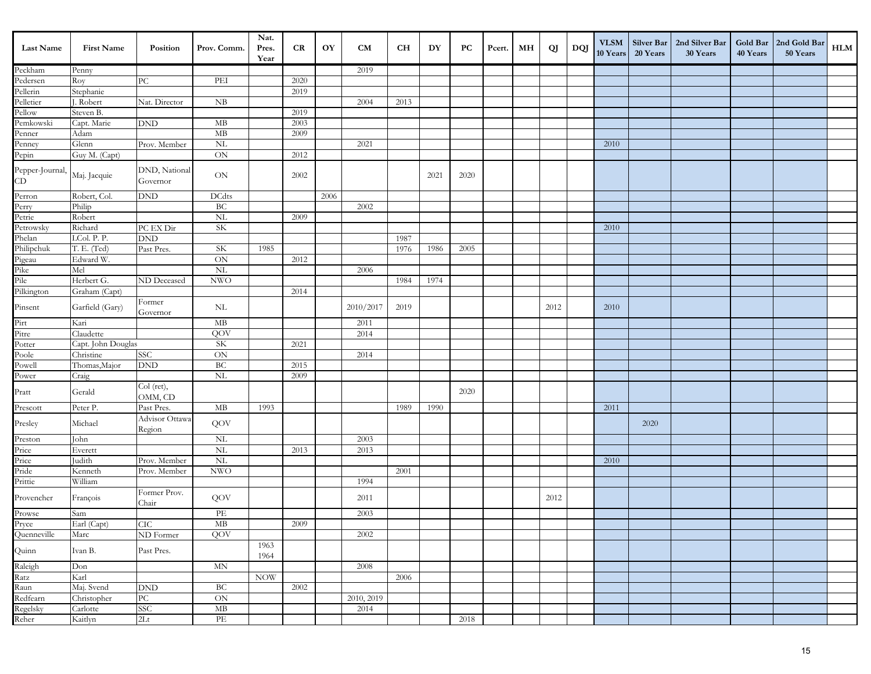| Last Name                                          | <b>First Name</b>  | Position                             | Prov. Comm.              | Nat.<br>Pres.<br>Year | CR   | OY   | <b>CM</b>  | <b>CH</b> | DY   | PC   | Pcert. | MН | QJ   | DQJ | <b>VLSM</b><br>10 Years | Silver Bar<br>20 Years | 2nd Silver Bar<br>30 Years | 40 Years | Gold Bar   2nd Gold Bar<br>50 Years | ${\bf HLM}$ |
|----------------------------------------------------|--------------------|--------------------------------------|--------------------------|-----------------------|------|------|------------|-----------|------|------|--------|----|------|-----|-------------------------|------------------------|----------------------------|----------|-------------------------------------|-------------|
|                                                    | Penny              |                                      |                          |                       |      |      | 2019       |           |      |      |        |    |      |     |                         |                        |                            |          |                                     |             |
| Peckham<br>Pedersen<br>Pellerin                    | Roy                | $\rm{PC}$                            | PEI                      |                       | 2020 |      |            |           |      |      |        |    |      |     |                         |                        |                            |          |                                     |             |
|                                                    | Stephanie          |                                      |                          |                       | 2019 |      |            |           |      |      |        |    |      |     |                         |                        |                            |          |                                     |             |
| Pelletier                                          | J. Robert          | Nat. Director                        | NB                       |                       |      |      | 2004       | 2013      |      |      |        |    |      |     |                         |                        |                            |          |                                     |             |
| Pellow                                             | Steven B.          |                                      |                          |                       | 2019 |      |            |           |      |      |        |    |      |     |                         |                        |                            |          |                                     |             |
| Pemkowski                                          | Capt. Marie        | <b>DND</b>                           | MB                       |                       | 2003 |      |            |           |      |      |        |    |      |     |                         |                        |                            |          |                                     |             |
| Penner                                             | Adam               |                                      | MB                       |                       | 2009 |      |            |           |      |      |        |    |      |     |                         |                        |                            |          |                                     |             |
| Penney                                             | Glenn              | Prov. Member                         | $\rm NL$                 |                       |      |      | 2021       |           |      |      |        |    |      |     | 2010                    |                        |                            |          |                                     |             |
| Pepin                                              | Guy M. (Capt)      |                                      | $\rm ON$                 |                       | 2012 |      |            |           |      |      |        |    |      |     |                         |                        |                            |          |                                     |             |
| Pepper-Journal,<br>CD                              | Maj. Jacquie       | DND, National<br>Governor            | ON                       |                       | 2002 |      |            |           | 2021 | 2020 |        |    |      |     |                         |                        |                            |          |                                     |             |
| Perron                                             | Robert, Col        | <b>DND</b>                           | <b>DCdts</b>             |                       |      | 2006 |            |           |      |      |        |    |      |     |                         |                        |                            |          |                                     |             |
| Perry<br>Petrie                                    | Philip             |                                      | BC                       |                       |      |      | 2002       |           |      |      |        |    |      |     |                         |                        |                            |          |                                     |             |
|                                                    | Robert             |                                      | $\rm NL$                 |                       | 2009 |      |            |           |      |      |        |    |      |     |                         |                        |                            |          |                                     |             |
| Petrowsky<br>Phelan                                | Richard            | ${\rm P}{\bf C}$ EX ${\rm Dir}$      | SK                       |                       |      |      |            |           |      |      |        |    |      |     | 2010                    |                        |                            |          |                                     |             |
|                                                    | LCol. P. P.        | $\mathop{\rm DND}\nolimits$          |                          |                       |      |      |            | 1987      |      |      |        |    |      |     |                         |                        |                            |          |                                     |             |
| Philipchuk<br>Pigeau<br>Pike<br>Pile<br>Pilkington | T. E. (Ted)        | Past Pres.                           | SK                       | 1985                  |      |      |            | 1976      | 1986 | 2005 |        |    |      |     |                         |                        |                            |          |                                     |             |
|                                                    | Edward W           |                                      | ON                       |                       | 2012 |      |            |           |      |      |        |    |      |     |                         |                        |                            |          |                                     |             |
|                                                    | Mel                |                                      | <b>NL</b>                |                       |      |      | 2006       |           |      |      |        |    |      |     |                         |                        |                            |          |                                     |             |
|                                                    | Herbert G.         | ND Deceased                          | <b>NWO</b>               |                       |      |      |            | 1984      | 1974 |      |        |    |      |     |                         |                        |                            |          |                                     |             |
|                                                    | Graham (Capt)      |                                      |                          |                       | 2014 |      |            |           |      |      |        |    |      |     |                         |                        |                            |          |                                     |             |
| Pinsent                                            | Garfield (Gary)    | Former<br>Governor                   | NL                       |                       |      |      | 2010/2017  | 2019      |      |      |        |    | 2012 |     | 2010                    |                        |                            |          |                                     |             |
|                                                    | Kari               |                                      | MB                       |                       |      |      | 2011       |           |      |      |        |    |      |     |                         |                        |                            |          |                                     |             |
| Pirt<br>Pitre<br>Potter                            | Claudette          |                                      | QOV                      |                       |      |      | 2014       |           |      |      |        |    |      |     |                         |                        |                            |          |                                     |             |
|                                                    | Capt. John Douglas |                                      | <b>SK</b>                |                       | 2021 |      |            |           |      |      |        |    |      |     |                         |                        |                            |          |                                     |             |
| Poole<br>Powell                                    | Christine          | <b>SSC</b>                           | ON                       |                       |      |      | 2014       |           |      |      |        |    |      |     |                         |                        |                            |          |                                     |             |
|                                                    | Thomas, Major      | <b>DND</b>                           | BC                       |                       | 2015 |      |            |           |      |      |        |    |      |     |                         |                        |                            |          |                                     |             |
| Power                                              | Craig              |                                      | $\rm NL$                 |                       | 2009 |      |            |           |      |      |        |    |      |     |                         |                        |                            |          |                                     |             |
| Pratt                                              | Gerald             | Col (ret),<br>OMM, CD                |                          |                       |      |      |            |           |      | 2020 |        |    |      |     |                         |                        |                            |          |                                     |             |
| Prescott                                           | Peter P.           | Past Pres.                           | МB                       | 1993                  |      |      |            | 1989      | 1990 |      |        |    |      |     | 2011                    |                        |                            |          |                                     |             |
| Presley                                            | Michael            | Advisor Ottawa<br>Region             | QOV                      |                       |      |      |            |           |      |      |        |    |      |     |                         | 2020                   |                            |          |                                     |             |
| Preston                                            | John               |                                      | $\mbox{NL}$              |                       |      |      | 2003       |           |      |      |        |    |      |     |                         |                        |                            |          |                                     |             |
| Price<br>Price                                     | Everett            |                                      | <b>NL</b>                |                       | 2013 |      | 2013       |           |      |      |        |    |      |     |                         |                        |                            |          |                                     |             |
|                                                    | Judith             | Prov. Member                         | NL                       |                       |      |      |            |           |      |      |        |    |      |     | 2010                    |                        |                            |          |                                     |             |
| Pride                                              | Kenneth            | Prov. Member                         | <b>NWO</b>               |                       |      |      |            | 2001      |      |      |        |    |      |     |                         |                        |                            |          |                                     |             |
| Prittie                                            | William            |                                      |                          |                       |      |      | 1994       |           |      |      |        |    |      |     |                         |                        |                            |          |                                     |             |
| Provencher                                         | François           | Former Prov.<br>Chair                | QOV                      |                       |      |      | 2011       |           |      |      |        |    | 2012 |     |                         |                        |                            |          |                                     |             |
| Prowse<br>Pryce<br>Quenneville                     | Sam                |                                      | PE                       |                       |      |      | 2003       |           |      |      |        |    |      |     |                         |                        |                            |          |                                     |             |
|                                                    | Earl (Capt)        | CIC                                  | $\mathbf{MB}$            |                       | 2009 |      |            |           |      |      |        |    |      |     |                         |                        |                            |          |                                     |             |
|                                                    | Marc               | $\overline{\text{ND}~\text{Former}}$ | QOV                      |                       |      |      | 2002       |           |      |      |        |    |      |     |                         |                        |                            |          |                                     |             |
| Quinn                                              | Ivan B.            | Past Pres.                           |                          | 1963<br>1964          |      |      |            |           |      |      |        |    |      |     |                         |                        |                            |          |                                     |             |
| Raleigh                                            | Don                |                                      | $\ensuremath{\text{MN}}$ |                       |      |      | 2008       |           |      |      |        |    |      |     |                         |                        |                            |          |                                     |             |
| Ratz<br>Raun                                       | Karl               |                                      |                          | <b>NOW</b>            |      |      |            | 2006      |      |      |        |    |      |     |                         |                        |                            |          |                                     |             |
|                                                    | Maj. Svend         | $\mathop{\rm DND}\nolimits$          | BC                       |                       | 2002 |      |            |           |      |      |        |    |      |     |                         |                        |                            |          |                                     |             |
| Redfearn<br>Regelsky<br>Reher                      | Christopher        | $\overline{PC}$                      | $\mbox{ON}$              |                       |      |      | 2010, 2019 |           |      |      |        |    |      |     |                         |                        |                            |          |                                     |             |
|                                                    | Carlotte           | SSC                                  | MB                       |                       |      |      | 2014       |           |      |      |        |    |      |     |                         |                        |                            |          |                                     |             |
|                                                    | Kaitlyn            | 2Lt                                  | $\overline{\text{PE}}$   |                       |      |      |            |           |      | 2018 |        |    |      |     |                         |                        |                            |          |                                     |             |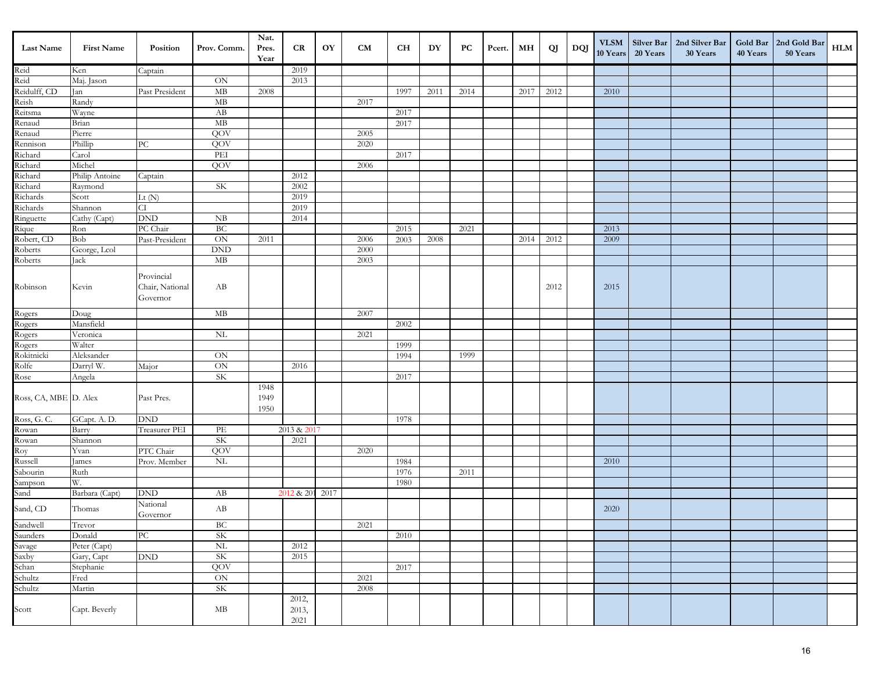| <b>Last Name</b>                                 | <b>First Name</b> | Position                                  | Prov. Comm.                 | Nat.<br>Pres.<br>Year | CR                     | OY | CM   | <b>CH</b> | DY   | PC   | Pcert. | MН   | QJ   | DQJ | <b>VLSM</b><br>10 Years | Silver Bar<br>20 Years | 2nd Silver Bar<br>30 Years | 40 Years | Gold Bar 2nd Gold Bar<br>50 Years | HLM |
|--------------------------------------------------|-------------------|-------------------------------------------|-----------------------------|-----------------------|------------------------|----|------|-----------|------|------|--------|------|------|-----|-------------------------|------------------------|----------------------------|----------|-----------------------------------|-----|
|                                                  | Ken               | Captain                                   |                             |                       | 2019                   |    |      |           |      |      |        |      |      |     |                         |                        |                            |          |                                   |     |
| Reid<br>Reid                                     | Maj. Jason        |                                           | ON                          |                       | 2013                   |    |      |           |      |      |        |      |      |     |                         |                        |                            |          |                                   |     |
| Reidulff, CD                                     | Jan               | Past President                            | $\mathbf{MB}$               | 2008                  |                        |    |      | 1997      | 2011 | 2014 |        | 2017 | 2012 |     | 2010                    |                        |                            |          |                                   |     |
| Reish<br>Reitsma                                 | Randy             |                                           | $\mathbf{MB}$               |                       |                        |    | 2017 |           |      |      |        |      |      |     |                         |                        |                            |          |                                   |     |
|                                                  | Wayne             |                                           | AB                          |                       |                        |    |      | 2017      |      |      |        |      |      |     |                         |                        |                            |          |                                   |     |
|                                                  | Brian             |                                           | MB                          |                       |                        |    |      | 2017      |      |      |        |      |      |     |                         |                        |                            |          |                                   |     |
| Renaud<br>Renaud<br>Rennison                     | Pierre            |                                           | QOV                         |                       |                        |    | 2005 |           |      |      |        |      |      |     |                         |                        |                            |          |                                   |     |
|                                                  | Phillip           | ${\rm P}{\bf C}$                          | QOV                         |                       |                        |    | 2020 |           |      |      |        |      |      |     |                         |                        |                            |          |                                   |     |
|                                                  | Carol             |                                           | PEI                         |                       |                        |    |      | 2017      |      |      |        |      |      |     |                         |                        |                            |          |                                   |     |
| Richard<br>Richard                               | Michel            |                                           | QOV                         |                       |                        |    | 2006 |           |      |      |        |      |      |     |                         |                        |                            |          |                                   |     |
| Richard<br>Richard                               | Philip Antoine    | Captain                                   |                             |                       | 2012                   |    |      |           |      |      |        |      |      |     |                         |                        |                            |          |                                   |     |
|                                                  | Raymond           |                                           | <b>SK</b>                   |                       | 2002                   |    |      |           |      |      |        |      |      |     |                         |                        |                            |          |                                   |     |
| Richards                                         | Scott             | Lt $(N)$                                  |                             |                       | 2019                   |    |      |           |      |      |        |      |      |     |                         |                        |                            |          |                                   |     |
|                                                  | Shannon           | CI                                        |                             |                       | 2019                   |    |      |           |      |      |        |      |      |     |                         |                        |                            |          |                                   |     |
| Richards<br>Ringuette                            | Cathy (Capt)      | $\mathop{\rm DND}\nolimits$               | ${\rm NB}$                  |                       | 2014                   |    |      |           |      |      |        |      |      |     |                         |                        |                            |          |                                   |     |
| Rique<br>Rique<br>Robert, CD<br>Roberts          | Ron               | PC Chair                                  | BC                          |                       |                        |    |      | 2015      |      | 2021 |        |      |      |     | 2013                    |                        |                            |          |                                   |     |
|                                                  | Bob               | Past-President                            | ON                          | 2011                  |                        |    | 2006 | 2003      | 2008 |      |        | 2014 | 2012 |     | 2009                    |                        |                            |          |                                   |     |
|                                                  | George, Lcol      |                                           | $\mathop{\rm DND}\nolimits$ |                       |                        |    | 2000 |           |      |      |        |      |      |     |                         |                        |                            |          |                                   |     |
| Roberts                                          | Jack              |                                           | $\rm MB$                    |                       |                        |    | 2003 |           |      |      |        |      |      |     |                         |                        |                            |          |                                   |     |
|                                                  |                   |                                           |                             |                       |                        |    |      |           |      |      |        |      |      |     |                         |                        |                            |          |                                   |     |
| Robinson                                         | Kevin             | Provincial<br>Chair, National<br>Governor | AB                          |                       |                        |    |      |           |      |      |        |      | 2012 |     | 2015                    |                        |                            |          |                                   |     |
|                                                  | Doug              |                                           | MB                          |                       |                        |    | 2007 |           |      |      |        |      |      |     |                         |                        |                            |          |                                   |     |
| Rogers<br>Rogers<br>Rogers<br>Rokitnicki         | Mansfield         |                                           |                             |                       |                        |    |      | 2002      |      |      |        |      |      |     |                         |                        |                            |          |                                   |     |
|                                                  | Veronica          |                                           | $\rm NL$                    |                       |                        |    | 2021 |           |      |      |        |      |      |     |                         |                        |                            |          |                                   |     |
|                                                  | Walter            |                                           |                             |                       |                        |    |      | 1999      |      |      |        |      |      |     |                         |                        |                            |          |                                   |     |
|                                                  | Aleksander        |                                           | $\rm ON$                    |                       |                        |    |      | 1994      |      | 1999 |        |      |      |     |                         |                        |                            |          |                                   |     |
| Rolfe                                            | Darryl W.         | Major                                     | $\overline{\text{ON}}$      |                       | 2016                   |    |      |           |      |      |        |      |      |     |                         |                        |                            |          |                                   |     |
| Rose                                             | Angela            |                                           | <b>SK</b>                   |                       |                        |    |      | 2017      |      |      |        |      |      |     |                         |                        |                            |          |                                   |     |
| Ross, CA, MBE D. Alex                            |                   | Past Pres.                                |                             | 1948<br>1949<br>1950  |                        |    |      |           |      |      |        |      |      |     |                         |                        |                            |          |                                   |     |
| Ross, G.C.                                       | GCapt. A.D.       | DND                                       |                             |                       |                        |    |      | 1978      |      |      |        |      |      |     |                         |                        |                            |          |                                   |     |
| Rowan<br>Rowan<br>Roy<br>Russell                 | Barry             | Treasurer PEI                             | PE                          |                       | 2013 & 2017            |    |      |           |      |      |        |      |      |     |                         |                        |                            |          |                                   |     |
|                                                  | Shannon           |                                           | SK                          |                       | 2021                   |    |      |           |      |      |        |      |      |     |                         |                        |                            |          |                                   |     |
|                                                  | Yvan              | PTC Chair                                 | QOV                         |                       |                        |    | 2020 |           |      |      |        |      |      |     |                         |                        |                            |          |                                   |     |
|                                                  | James             | Prov. Member                              | $\rm NL$                    |                       |                        |    |      | 1984      |      |      |        |      |      |     | 2010                    |                        |                            |          |                                   |     |
| Sabourin                                         | Ruth              |                                           |                             |                       |                        |    |      | 1976      |      | 2011 |        |      |      |     |                         |                        |                            |          |                                   |     |
| Sampson<br>Sand                                  | W.                |                                           |                             |                       |                        |    |      | 1980      |      |      |        |      |      |     |                         |                        |                            |          |                                   |     |
|                                                  | Barbara (Capt)    | $\mathop{\rm DND}\nolimits$               | AB                          |                       | 2012 & 201 2017        |    |      |           |      |      |        |      |      |     |                         |                        |                            |          |                                   |     |
| Sand, CD                                         | Thomas            | National<br>Governor                      | AB                          |                       |                        |    |      |           |      |      |        |      |      |     | 2020                    |                        |                            |          |                                   |     |
|                                                  | Trevor            |                                           | ВC                          |                       |                        |    | 2021 |           |      |      |        |      |      |     |                         |                        |                            |          |                                   |     |
| Sandwell<br>Saunders<br>Savage<br>Saxby<br>Schan | Donald            | $\overline{PC}$                           | <b>SK</b>                   |                       |                        |    |      | 2010      |      |      |        |      |      |     |                         |                        |                            |          |                                   |     |
|                                                  | Peter (Capt)      |                                           | $\overline{\text{NL}}$      |                       | 2012                   |    |      |           |      |      |        |      |      |     |                         |                        |                            |          |                                   |     |
|                                                  | Gary, Capt        | $\mathop{\rm DND}\nolimits$               | SK                          |                       | 2015                   |    |      |           |      |      |        |      |      |     |                         |                        |                            |          |                                   |     |
|                                                  | Stephanie         |                                           | QOV                         |                       |                        |    |      | 2017      |      |      |        |      |      |     |                         |                        |                            |          |                                   |     |
|                                                  | Fred              |                                           | $\mbox{ON}$                 |                       |                        |    | 2021 |           |      |      |        |      |      |     |                         |                        |                            |          |                                   |     |
| Schultz<br>Schultz                               | Martin            |                                           | SK                          |                       |                        |    | 2008 |           |      |      |        |      |      |     |                         |                        |                            |          |                                   |     |
| Scott                                            | Capt. Beverly     |                                           | $\rm MB$                    |                       | 2012,<br>2013,<br>2021 |    |      |           |      |      |        |      |      |     |                         |                        |                            |          |                                   |     |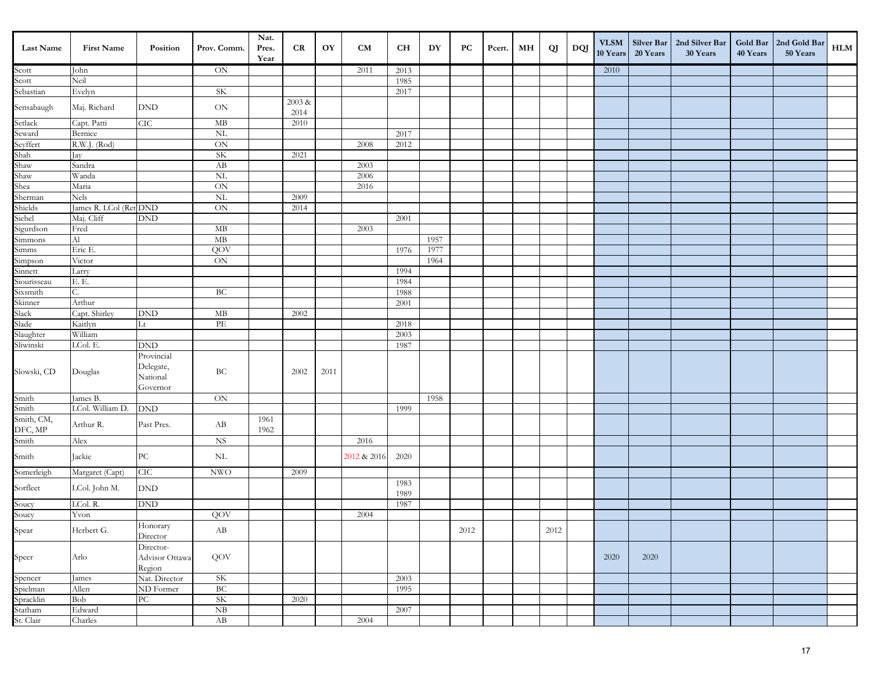| Last Name                      | <b>First Name</b>      | Position                                        | Prov. Comm.               | Nat.<br>Pres.<br>Year | CR             | OY   | <b>CM</b>   | <b>CH</b>    | DY   | PC   | Pcert. | MН | QJ   | DQJ | <b>VLSM</b><br>10 Years | 20 Years | Silver Bar   2nd Silver Bar<br>30 Years | 40 Years | Gold Bar 2nd Gold Bar<br>50 Years | HLM |
|--------------------------------|------------------------|-------------------------------------------------|---------------------------|-----------------------|----------------|------|-------------|--------------|------|------|--------|----|------|-----|-------------------------|----------|-----------------------------------------|----------|-----------------------------------|-----|
| Scott                          | John                   |                                                 | $\mbox{ON}$               |                       |                |      | 2011        | 2013         |      |      |        |    |      |     | 2010                    |          |                                         |          |                                   |     |
| Scott                          | Neil                   |                                                 |                           |                       |                |      |             | 1985         |      |      |        |    |      |     |                         |          |                                         |          |                                   |     |
| Sebastian                      | Evelyn                 |                                                 | SK                        |                       |                |      |             | 2017         |      |      |        |    |      |     |                         |          |                                         |          |                                   |     |
| Sensabaugh                     | Maj. Richard           | <b>DND</b>                                      | $\mbox{ON}$               |                       | 2003 &<br>2014 |      |             |              |      |      |        |    |      |     |                         |          |                                         |          |                                   |     |
| Setlack<br>Seward              | Capt. Patti            | CIC                                             | MB                        |                       | 2010           |      |             |              |      |      |        |    |      |     |                         |          |                                         |          |                                   |     |
|                                | Bernice                |                                                 | $\overline{\text{NL}}$    |                       |                |      |             | 2017         |      |      |        |    |      |     |                         |          |                                         |          |                                   |     |
| Seyffert                       | R.W.J. (Rod)           |                                                 | $\mbox{ON}$               |                       |                |      | 2008        | 2012         |      |      |        |    |      |     |                         |          |                                         |          |                                   |     |
| Shah<br>Shaw                   | Jay                    |                                                 | SK                        |                       | 2021           |      |             |              |      |      |        |    |      |     |                         |          |                                         |          |                                   |     |
|                                | Sandra                 |                                                 | AB                        |                       |                |      | 2003        |              |      |      |        |    |      |     |                         |          |                                         |          |                                   |     |
| Shaw<br>Shea<br>Sherman        | Wanda                  |                                                 | <b>NL</b>                 |                       |                |      | 2006        |              |      |      |        |    |      |     |                         |          |                                         |          |                                   |     |
|                                | Maria                  |                                                 | ON                        |                       |                |      | 2016        |              |      |      |        |    |      |     |                         |          |                                         |          |                                   |     |
|                                | Nels                   |                                                 | $\rm NL$                  |                       | 2009           |      |             |              |      |      |        |    |      |     |                         |          |                                         |          |                                   |     |
| Shields                        | James R. LCol (Ret DND |                                                 | $\mbox{ON}$               |                       | 2014           |      |             |              |      |      |        |    |      |     |                         |          |                                         |          |                                   |     |
| Siebel                         | Maj. Cliff             | <b>DND</b>                                      |                           |                       |                |      |             | 2001         |      |      |        |    |      |     |                         |          |                                         |          |                                   |     |
| Sigurdson                      | Fred                   |                                                 | $\rm MB$                  |                       |                |      | 2003        |              |      |      |        |    |      |     |                         |          |                                         |          |                                   |     |
| Simmons                        | Al                     |                                                 | MB                        |                       |                |      |             |              | 1957 |      |        |    |      |     |                         |          |                                         |          |                                   |     |
| Simms                          | Eric E.                |                                                 | QOV                       |                       |                |      |             | 1976         | 1977 |      |        |    |      |     |                         |          |                                         |          |                                   |     |
| Simpson                        | Victor                 |                                                 | $\mbox{ON}$               |                       |                |      |             |              | 1964 |      |        |    |      |     |                         |          |                                         |          |                                   |     |
| Sinnett                        | Larry                  |                                                 |                           |                       |                |      |             | 1994         |      |      |        |    |      |     |                         |          |                                         |          |                                   |     |
| Siourisseau                    | Е. Е.                  |                                                 |                           |                       |                |      |             | 1984         |      |      |        |    |      |     |                         |          |                                         |          |                                   |     |
| Sixsmith                       | С.                     |                                                 | BC                        |                       |                |      |             | 1988         |      |      |        |    |      |     |                         |          |                                         |          |                                   |     |
| Skinner                        | Arthur                 |                                                 |                           |                       |                |      |             | 2001         |      |      |        |    |      |     |                         |          |                                         |          |                                   |     |
| Slack<br>Slade                 | Capt. Shirley          | $\mathop{\rm DND}\nolimits$                     | $\rm MB$                  |                       | 2002           |      |             |              |      |      |        |    |      |     |                         |          |                                         |          |                                   |     |
|                                | Kaitlyn                | Lt                                              | PE                        |                       |                |      |             | 2018         |      |      |        |    |      |     |                         |          |                                         |          |                                   |     |
| Slaughter<br>Sliwinski         | William                |                                                 |                           |                       |                |      |             | 2003         |      |      |        |    |      |     |                         |          |                                         |          |                                   |     |
|                                | LCol. E.               | <b>DND</b>                                      |                           |                       |                |      |             | 1987         |      |      |        |    |      |     |                         |          |                                         |          |                                   |     |
| Slowski, CD                    | Douglas                | Provincial<br>Delegate,<br>National<br>Governor | BC                        |                       | 2002           | 2011 |             |              |      |      |        |    |      |     |                         |          |                                         |          |                                   |     |
| Smith                          | James B.               |                                                 | ON                        |                       |                |      |             |              | 1958 |      |        |    |      |     |                         |          |                                         |          |                                   |     |
| Smith                          | LCol. William D.       | <b>DND</b>                                      |                           |                       |                |      |             | 1999         |      |      |        |    |      |     |                         |          |                                         |          |                                   |     |
| Smith, CM,<br>DFC, MP<br>Smith | Arthur R.              | Past Pres.                                      | AB                        | 1961<br>1962          |                |      |             |              |      |      |        |    |      |     |                         |          |                                         |          |                                   |     |
|                                | Alex                   |                                                 | <b>NS</b>                 |                       |                |      | 2016        |              |      |      |        |    |      |     |                         |          |                                         |          |                                   |     |
| Smith                          | Jackie                 | ${\rm P}{\bf C}$                                | $\rm NL$                  |                       |                |      | 2012 & 2016 | 2020         |      |      |        |    |      |     |                         |          |                                         |          |                                   |     |
| Somerleigh                     | Margaret (Capt)        | CIC                                             | $\ensuremath{\text{NWO}}$ |                       | 2009           |      |             |              |      |      |        |    |      |     |                         |          |                                         |          |                                   |     |
| Sorfleet                       | LCol. John M.          | $\operatorname{DND}$                            |                           |                       |                |      |             | 1983<br>1989 |      |      |        |    |      |     |                         |          |                                         |          |                                   |     |
| Soucy<br>Soucy                 | LCol. R.               | $\mathop{\rm DND}\nolimits$                     |                           |                       |                |      |             | 1987         |      |      |        |    |      |     |                         |          |                                         |          |                                   |     |
|                                | Yvon                   |                                                 | QOV                       |                       |                |      | 2004        |              |      |      |        |    |      |     |                         |          |                                         |          |                                   |     |
| Spear                          | Herbert G.             | Honorary<br>Director                            | AB                        |                       |                |      |             |              |      | 2012 |        |    | 2012 |     |                         |          |                                         |          |                                   |     |
| Speer                          | Arlo                   | Director-<br>Advisor Ottawa<br>Region           | QOV                       |                       |                |      |             |              |      |      |        |    |      |     | 2020                    | 2020     |                                         |          |                                   |     |
| Spencer                        | James                  | Nat. Director                                   | <b>SK</b>                 |                       |                |      |             | 2003         |      |      |        |    |      |     |                         |          |                                         |          |                                   |     |
| Spielman                       | Allen                  | ND Former                                       | BC                        |                       |                |      |             | 1995         |      |      |        |    |      |     |                         |          |                                         |          |                                   |     |
| Spracklin                      | Bob                    | ${\rm P}{\bf C}$                                | SK                        |                       | 2020           |      |             |              |      |      |        |    |      |     |                         |          |                                         |          |                                   |     |
|                                | Edward                 |                                                 | NB                        |                       |                |      |             | 2007         |      |      |        |    |      |     |                         |          |                                         |          |                                   |     |
| Statham<br>St. Clair           | Charles                |                                                 | AB                        |                       |                |      | 2004        |              |      |      |        |    |      |     |                         |          |                                         |          |                                   |     |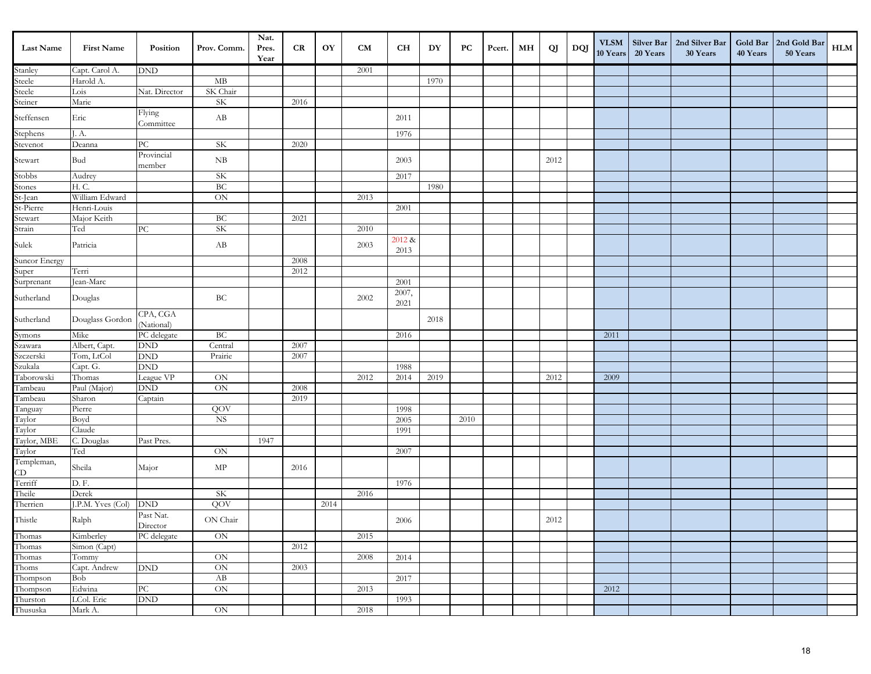| <b>Last Name</b>                 | <b>First Name</b>      | Position                    | Prov. Comm.                | Nat.<br>Pres.<br>Year | CR   | OY   | <b>CM</b> | <b>CH</b>      | DY   | PC   | Pcert. | MН | QJ   | DQJ | <b>VLSM</b><br>10 Years | Silver Bar<br>20 Years | 2nd Silver Bar<br>30 Years | 40 Years | Gold Bar   2nd Gold Bar<br>50 Years | HLM |
|----------------------------------|------------------------|-----------------------------|----------------------------|-----------------------|------|------|-----------|----------------|------|------|--------|----|------|-----|-------------------------|------------------------|----------------------------|----------|-------------------------------------|-----|
|                                  | Capt. Carol A.         | $\mathop{\rm DND}\nolimits$ |                            |                       |      |      | 2001      |                |      |      |        |    |      |     |                         |                        |                            |          |                                     |     |
| Stanley<br>Steele                | Harold A.              |                             | MB                         |                       |      |      |           |                | 1970 |      |        |    |      |     |                         |                        |                            |          |                                     |     |
| Steele                           | Lois                   | Nat. Director               | SK Chair                   |                       |      |      |           |                |      |      |        |    |      |     |                         |                        |                            |          |                                     |     |
| Steiner                          | Marie                  |                             | <b>SK</b>                  |                       | 2016 |      |           |                |      |      |        |    |      |     |                         |                        |                            |          |                                     |     |
| Steffensen                       | Eric                   | Flying<br>Committee         | AB                         |                       |      |      |           | 2011           |      |      |        |    |      |     |                         |                        |                            |          |                                     |     |
| Stephens                         | J. A.                  |                             |                            |                       |      |      |           | 1976           |      |      |        |    |      |     |                         |                        |                            |          |                                     |     |
| Stevenot                         | Deanna                 | PС                          | $\rm SK$                   |                       | 2020 |      |           |                |      |      |        |    |      |     |                         |                        |                            |          |                                     |     |
| Stewart                          | Bud                    | Provincial<br>member        | NB                         |                       |      |      |           | 2003           |      |      |        |    | 2012 |     |                         |                        |                            |          |                                     |     |
| Stobbs                           | Audrey                 |                             | SK                         |                       |      |      |           | 2017           |      |      |        |    |      |     |                         |                        |                            |          |                                     |     |
| Stones                           | H. C.                  |                             | BC                         |                       |      |      |           |                | 1980 |      |        |    |      |     |                         |                        |                            |          |                                     |     |
| St-Jean                          | William Edward         |                             | $\mbox{ON}$                |                       |      |      | 2013      |                |      |      |        |    |      |     |                         |                        |                            |          |                                     |     |
| St-Pierre                        | Henri-Louis            |                             |                            |                       |      |      |           | 2001           |      |      |        |    |      |     |                         |                        |                            |          |                                     |     |
| Stewart                          | Major Keith            |                             | BC                         |                       | 2021 |      |           |                |      |      |        |    |      |     |                         |                        |                            |          |                                     |     |
| Strain                           | Ted                    | ${\rm P}{\bf C}$            | SK                         |                       |      |      | 2010      |                |      |      |        |    |      |     |                         |                        |                            |          |                                     |     |
| Sulek                            | Patricia               |                             | AB                         |                       |      |      | 2003      | 2012 &<br>2013 |      |      |        |    |      |     |                         |                        |                            |          |                                     |     |
| Suncor Energy                    |                        |                             |                            |                       | 2008 |      |           |                |      |      |        |    |      |     |                         |                        |                            |          |                                     |     |
| Super                            | Terri                  |                             |                            |                       | 2012 |      |           |                |      |      |        |    |      |     |                         |                        |                            |          |                                     |     |
| Surprenant                       | Jean-Marc              |                             |                            |                       |      |      |           | 2001           |      |      |        |    |      |     |                         |                        |                            |          |                                     |     |
| Sutherland                       | Douglas                |                             | $\operatorname{BC}$        |                       |      |      | 2002      | 2007,<br>2021  |      |      |        |    |      |     |                         |                        |                            |          |                                     |     |
| Sutherland                       | Douglass Gordon        | CPA, CGA<br>(National)      |                            |                       |      |      |           |                | 2018 |      |        |    |      |     |                         |                        |                            |          |                                     |     |
| Symons                           | Mike                   | PC delegate                 | BC                         |                       |      |      |           | 2016           |      |      |        |    |      |     | 2011                    |                        |                            |          |                                     |     |
| Szawara                          | Albert, Capt.          | $\mathop{\rm DND}\nolimits$ | Central                    |                       | 2007 |      |           |                |      |      |        |    |      |     |                         |                        |                            |          |                                     |     |
| Szczerski                        | Tom, LtCol             | $\mathop{\rm DND}\nolimits$ | Prairie                    |                       | 2007 |      |           |                |      |      |        |    |      |     |                         |                        |                            |          |                                     |     |
| Szukala                          | Capt. G.               | $\mathop{\rm DND}\nolimits$ |                            |                       |      |      |           | 1988           |      |      |        |    |      |     |                         |                        |                            |          |                                     |     |
| Taborowski                       | Thomas                 | League VP                   | ON                         |                       |      |      | 2012      | 2014           | 2019 |      |        |    | 2012 |     | 2009                    |                        |                            |          |                                     |     |
| Tambeau                          | Paul (Major)           | $\mathop{\rm DND}\nolimits$ | ON                         |                       | 2008 |      |           |                |      |      |        |    |      |     |                         |                        |                            |          |                                     |     |
| Tambeau                          | Sharon                 | Captain                     |                            |                       | 2019 |      |           |                |      |      |        |    |      |     |                         |                        |                            |          |                                     |     |
| Tanguay                          | Pierre                 |                             | QOV                        |                       |      |      |           | 1998           |      |      |        |    |      |     |                         |                        |                            |          |                                     |     |
| Taylor                           | Boyd                   |                             | $_{\rm NS}$                |                       |      |      |           | $2005\,$       |      | 2010 |        |    |      |     |                         |                        |                            |          |                                     |     |
| Taylor                           | Claude                 |                             |                            |                       |      |      |           | 1991           |      |      |        |    |      |     |                         |                        |                            |          |                                     |     |
| Taylor, MBE                      | C. Douglas             | Past Pres.                  |                            | 1947                  |      |      |           |                |      |      |        |    |      |     |                         |                        |                            |          |                                     |     |
| Taylor<br>Templeman,             | Ted                    |                             | ON                         |                       |      |      |           | 2007           |      |      |        |    |      |     |                         |                        |                            |          |                                     |     |
| $\frac{CD}{Terriff}$             | Sheila                 | Major                       | $\ensuremath{\mathrm{MP}}$ |                       | 2016 |      |           |                |      |      |        |    |      |     |                         |                        |                            |          |                                     |     |
|                                  | D.F.                   |                             |                            |                       |      |      |           | 1976           |      |      |        |    |      |     |                         |                        |                            |          |                                     |     |
| Theile                           | Derek                  |                             | SK                         |                       |      |      | 2016      |                |      |      |        |    |      |     |                         |                        |                            |          |                                     |     |
| Therrien                         | J.P.M. Yves (Col)      | <b>DND</b>                  | QOV                        |                       |      | 2014 |           |                |      |      |        |    |      |     |                         |                        |                            |          |                                     |     |
| Thistle                          | $\operatorname{Ralph}$ | Past Nat.<br>Director       | ON Chair                   |                       |      |      |           | 2006           |      |      |        |    | 2012 |     |                         |                        |                            |          |                                     |     |
| Thomas<br>Thomas                 | Kimberley              | PC delegate                 | $\rm ON$                   |                       |      |      | 2015      |                |      |      |        |    |      |     |                         |                        |                            |          |                                     |     |
|                                  | Simon (Capt)           |                             |                            |                       | 2012 |      |           |                |      |      |        |    |      |     |                         |                        |                            |          |                                     |     |
| Thomas<br>Thoms                  | Tommy                  |                             | $\rm ON$                   |                       |      |      | 2008      | 2014           |      |      |        |    |      |     |                         |                        |                            |          |                                     |     |
|                                  | Capt. Andrew           | $\mathop{\rm DND}\nolimits$ | ON                         |                       | 2003 |      |           |                |      |      |        |    |      |     |                         |                        |                            |          |                                     |     |
| Thompson<br>Thompson<br>Thurston | Bob                    |                             | AB                         |                       |      |      |           | 2017           |      |      |        |    |      |     |                         |                        |                            |          |                                     |     |
|                                  | Edwina                 | PC                          | ON                         |                       |      |      | 2013      |                |      |      |        |    |      |     | 2012                    |                        |                            |          |                                     |     |
|                                  | LCol. Eric             | $\mathop{\rm DND}\nolimits$ |                            |                       |      |      |           | 1993           |      |      |        |    |      |     |                         |                        |                            |          |                                     |     |
| Thususka                         | Mark A.                |                             | $\mbox{ON}$                |                       |      |      | 2018      |                |      |      |        |    |      |     |                         |                        |                            |          |                                     |     |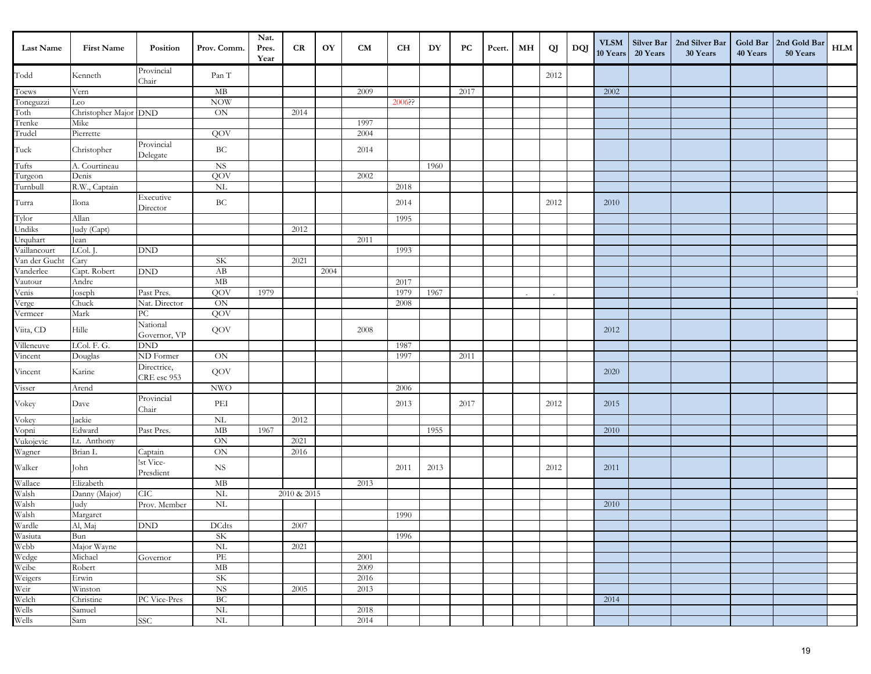| Last Name                                           | <b>First Name</b>     | Position                    | Prov. Comm.                       | Nat.<br>Pres.<br>Year | CR.         | OY   | <b>CM</b> | CH     | DY   | PС   | Pcert. | MН | QJ   | DQJ | $\ensuremath{\text{VLSM}}\xspace$<br>10 Years | Silver Bar<br>20 Years | 2nd Silver Bar<br>30 Years | 40 Years | Gold Bar   2nd Gold Bar<br>50 Years | <b>HLM</b> |
|-----------------------------------------------------|-----------------------|-----------------------------|-----------------------------------|-----------------------|-------------|------|-----------|--------|------|------|--------|----|------|-----|-----------------------------------------------|------------------------|----------------------------|----------|-------------------------------------|------------|
| Todd                                                | Kenneth               | Provincial<br>Chair         | Pan T                             |                       |             |      |           |        |      |      |        |    | 2012 |     |                                               |                        |                            |          |                                     |            |
| Toews                                               | Vern                  |                             | $\mathbf{MB}$                     |                       |             |      | 2009      |        |      | 2017 |        |    |      |     | 2002                                          |                        |                            |          |                                     |            |
| Toneguzzi                                           | Leo                   |                             | <b>NOW</b>                        |                       |             |      |           | 2006?? |      |      |        |    |      |     |                                               |                        |                            |          |                                     |            |
| Toth                                                | Christopher Major DND |                             | ON                                |                       | 2014        |      |           |        |      |      |        |    |      |     |                                               |                        |                            |          |                                     |            |
| Trenke                                              | Mike                  |                             |                                   |                       |             |      | 1997      |        |      |      |        |    |      |     |                                               |                        |                            |          |                                     |            |
| Trudel                                              | Pierrette             |                             | QOV                               |                       |             |      | 2004      |        |      |      |        |    |      |     |                                               |                        |                            |          |                                     |            |
| Tuck                                                | Christopher           | Provincial<br>Delegate      | $\operatorname{BC}$               |                       |             |      | 2014      |        |      |      |        |    |      |     |                                               |                        |                            |          |                                     |            |
| Tufts                                               | A. Courtineau         |                             | $_{\rm NS}$                       |                       |             |      |           |        | 1960 |      |        |    |      |     |                                               |                        |                            |          |                                     |            |
| Turgeon                                             | Denis                 |                             | QOV                               |                       |             |      | 2002      |        |      |      |        |    |      |     |                                               |                        |                            |          |                                     |            |
| Turnbull                                            | R.W., Captain         |                             | NL                                |                       |             |      |           | 2018   |      |      |        |    |      |     |                                               |                        |                            |          |                                     |            |
| Turra                                               | Ilona                 | Executive<br>Director       | $\operatorname{BC}$               |                       |             |      |           | 2014   |      |      |        |    | 2012 |     | 2010                                          |                        |                            |          |                                     |            |
| Tylor                                               | Allan                 |                             |                                   |                       |             |      |           | 1995   |      |      |        |    |      |     |                                               |                        |                            |          |                                     |            |
| Undiks                                              | Judy (Capt)           |                             |                                   |                       | 2012        |      |           |        |      |      |        |    |      |     |                                               |                        |                            |          |                                     |            |
| Urquhart                                            | Jean                  |                             |                                   |                       |             |      | 2011      |        |      |      |        |    |      |     |                                               |                        |                            |          |                                     |            |
| Vaillancourt                                        | LCol. J.              | DND                         |                                   |                       |             |      |           | 1993   |      |      |        |    |      |     |                                               |                        |                            |          |                                     |            |
| Van der Gucht                                       | Cary                  |                             | <b>SK</b>                         |                       | 2021        |      |           |        |      |      |        |    |      |     |                                               |                        |                            |          |                                     |            |
| Vanderlee                                           | Capt. Robert          | <b>DND</b>                  | AB                                |                       |             | 2004 |           |        |      |      |        |    |      |     |                                               |                        |                            |          |                                     |            |
| Vautour                                             | Andre                 |                             | MB                                |                       |             |      |           | 2017   |      |      |        |    |      |     |                                               |                        |                            |          |                                     |            |
| Venis                                               | Joseph                | Past Pres.                  | QOV                               | 1979                  |             |      |           | 1979   | 1967 |      |        |    |      |     |                                               |                        |                            |          |                                     |            |
| Verge                                               | Chuck                 | Nat. Director               | ON                                |                       |             |      |           | 2008   |      |      |        |    |      |     |                                               |                        |                            |          |                                     |            |
| Vermeer                                             | Mark                  | PC                          | QOV                               |                       |             |      |           |        |      |      |        |    |      |     |                                               |                        |                            |          |                                     |            |
| Viita, CD                                           | Hille                 | National<br>Governor, VP    | QOV                               |                       |             |      | 2008      |        |      |      |        |    |      |     | 2012                                          |                        |                            |          |                                     |            |
| Villeneuve                                          | LCol. F. G.           | <b>DND</b>                  |                                   |                       |             |      |           | 1987   |      |      |        |    |      |     |                                               |                        |                            |          |                                     |            |
| Vincent                                             | Douglas               | ND Former                   | $\mbox{ON}$                       |                       |             |      |           | 1997   |      | 2011 |        |    |      |     |                                               |                        |                            |          |                                     |            |
| Vincent                                             | Karine                | Directrice,<br>CRE esc 953  | QOV                               |                       |             |      |           |        |      |      |        |    |      |     | 2020                                          |                        |                            |          |                                     |            |
| Visser                                              | Arend                 |                             | $\ensuremath{\text{NWO}}$         |                       |             |      |           | 2006   |      |      |        |    |      |     |                                               |                        |                            |          |                                     |            |
| Vokey                                               | Dave                  | Provincial<br>Chair         | PEI                               |                       |             |      |           | 2013   |      | 2017 |        |    | 2012 |     | 2015                                          |                        |                            |          |                                     |            |
| Vokey                                               | Jackie                |                             | NL                                |                       | 2012        |      |           |        |      |      |        |    |      |     |                                               |                        |                            |          |                                     |            |
| Vopni                                               | Edward                | Past Pres.                  | $\rm MB$                          | 1967                  |             |      |           |        | 1955 |      |        |    |      |     | 2010                                          |                        |                            |          |                                     |            |
| Vukojevic                                           | Lt. Anthony           |                             | ON                                |                       | 2021        |      |           |        |      |      |        |    |      |     |                                               |                        |                            |          |                                     |            |
| Wagner                                              | Brian L               | Captain                     | ON                                |                       | 2016        |      |           |        |      |      |        |    |      |     |                                               |                        |                            |          |                                     |            |
| Walker                                              | John                  | lst Vice-<br>Presdient      | <b>NS</b>                         |                       |             |      |           | 2011   | 2013 |      |        |    | 2012 |     | 2011                                          |                        |                            |          |                                     |            |
| Wallace                                             | Elizabeth             |                             | MB                                |                       |             |      | 2013      |        |      |      |        |    |      |     |                                               |                        |                            |          |                                     |            |
| Walsh                                               | Danny (Major)         | CIC                         | $\rm NL$                          |                       | 2010 & 2015 |      |           |        |      |      |        |    |      |     |                                               |                        |                            |          |                                     |            |
|                                                     | Judy                  | Prov. Member                | $\rm NL$                          |                       |             |      |           |        |      |      |        |    |      |     | 2010                                          |                        |                            |          |                                     |            |
|                                                     | Margaret              |                             |                                   |                       |             |      |           | 1990   |      |      |        |    |      |     |                                               |                        |                            |          |                                     |            |
| wash<br>Walsh<br>Walsh<br>Wardle<br>Wasiuta<br>Webb | Al, Maj               | $\mathop{\rm DND}\nolimits$ | DCdts                             |                       | 2007        |      |           |        |      |      |        |    |      |     |                                               |                        |                            |          |                                     |            |
|                                                     | Bun                   |                             | SK                                |                       |             |      |           | 1996   |      |      |        |    |      |     |                                               |                        |                            |          |                                     |            |
|                                                     | Major Wayne           |                             | $\rm NL$                          |                       | 2021        |      |           |        |      |      |        |    |      |     |                                               |                        |                            |          |                                     |            |
|                                                     | Michael               | Governor                    | $\overline{\text{PE}}$            |                       |             |      | 2001      |        |      |      |        |    |      |     |                                               |                        |                            |          |                                     |            |
| Wedge<br>Weibe                                      | Robert                |                             | MB                                |                       |             |      | 2009      |        |      |      |        |    |      |     |                                               |                        |                            |          |                                     |            |
|                                                     | Erwin                 |                             | $\ensuremath{\mathrm{SK}}\xspace$ |                       |             |      | 2016      |        |      |      |        |    |      |     |                                               |                        |                            |          |                                     |            |
|                                                     | Winston               |                             | <b>NS</b>                         |                       | 2005        |      | 2013      |        |      |      |        |    |      |     |                                               |                        |                            |          |                                     |            |
|                                                     | Christine             | PC Vice-Pres                | BC                                |                       |             |      |           |        |      |      |        |    |      |     | 2014                                          |                        |                            |          |                                     |            |
|                                                     | Samuel                |                             | <b>NL</b>                         |                       |             |      | 2018      |        |      |      |        |    |      |     |                                               |                        |                            |          |                                     |            |
| Weigers<br>Weigers<br>Welch<br>Wells<br>Wells       | Sam                   | <b>SSC</b>                  | NL                                |                       |             |      | 2014      |        |      |      |        |    |      |     |                                               |                        |                            |          |                                     |            |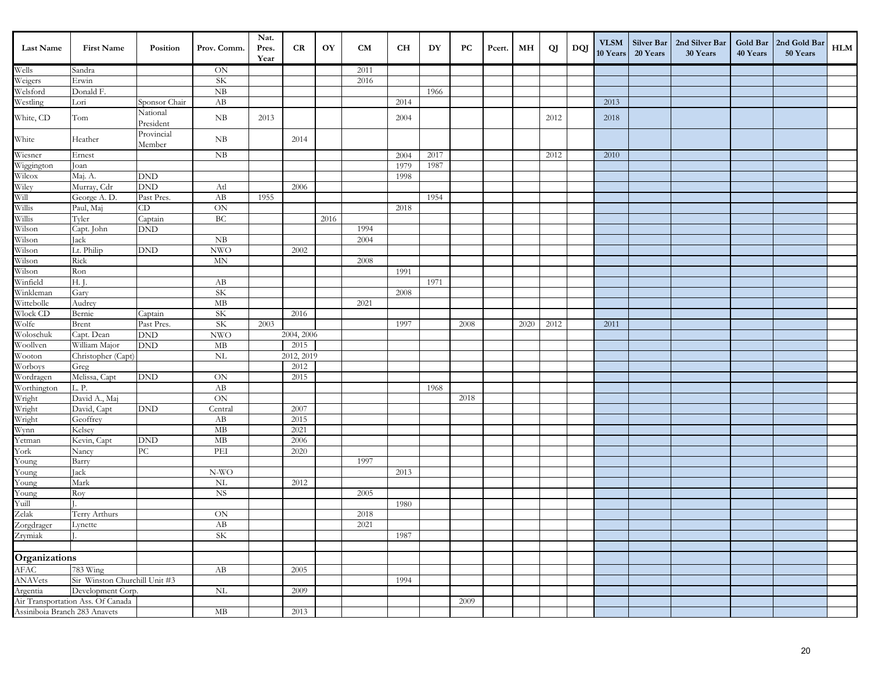| Last Name                                      | <b>First Name</b>                                              | Position                    | Prov. Comm.         | Nat.<br>Pres.<br>Year | CR                 | OY   | CM   | <b>CH</b> | DY   | PС   | Pcert. | MН   | QJ   | DQJ | <b>VLSM</b><br>10 Years | 20 Years | Silver Bar   2nd Silver Bar<br>30 Years | 40 Years | Gold Bar   2nd Gold Bar<br>50 Years | HLM |
|------------------------------------------------|----------------------------------------------------------------|-----------------------------|---------------------|-----------------------|--------------------|------|------|-----------|------|------|--------|------|------|-----|-------------------------|----------|-----------------------------------------|----------|-------------------------------------|-----|
|                                                | Sandra                                                         |                             | $\mbox{ON}$         |                       |                    |      | 2011 |           |      |      |        |      |      |     |                         |          |                                         |          |                                     |     |
| Wells<br>Weigers                               | Erwin                                                          |                             | <b>SK</b>           |                       |                    |      | 2016 |           |      |      |        |      |      |     |                         |          |                                         |          |                                     |     |
| Welsford                                       | Donald F.                                                      |                             | NB                  |                       |                    |      |      |           | 1966 |      |        |      |      |     |                         |          |                                         |          |                                     |     |
| Westling                                       | Lori                                                           | Sponsor Chair               | AB                  |                       |                    |      |      | 2014      |      |      |        |      |      |     | 2013                    |          |                                         |          |                                     |     |
| White, CD                                      | Tom                                                            | National<br>President       | NB                  | 2013                  |                    |      |      | 2004      |      |      |        |      | 2012 |     | 2018                    |          |                                         |          |                                     |     |
| White                                          | Heather                                                        | Provincial<br>Member        | NB                  |                       | 2014               |      |      |           |      |      |        |      |      |     |                         |          |                                         |          |                                     |     |
| Wiesner<br>Wiggington                          | Ernest                                                         |                             | NB                  |                       |                    |      |      | 2004      | 2017 |      |        |      | 2012 |     | 2010                    |          |                                         |          |                                     |     |
|                                                | Joan                                                           |                             |                     |                       |                    |      |      | 1979      | 1987 |      |        |      |      |     |                         |          |                                         |          |                                     |     |
| Wilcox                                         | Maj. A.                                                        | <b>DND</b>                  |                     |                       |                    |      |      | 1998      |      |      |        |      |      |     |                         |          |                                         |          |                                     |     |
| Wiley<br>Will<br>Willis<br>Willis              | Murray, Cdr                                                    | <b>DND</b>                  | Atl                 |                       | 2006               |      |      |           |      |      |        |      |      |     |                         |          |                                         |          |                                     |     |
|                                                | George A.D.                                                    | Past Pres.                  | AB                  | 1955                  |                    |      |      |           | 1954 |      |        |      |      |     |                         |          |                                         |          |                                     |     |
|                                                | Paul, Maj                                                      | CD                          | ON                  |                       |                    |      |      | 2018      |      |      |        |      |      |     |                         |          |                                         |          |                                     |     |
|                                                | Tyler                                                          | Captain                     | BC                  |                       |                    | 2016 |      |           |      |      |        |      |      |     |                         |          |                                         |          |                                     |     |
| Wilson                                         | Capt. John                                                     | <b>DND</b>                  |                     |                       |                    |      | 1994 |           |      |      |        |      |      |     |                         |          |                                         |          |                                     |     |
| Wilson                                         | Jack                                                           |                             | ${\rm NB}$          |                       |                    |      | 2004 |           |      |      |        |      |      |     |                         |          |                                         |          |                                     |     |
| Wilson                                         | Lt. Philip                                                     | $\mathop{\rm DND}\nolimits$ | <b>NWO</b>          |                       | 2002               |      |      |           |      |      |        |      |      |     |                         |          |                                         |          |                                     |     |
| Wilson<br>Wilson                               | Rick                                                           |                             | $\operatorname{MN}$ |                       |                    |      | 2008 |           |      |      |        |      |      |     |                         |          |                                         |          |                                     |     |
|                                                | Ron                                                            |                             |                     |                       |                    |      |      | 1991      |      |      |        |      |      |     |                         |          |                                         |          |                                     |     |
| Winfield                                       | $H.$ J.                                                        |                             | AB                  |                       |                    |      |      |           | 1971 |      |        |      |      |     |                         |          |                                         |          |                                     |     |
| Winkleman                                      | Gary                                                           |                             | SK                  |                       |                    |      |      | 2008      |      |      |        |      |      |     |                         |          |                                         |          |                                     |     |
| Wittebolle                                     | Audrey                                                         |                             | $\rm MB$            |                       |                    |      | 2021 |           |      |      |        |      |      |     |                         |          |                                         |          |                                     |     |
| Wlock CD<br>Wolfe                              | Bernie                                                         | Captain                     | <b>SK</b>           |                       | 2016               |      |      |           |      |      |        |      |      |     |                         |          |                                         |          |                                     |     |
|                                                | Brent                                                          | Past Pres.                  | <b>SK</b>           | 2003                  | 2004, 2006         |      |      | 1997      |      | 2008 |        | 2020 | 2012 |     | 2011                    |          |                                         |          |                                     |     |
| Woloschuk<br>Woollven                          | Capt. Dean                                                     | <b>DND</b><br><b>DND</b>    | <b>NWO</b><br>MB    |                       |                    |      |      |           |      |      |        |      |      |     |                         |          |                                         |          |                                     |     |
| Wooton                                         | William Major                                                  |                             |                     |                       | 2015<br>2012, 2019 |      |      |           |      |      |        |      |      |     |                         |          |                                         |          |                                     |     |
| Worboys                                        | Christopher (Capt)                                             |                             | $\rm NL$            |                       | 2012               |      |      |           |      |      |        |      |      |     |                         |          |                                         |          |                                     |     |
| Wordragen                                      | Greg<br>Melissa, Capt                                          | <b>DND</b>                  | $\mbox{ON}$         |                       | 2015               |      |      |           |      |      |        |      |      |     |                         |          |                                         |          |                                     |     |
|                                                | L.P.                                                           |                             | AB                  |                       |                    |      |      |           | 1968 |      |        |      |      |     |                         |          |                                         |          |                                     |     |
|                                                | David A., Maj                                                  |                             | $\overline{ON}$     |                       |                    |      |      |           |      | 2018 |        |      |      |     |                         |          |                                         |          |                                     |     |
| Worthington<br>Wright<br>Wright                | David, Capt                                                    | <b>DND</b>                  | Central             |                       | 2007               |      |      |           |      |      |        |      |      |     |                         |          |                                         |          |                                     |     |
|                                                | Geoffrey                                                       |                             | AB                  |                       | 2015               |      |      |           |      |      |        |      |      |     |                         |          |                                         |          |                                     |     |
| Wright<br>Wynn                                 | Kelsey                                                         |                             | MB                  |                       | 2021               |      |      |           |      |      |        |      |      |     |                         |          |                                         |          |                                     |     |
| Yetman                                         | Kevin, Capt                                                    | <b>DND</b>                  | $\mathbf{MB}$       |                       | 2006               |      |      |           |      |      |        |      |      |     |                         |          |                                         |          |                                     |     |
| York                                           | Nancy                                                          | PC                          | PEI                 |                       | 2020               |      |      |           |      |      |        |      |      |     |                         |          |                                         |          |                                     |     |
| Young                                          | Barry                                                          |                             |                     |                       |                    |      | 1997 |           |      |      |        |      |      |     |                         |          |                                         |          |                                     |     |
| Young                                          | Jack                                                           |                             | N-WO                |                       |                    |      |      | 2013      |      |      |        |      |      |     |                         |          |                                         |          |                                     |     |
| Young                                          | Mark                                                           |                             | $\rm NL$            |                       | 2012               |      |      |           |      |      |        |      |      |     |                         |          |                                         |          |                                     |     |
|                                                | Roy                                                            |                             | <b>NS</b>           |                       |                    |      | 2005 |           |      |      |        |      |      |     |                         |          |                                         |          |                                     |     |
| Young<br>Yuill                                 |                                                                |                             |                     |                       |                    |      |      | 1980      |      |      |        |      |      |     |                         |          |                                         |          |                                     |     |
|                                                | Terry Arthurs                                                  |                             | $\mbox{ON}$         |                       |                    |      | 2018 |           |      |      |        |      |      |     |                         |          |                                         |          |                                     |     |
|                                                | Lynette                                                        |                             | AB                  |                       |                    |      | 2021 |           |      |      |        |      |      |     |                         |          |                                         |          |                                     |     |
| Zelak<br>Zorgdrager<br>Zrymiak                 |                                                                |                             | <b>SK</b>           |                       |                    |      |      | 1987      |      |      |        |      |      |     |                         |          |                                         |          |                                     |     |
|                                                |                                                                |                             |                     |                       |                    |      |      |           |      |      |        |      |      |     |                         |          |                                         |          |                                     |     |
| <b>Organizations</b><br>AFAC 78<br>ANAVets Sii |                                                                |                             |                     |                       |                    |      |      |           |      |      |        |      |      |     |                         |          |                                         |          |                                     |     |
|                                                | 783 Wing                                                       |                             | AB                  |                       | 2005               |      |      |           |      |      |        |      |      |     |                         |          |                                         |          |                                     |     |
|                                                | Sir Winston Churchill Unit #3                                  |                             |                     |                       |                    |      |      | 1994      |      |      |        |      |      |     |                         |          |                                         |          |                                     |     |
|                                                | Development Corp.                                              |                             | $\rm NL$            |                       | 2009               |      |      |           |      |      |        |      |      |     |                         |          |                                         |          |                                     |     |
|                                                | Argentia Development Corp<br>Air Transportation Ass. Of Canada |                             |                     |                       |                    |      |      |           |      | 2009 |        |      |      |     |                         |          |                                         |          |                                     |     |
| Assiniboia Branch 283 Anavets                  |                                                                |                             | $\rm MB$            |                       | 2013               |      |      |           |      |      |        |      |      |     |                         |          |                                         |          |                                     |     |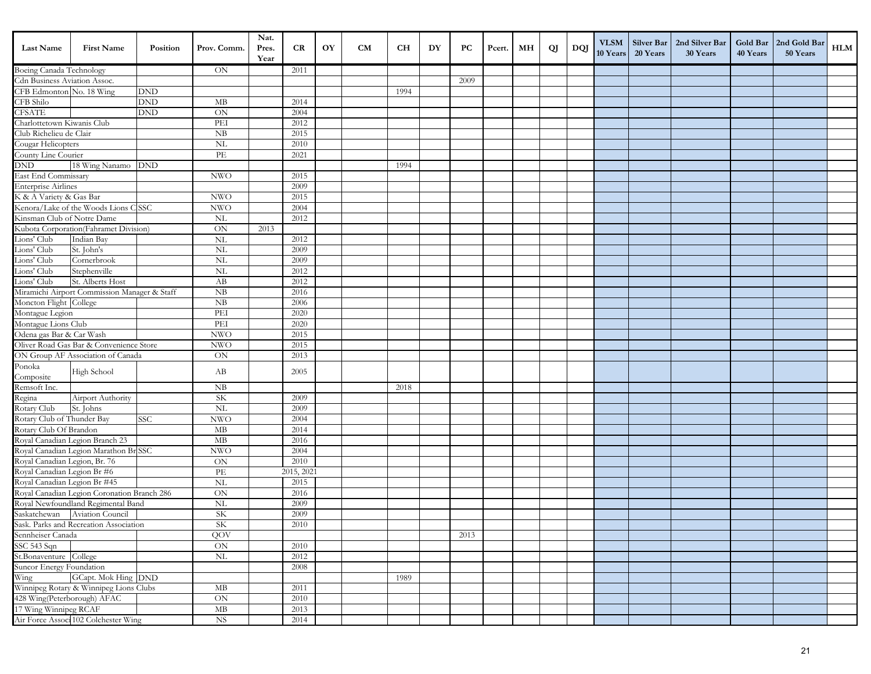| <b>Last Name</b>              | <b>First Name</b>                            | Position   | Prov. Comm.                           | Nat.<br>Pres.<br>Year | CR           | OY | <b>CM</b> | <b>CH</b> | DY | PC   | Pcert. | MН | QJ | DQJ | <b>VLSM</b><br>10 Years | Silver Bar<br>20 Years | 2nd Silver Bar<br>30 Years | 40 Years | Gold Bar   2nd Gold Bar<br>50 Years | <b>HLM</b> |
|-------------------------------|----------------------------------------------|------------|---------------------------------------|-----------------------|--------------|----|-----------|-----------|----|------|--------|----|----|-----|-------------------------|------------------------|----------------------------|----------|-------------------------------------|------------|
| Boeing Canada Technology      |                                              |            | ON                                    |                       | 2011         |    |           |           |    |      |        |    |    |     |                         |                        |                            |          |                                     |            |
| Cdn Business Aviation Assoc.  |                                              |            |                                       |                       |              |    |           |           |    | 2009 |        |    |    |     |                         |                        |                            |          |                                     |            |
| CFB Edmonton No. 18 Wing      |                                              | <b>DND</b> |                                       |                       |              |    |           | 1994      |    |      |        |    |    |     |                         |                        |                            |          |                                     |            |
| CFB Shilo                     |                                              | <b>DND</b> | MB                                    |                       | 2014         |    |           |           |    |      |        |    |    |     |                         |                        |                            |          |                                     |            |
| <b>CFSATE</b>                 |                                              | <b>DND</b> | $\overline{ON}$                       |                       | 2004         |    |           |           |    |      |        |    |    |     |                         |                        |                            |          |                                     |            |
| Charlottetown Kiwanis Club    |                                              |            | PEI                                   |                       | 2012         |    |           |           |    |      |        |    |    |     |                         |                        |                            |          |                                     |            |
| Club Richelieu de Clair       |                                              |            | <b>NB</b>                             |                       | 2015         |    |           |           |    |      |        |    |    |     |                         |                        |                            |          |                                     |            |
| Cougar Helicopters            |                                              |            | NL                                    |                       | 2010         |    |           |           |    |      |        |    |    |     |                         |                        |                            |          |                                     |            |
| County Line Courier           |                                              |            | PE                                    |                       | 2021         |    |           |           |    |      |        |    |    |     |                         |                        |                            |          |                                     |            |
| DND                           | 18 Wing Nanamo DND                           |            |                                       |                       |              |    |           | 1994      |    |      |        |    |    |     |                         |                        |                            |          |                                     |            |
| East End Commissary           |                                              |            | <b>NWO</b>                            |                       | 2015         |    |           |           |    |      |        |    |    |     |                         |                        |                            |          |                                     |            |
| <b>Enterprise Airlines</b>    |                                              |            |                                       |                       | 2009         |    |           |           |    |      |        |    |    |     |                         |                        |                            |          |                                     |            |
| K & A Variety & Gas Bar       |                                              |            | <b>NWO</b>                            |                       | 2015         |    |           |           |    |      |        |    |    |     |                         |                        |                            |          |                                     |            |
|                               | Kenora/Lake of the Woods Lions C SSC         |            | <b>NWO</b>                            |                       | 2004         |    |           |           |    |      |        |    |    |     |                         |                        |                            |          |                                     |            |
| Kinsman Club of Notre Dame    |                                              |            | NL                                    |                       | 2012         |    |           |           |    |      |        |    |    |     |                         |                        |                            |          |                                     |            |
|                               | Kubota Corporation(Fahramet Division)        |            | ON                                    | 2013                  |              |    |           |           |    |      |        |    |    |     |                         |                        |                            |          |                                     |            |
| Lions' Club                   | Indian Bay                                   |            | NL                                    |                       | 2012         |    |           |           |    |      |        |    |    |     |                         |                        |                            |          |                                     |            |
| Lions' Club                   | St. John's                                   |            | NL<br>NL                              |                       | 2009<br>2009 |    |           |           |    |      |        |    |    |     |                         |                        |                            |          |                                     |            |
| Lions' Club                   | Cornerbrook<br>Stephenville                  |            | $\overline{\text{NL}}$                |                       | 2012         |    |           |           |    |      |        |    |    |     |                         |                        |                            |          |                                     |            |
| Lions' Club<br>Lions' Club    | St. Alberts Host                             |            | AB                                    |                       | 2012         |    |           |           |    |      |        |    |    |     |                         |                        |                            |          |                                     |            |
|                               | Miramichi Airport Commission Manager & Staff |            | <b>NB</b>                             |                       | 2016         |    |           |           |    |      |        |    |    |     |                         |                        |                            |          |                                     |            |
| Moncton Flight College        |                                              |            | NB                                    |                       | 2006         |    |           |           |    |      |        |    |    |     |                         |                        |                            |          |                                     |            |
| Montague Legion               |                                              |            | PEI                                   |                       | 2020         |    |           |           |    |      |        |    |    |     |                         |                        |                            |          |                                     |            |
| Montague Lions Club           |                                              |            | PEI                                   |                       | 2020         |    |           |           |    |      |        |    |    |     |                         |                        |                            |          |                                     |            |
| Odena gas Bar & Car Wash      |                                              |            | <b>NWO</b>                            |                       | 2015         |    |           |           |    |      |        |    |    |     |                         |                        |                            |          |                                     |            |
|                               | Oliver Road Gas Bar & Convenience Store      |            | <b>NWO</b>                            |                       | 2015         |    |           |           |    |      |        |    |    |     |                         |                        |                            |          |                                     |            |
|                               | ON Group AF Association of Canada            |            | ON                                    |                       | 2013         |    |           |           |    |      |        |    |    |     |                         |                        |                            |          |                                     |            |
| Ponoka                        |                                              |            |                                       |                       |              |    |           |           |    |      |        |    |    |     |                         |                        |                            |          |                                     |            |
| Composite                     | High School                                  |            | AB                                    |                       | 2005         |    |           |           |    |      |        |    |    |     |                         |                        |                            |          |                                     |            |
| Remsoft Inc.                  |                                              |            | NB                                    |                       |              |    |           | 2018      |    |      |        |    |    |     |                         |                        |                            |          |                                     |            |
| Regina                        | Airport Authority                            |            | SK                                    |                       | 2009         |    |           |           |    |      |        |    |    |     |                         |                        |                            |          |                                     |            |
| Rotary Club                   | St. Johns                                    |            | NL                                    |                       | 2009         |    |           |           |    |      |        |    |    |     |                         |                        |                            |          |                                     |            |
| Rotary Club of Thunder Bay    |                                              | <b>SSC</b> | <b>NWO</b>                            |                       | 2004         |    |           |           |    |      |        |    |    |     |                         |                        |                            |          |                                     |            |
| Rotary Club Of Brandon        |                                              |            | MB                                    |                       | 2014         |    |           |           |    |      |        |    |    |     |                         |                        |                            |          |                                     |            |
|                               | Royal Canadian Legion Branch 23              |            | MB                                    |                       | 2016         |    |           |           |    |      |        |    |    |     |                         |                        |                            |          |                                     |            |
|                               | Royal Canadian Legion Marathon Br SSC        |            | <b>NWO</b>                            |                       | 2004         |    |           |           |    |      |        |    |    |     |                         |                        |                            |          |                                     |            |
| Royal Canadian Legion, Br. 76 |                                              |            | <b>ON</b>                             |                       | 2010         |    |           |           |    |      |        |    |    |     |                         |                        |                            |          |                                     |            |
| Royal Canadian Legion Br #6   |                                              |            | $\ensuremath{\mathop{\text{\rm PE}}}$ |                       | 2015, 2021   |    |           |           |    |      |        |    |    |     |                         |                        |                            |          |                                     |            |
| Royal Canadian Legion Br #45  |                                              |            | NL                                    |                       | 2015         |    |           |           |    |      |        |    |    |     |                         |                        |                            |          |                                     |            |
|                               | Royal Canadian Legion Coronation Branch 286  |            | ON                                    |                       | 2016         |    |           |           |    |      |        |    |    |     |                         |                        |                            |          |                                     |            |
|                               | Royal Newfoundland Regimental Band           |            | $\rm NL$                              |                       | 2009         |    |           |           |    |      |        |    |    |     |                         |                        |                            |          |                                     |            |
|                               | Saskatchewan Aviation Council                |            | <b>SK</b>                             |                       | 2009         |    |           |           |    |      |        |    |    |     |                         |                        |                            |          |                                     |            |
|                               | Sask. Parks and Recreation Association       |            | <b>SK</b>                             |                       | $2010\,$     |    |           |           |    |      |        |    |    |     |                         |                        |                            |          |                                     |            |
| Sennheiser Canada             |                                              |            | QOV                                   |                       |              |    |           |           |    | 2013 |        |    |    |     |                         |                        |                            |          |                                     |            |
| SSC 543 Sqn                   |                                              |            | $\mbox{ON}$                           |                       | 2010         |    |           |           |    |      |        |    |    |     |                         |                        |                            |          |                                     |            |
| St.Bonaventure College        |                                              |            | NL                                    |                       | 2012         |    |           |           |    |      |        |    |    |     |                         |                        |                            |          |                                     |            |
| Suncor Energy Foundation      |                                              |            |                                       |                       | 2008         |    |           |           |    |      |        |    |    |     |                         |                        |                            |          |                                     |            |
| Wing                          | GCapt. Mok Hing DND                          |            |                                       |                       |              |    |           | 1989      |    |      |        |    |    |     |                         |                        |                            |          |                                     |            |
| 428 Wing(Peterborough) AFAC   | Winnipeg Rotary & Winnipeg Lions Clubs       |            | $\rm MB$<br>ON                        |                       | 2011<br>2010 |    |           |           |    |      |        |    |    |     |                         |                        |                            |          |                                     |            |
| 17 Wing Winnipeg RCAF         |                                              |            |                                       |                       | 2013         |    |           |           |    |      |        |    |    |     |                         |                        |                            |          |                                     |            |
|                               | Air Force Associ 102 Colchester Wing         |            | MB<br><b>NS</b>                       |                       | 2014         |    |           |           |    |      |        |    |    |     |                         |                        |                            |          |                                     |            |
|                               |                                              |            |                                       |                       |              |    |           |           |    |      |        |    |    |     |                         |                        |                            |          |                                     |            |